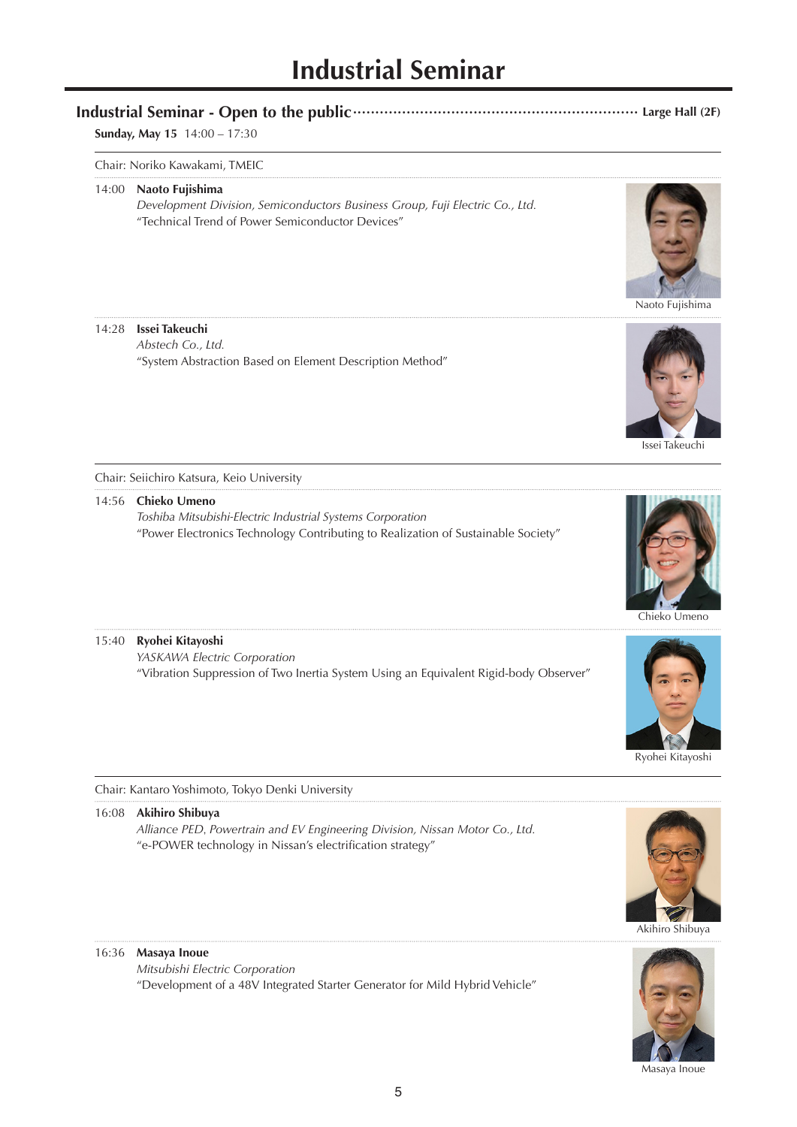# **Industrial Seminar**

## **Industrial Seminar - Open to the public································································ Large Hall (2F)**

## **Sunday, May 15** 14:00 – 17:30

#### Chair: Noriko Kawakami, TMEIC

#### 14:00 **Naoto Fujishima**

 *Development Division, Semiconductors Business Group, Fuji Electric Co., Ltd.* "Technical Trend of Power Semiconductor Devices"

## 14:28 **Issei Takeuchi**

 *Abstech Co., Ltd.* "System Abstraction Based on Element Description Method"





Issei Takeuchi

Chair: Seiichiro Katsura, Keio University

#### 14:56 **Chieko Umeno**

 *Toshiba Mitsubishi-Electric Industrial Systems Corporation* "Power Electronics Technology Contributing to Realization of Sustainable Society"



#### 15:40 **Ryohei Kitayoshi**

 *YASKAWA Electric Corporation* "Vibration Suppression of Two Inertia System Using an Equivalent Rigid-body Observer"



Ryohei Kitayoshi

Chair: Kantaro Yoshimoto, Tokyo Denki University

#### 16:08 **Akihiro Shibuya**

 *Alliance PED*, *Powertrain and EV Engineering Division, Nissan Motor Co., Ltd.* "e-POWER technology in Nissan's electrification strategy"

#### 16:36 **Masaya Inoue**

 *Mitsubishi Electric Corporation* "Development of a 48V Integrated Starter Generator for Mild Hybrid Vehicle"



Masaya Inoue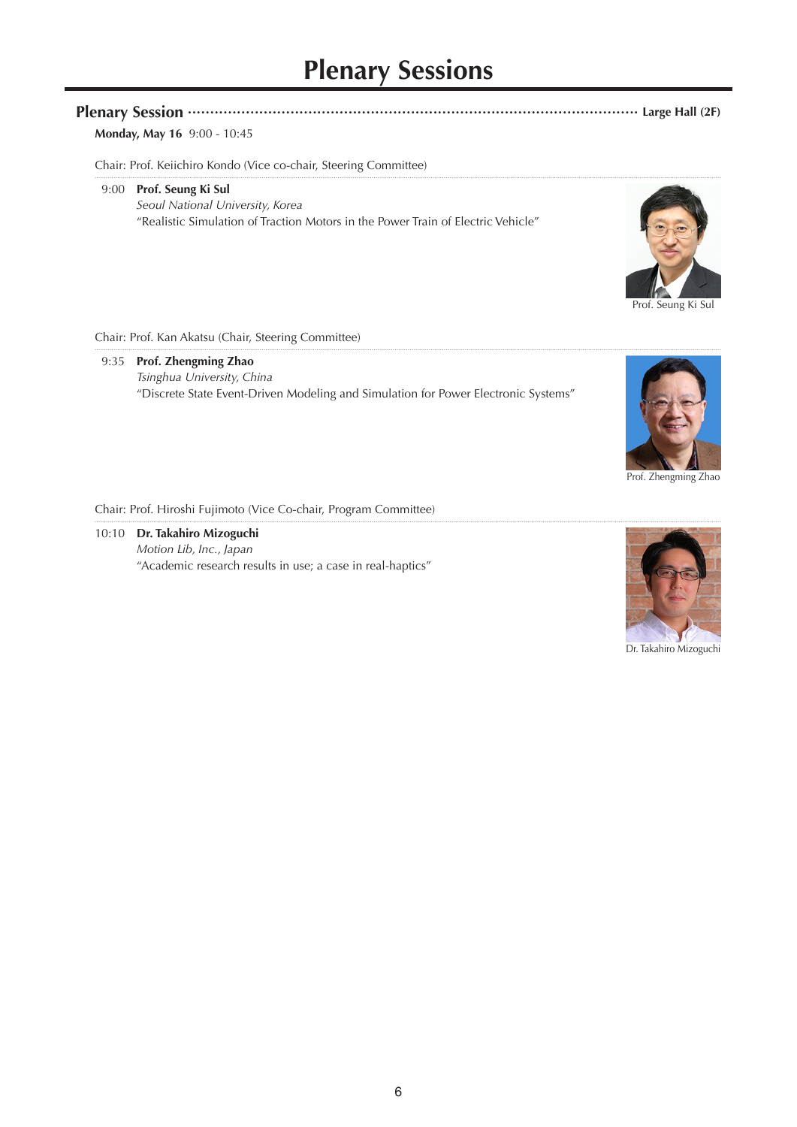# **Plenary Sessions**

# **Plenary Session ····································································································· Large Hall (2F)**

# **Monday, May 16** 9:00 - 10:45

Chair: Prof. Keiichiro Kondo (Vice co-chair, Steering Committee)

#### 9:00 **Prof. Seung Ki Sul**

*Seoul National University, Korea* "Realistic Simulation of Traction Motors in the Power Train of Electric Vehicle"



Prof. Seung Ki Sul

Chair: Prof. Kan Akatsu (Chair, Steering Committee)

## 9:35 **Prof. Zhengming Zhao** *Tsinghua University, China* "Discrete State Event-Driven Modeling and Simulation for Power Electronic Systems"



Prof. Zhengming Zhao

Chair: Prof. Hiroshi Fujimoto (Vice Co-chair, Program Committee)

10:10 **Dr. Takahiro Mizoguchi** *Motion Lib, Inc., Japan* "Academic research results in use; a case in real-haptics"



Dr. Takahiro Mizoguchi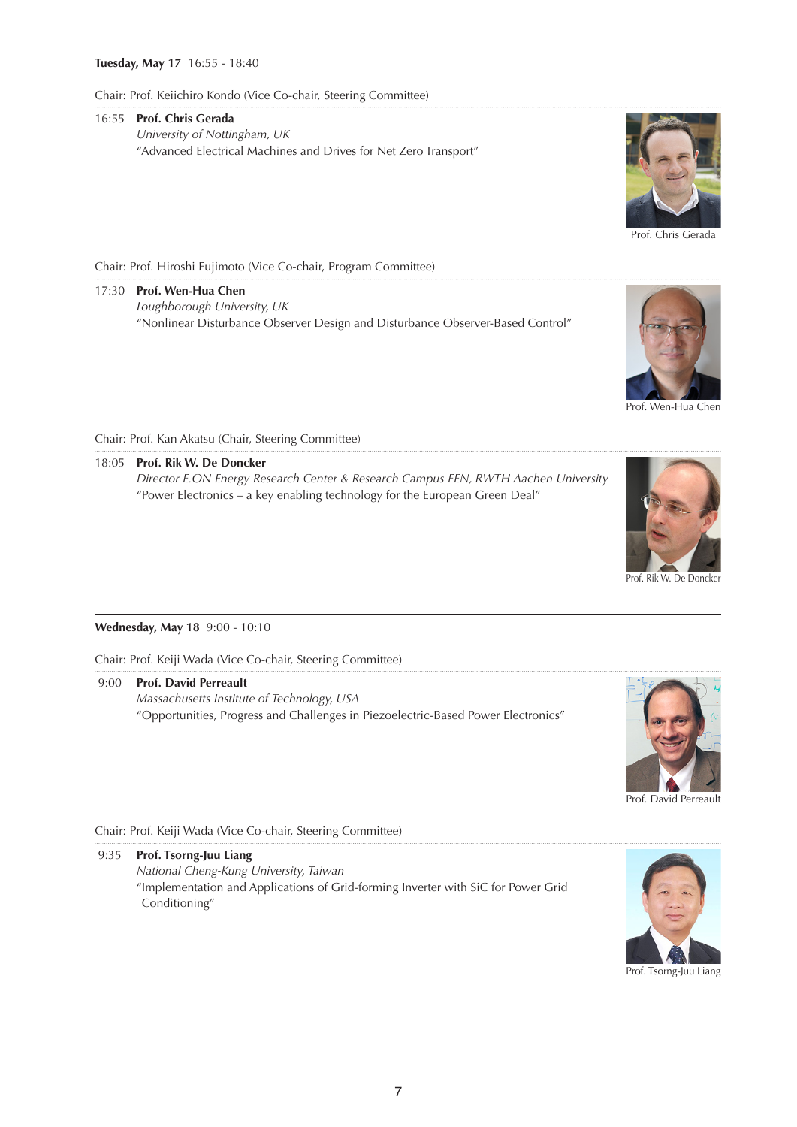#### **Tuesday, May 17** 16:55 - 18:40

Chair: Prof. Keiichiro Kondo (Vice Co-chair, Steering Committee)

#### 16:55 **Prof. Chris Gerada**

*University of Nottingham, UK* "Advanced Electrical Machines and Drives for Net Zero Transport"



Prof. Chris Gerada

Chair: Prof. Hiroshi Fujimoto (Vice Co-chair, Program Committee)

17:30 **Prof. Wen-Hua Chen** *Loughborough University, UK* "Nonlinear Disturbance Observer Design and Disturbance Observer-Based Control"



Prof. Wen-Hua Chen

Chair: Prof. Kan Akatsu (Chair, Steering Committee)

18:05 **Prof. Rik W. De Doncker** *Director E.ON Energy Research Center & Research Campus FEN, RWTH Aachen University* "Power Electronics – a key enabling technology for the European Green Deal"



#### Prof. Rik W. De Doncker

#### **Wednesday, May 18** 9:00 - 10:10

Chair: Prof. Keiji Wada (Vice Co-chair, Steering Committee)

 9:00 **Prof. David Perreault** *Massachusetts Institute of Technology, USA* "Opportunities, Progress and Challenges in Piezoelectric-Based Power Electronics"



Prof. David Perreault

#### Chair: Prof. Keiji Wada (Vice Co-chair, Steering Committee)

9:35 **Prof. Tsorng-Juu Liang**

*National Cheng-Kung University, Taiwan* "Implementation and Applications of Grid-forming Inverter with SiC for Power Grid Conditioning"



Prof. Tsorng-Juu Liang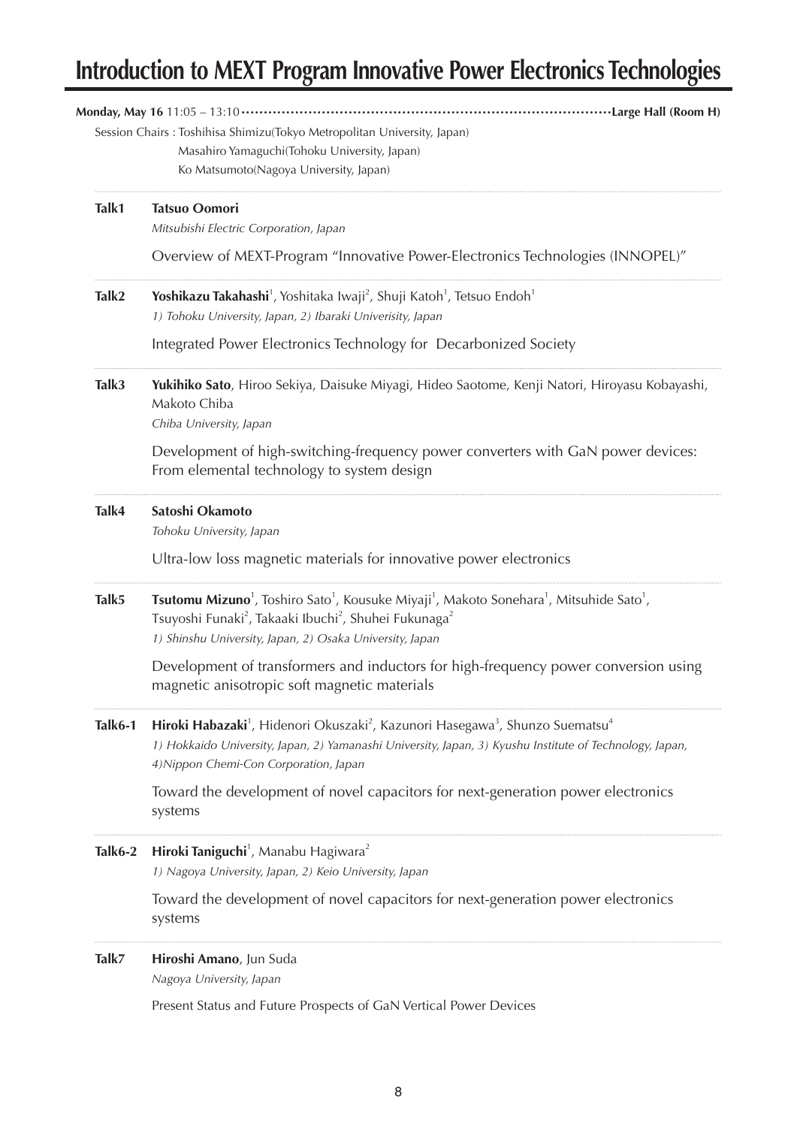# **Introduction to MEXT Program Innovative Power Electronics Technologies**

|         | Large Hall (Room H)<br>Session Chairs : Toshihisa Shimizu(Tokyo Metropolitan University, Japan)<br>Masahiro Yamaguchi(Tohoku University, Japan)<br>Ko Matsumoto(Nagoya University, Japan)                                                                                           |
|---------|-------------------------------------------------------------------------------------------------------------------------------------------------------------------------------------------------------------------------------------------------------------------------------------|
| Talk1   | <b>Tatsuo Oomori</b><br>Mitsubishi Electric Corporation, Japan                                                                                                                                                                                                                      |
|         | Overview of MEXT-Program "Innovative Power-Electronics Technologies (INNOPEL)"                                                                                                                                                                                                      |
| Talk2   | Yoshikazu Takahashi <sup>1</sup> , Yoshitaka Iwaji <sup>2</sup> , Shuji Katoh <sup>1</sup> , Tetsuo Endoh <sup>1</sup><br>1) Tohoku University, Japan, 2) Ibaraki Univerisity, Japan                                                                                                |
|         | Integrated Power Electronics Technology for Decarbonized Society                                                                                                                                                                                                                    |
| Talk3   | Yukihiko Sato, Hiroo Sekiya, Daisuke Miyagi, Hideo Saotome, Kenji Natori, Hiroyasu Kobayashi,<br>Makoto Chiba<br>Chiba University, Japan                                                                                                                                            |
|         | Development of high-switching-frequency power converters with GaN power devices:<br>From elemental technology to system design                                                                                                                                                      |
| Talk4   | Satoshi Okamoto<br>Tohoku University, Japan                                                                                                                                                                                                                                         |
|         | Ultra-low loss magnetic materials for innovative power electronics                                                                                                                                                                                                                  |
| Talk5   | <b>Tsutomu Mizuno</b> <sup>1</sup> , Toshiro Sato <sup>1</sup> , Kousuke Miyaji <sup>1</sup> , Makoto Sonehara <sup>1</sup> , Mitsuhide Sato <sup>1</sup> ,<br>Tsuyoshi Funaki <sup>2</sup> , Takaaki Ibuchi <sup>2</sup> , Shuhei Fukunaga <sup>2</sup>                            |
|         | 1) Shinshu University, Japan, 2) Osaka University, Japan<br>Development of transformers and inductors for high-frequency power conversion using<br>magnetic anisotropic soft magnetic materials                                                                                     |
| Talk6-1 | Hiroki Habazaki <sup>1</sup> , Hidenori Okuszaki <sup>2</sup> , Kazunori Hasegawa <sup>3</sup> , Shunzo Suematsu <sup>4</sup><br>1) Hokkaido University, Japan, 2) Yamanashi University, Japan, 3) Kyushu Institute of Technology, Japan,<br>4) Nippon Chemi-Con Corporation, Japan |
|         | Toward the development of novel capacitors for next-generation power electronics<br>systems                                                                                                                                                                                         |
| Talk6-2 | Hiroki Taniguchi <sup>1</sup> , Manabu Hagiwara <sup>2</sup><br>1) Nagoya University, Japan, 2) Keio University, Japan                                                                                                                                                              |
|         | Toward the development of novel capacitors for next-generation power electronics<br>systems                                                                                                                                                                                         |
| Talk7   | Hiroshi Amano, Jun Suda<br>Nagoya University, Japan                                                                                                                                                                                                                                 |
|         | Present Status and Future Prospects of GaN Vertical Power Devices                                                                                                                                                                                                                   |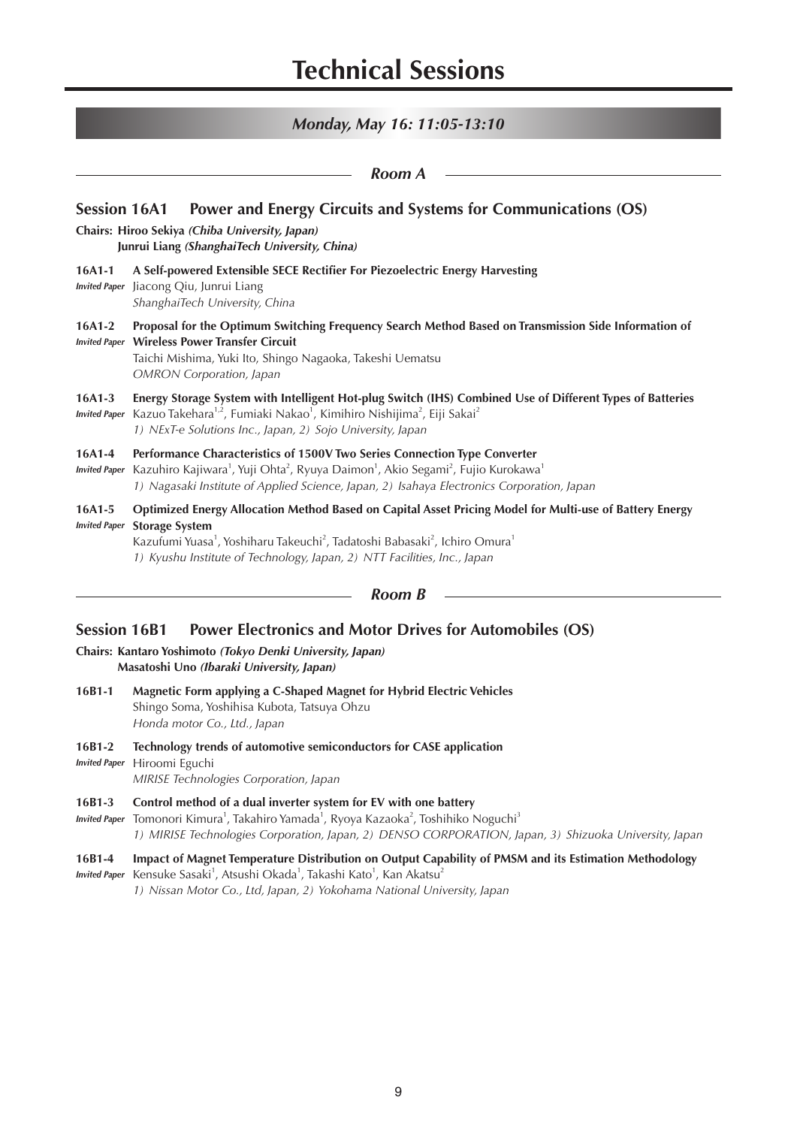*Monday, May 16: 11:05-13:10*

|                                                                                                                                                                                         | Room A                                                                                                                                                                                                                                                                                                                                      |  |
|-----------------------------------------------------------------------------------------------------------------------------------------------------------------------------------------|---------------------------------------------------------------------------------------------------------------------------------------------------------------------------------------------------------------------------------------------------------------------------------------------------------------------------------------------|--|
| Power and Energy Circuits and Systems for Communications (OS)<br><b>Session 16A1</b><br>Chairs: Hiroo Sekiya (Chiba University, Japan)<br>Junrui Liang (ShanghaiTech University, China) |                                                                                                                                                                                                                                                                                                                                             |  |
| $16A1-1$<br><b>Invited Paper</b>                                                                                                                                                        | A Self-powered Extensible SECE Rectifier For Piezoelectric Energy Harvesting<br>Jiacong Qiu, Junrui Liang<br>ShanghaiTech University, China                                                                                                                                                                                                 |  |
| $16A1-2$                                                                                                                                                                                | Proposal for the Optimum Switching Frequency Search Method Based on Transmission Side Information of<br><b>Invited Paper Wireless Power Transfer Circuit</b><br>Taichi Mishima, Yuki Ito, Shingo Nagaoka, Takeshi Uematsu<br><b>OMRON</b> Corporation, Japan                                                                                |  |
| $16A1-3$<br><b>Invited Paper</b>                                                                                                                                                        | Energy Storage System with Intelligent Hot-plug Switch (IHS) Combined Use of Different Types of Batteries<br>Kazuo Takehara <sup>1,2</sup> , Fumiaki Nakao <sup>1</sup> , Kimihiro Nishijima <sup>2</sup> , Eiji Sakai <sup>2</sup><br>1) NExT-e Solutions Inc., Japan, 2) Sojo University, Japan                                           |  |
| $16A1-4$<br><b>Invited Paper</b>                                                                                                                                                        | Performance Characteristics of 1500V Two Series Connection Type Converter<br>Kazuhiro Kajiwara <sup>1</sup> , Yuji Ohta <sup>2</sup> , Ryuya Daimon <sup>1</sup> , Akio Segami <sup>2</sup> , Fujio Kurokawa <sup>1</sup><br>1) Nagasaki Institute of Applied Science, Japan, 2) Isahaya Electronics Corporation, Japan                     |  |
| $16A1-5$<br><b>Invited Paper</b>                                                                                                                                                        | Optimized Energy Allocation Method Based on Capital Asset Pricing Model for Multi-use of Battery Energy<br><b>Storage System</b><br>Kazufumi Yuasa <sup>1</sup> , Yoshiharu Takeuchi <sup>2</sup> , Tadatoshi Babasaki <sup>2</sup> , Ichiro Omura <sup>1</sup><br>1) Kyushu Institute of Technology, Japan, 2) NTT Facilities, Inc., Japan |  |
|                                                                                                                                                                                         | Room B                                                                                                                                                                                                                                                                                                                                      |  |

# **Session 16B1 Power Electronics and Motor Drives for Automobiles (OS)**

- **Chairs: Kantaro Yoshimoto** *(Tokyo Denki University, Japan)* **Masatoshi Uno** *(Ibaraki University, Japan)*
- **16B1-1 Magnetic Form applying a C-Shaped Magnet for Hybrid Electric Vehicles** Shingo Soma, Yoshihisa Kubota, Tatsuya Ohzu *Honda motor Co., Ltd., Japan*
- **16B1-2 Technology trends of automotive semiconductors for CASE application** *Invited Paper* Hiroomi Eguchi *MIRISE Technologies Corporation, Japan*
- **16B1-3 Control method of a dual inverter system for EV with one battery** I*nvited Paper* Tomonori Kimura<sup>1</sup>, Takahiro Yamada<sup>1</sup>, Ryoya Kazaoka<sup>2</sup>, Toshihiko Noguchi<sup>3</sup>
	- *1) MIRISE Technologies Corporation, Japan, 2) DENSO CORPORATION, Japan, 3) Shizuoka University, Japan*

## **16B1-4 Impact of Magnet Temperature Distribution on Output Capability of PMSM and its Estimation Methodology**

Invited Paper Kensuke Sasaki<sup>1</sup>, Atsushi Okada<sup>1</sup>, Takashi Kato<sup>1</sup>, Kan Akatsu<sup>2</sup>

*1) Nissan Motor Co., Ltd, Japan, 2) Yokohama National University, Japan*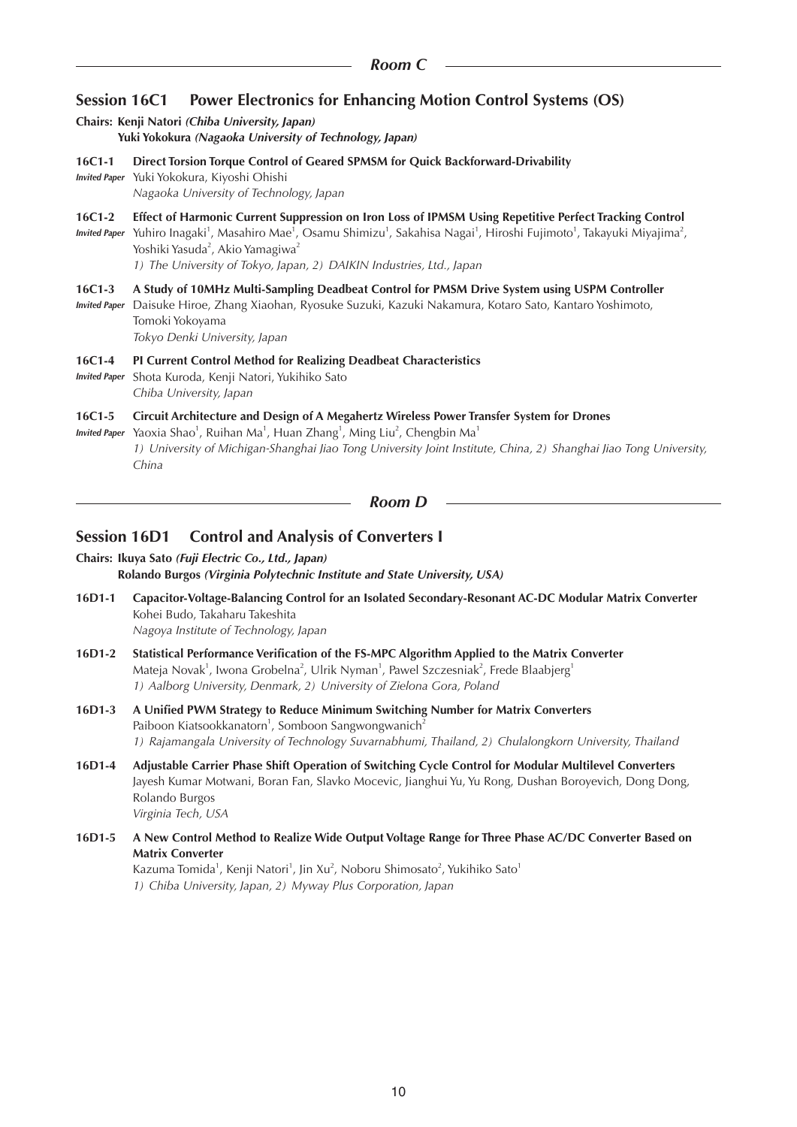# **Session 16C1 Power Electronics for Enhancing Motion Control Systems (OS)**

# **Chairs: Kenji Natori** *(Chiba University, Japan)*

**Yuki Yokokura** *(Nagaoka University of Technology, Japan)*

**16C1-1 Direct Torsion Torque Control of Geared SPMSM for Quick Backforward-Drivability**

*Invited Paper* Yuki Yokokura, Kiyoshi Ohishi *Nagaoka University of Technology, Japan*

**16C1-2 Effect of Harmonic Current Suppression on Iron Loss of IPMSM Using Repetitive Perfect Tracking Control**

Invited Paper Yuhiro Inagaki<sup>1</sup>, Masahiro Mae<sup>1</sup>, Osamu Shimizu<sup>1</sup>, Sakahisa Nagai<sup>1</sup>, Hiroshi Fujimoto<sup>1</sup>, Takayuki Miyajima<sup>2</sup>, Yoshiki Yasuda<sup>2</sup>, Akio Yamagiwa<sup>2</sup>

*1) The University of Tokyo, Japan, 2) DAIKIN Industries, Ltd., Japan*

#### **16C1-3 A Study of 10MHz Multi-Sampling Deadbeat Control for PMSM Drive System using USPM Controller**

*Invited Paper* Daisuke Hiroe, Zhang Xiaohan, Ryosuke Suzuki, Kazuki Nakamura, Kotaro Sato, Kantaro Yoshimoto, Tomoki Yokoyama *Tokyo Denki University, Japan*

**16C1-4 PI Current Control Method for Realizing Deadbeat Characteristics**

*Invited Paper* Shota Kuroda, Kenji Natori, Yukihiko Sato *Chiba University, Japan*

#### **16C1-5 Circuit Architecture and Design of A Megahertz Wireless Power Transfer System for Drones**

Invited Paper Yaoxia Shao<sup>1</sup>, Ruihan Ma<sup>1</sup>, Huan Zhang<sup>1</sup>, Ming Liu<sup>2</sup>, Chengbin Ma<sup>1</sup> *1) University of Michigan-Shanghai Jiao Tong University Joint Institute, China, 2) Shanghai Jiao Tong University, China*

*Room D*

## **Session 16D1 Control and Analysis of Converters I**

**Chairs: Ikuya Sato** *(Fuji Electric Co., Ltd., Japan)* **Rolando Burgos** *(Virginia Polytechnic Institute and State University, USA)*

- **16D1-1 Capacitor-Voltage-Balancing Control for an Isolated Secondary-Resonant AC-DC Modular Matrix Converter** Kohei Budo, Takaharu Takeshita *Nagoya Institute of Technology, Japan*
- **16D1-2 Statistical Performance Verification of the FS-MPC Algorithm Applied to the Matrix Converter** Mateja Novak<sup>1</sup>, Iwona Grobelna<sup>2</sup>, Ulrik Nyman<sup>1</sup>, Pawel Szczesniak<sup>2</sup>, Frede Blaabjerg<sup>1</sup> *1) Aalborg University, Denmark, 2) University of Zielona Gora, Poland*
- **16D1-3 A Unified PWM Strategy to Reduce Minimum Switching Number for Matrix Converters** Paiboon Kiatsookkanatorn<sup>1</sup>, Somboon Sangwongwanich<sup>2</sup> *1) Rajamangala University of Technology Suvarnabhumi, Thailand, 2) Chulalongkorn University, Thailand*
- **16D1-4 Adjustable Carrier Phase Shift Operation of Switching Cycle Control for Modular Multilevel Converters** Jayesh Kumar Motwani, Boran Fan, Slavko Mocevic, Jianghui Yu, Yu Rong, Dushan Boroyevich, Dong Dong, Rolando Burgos *Virginia Tech, USA*
- **16D1-5 A New Control Method to Realize Wide Output Voltage Range for Three Phase AC/DC Converter Based on Matrix Converter**

Kazuma Tomida<sup>1</sup>, Kenji Natori<sup>1</sup>, Jin Xu<sup>2</sup>, Noboru Shimosato<sup>2</sup>, Yukihiko Sato<sup>1</sup> *1) Chiba University, Japan, 2) Myway Plus Corporation, Japan*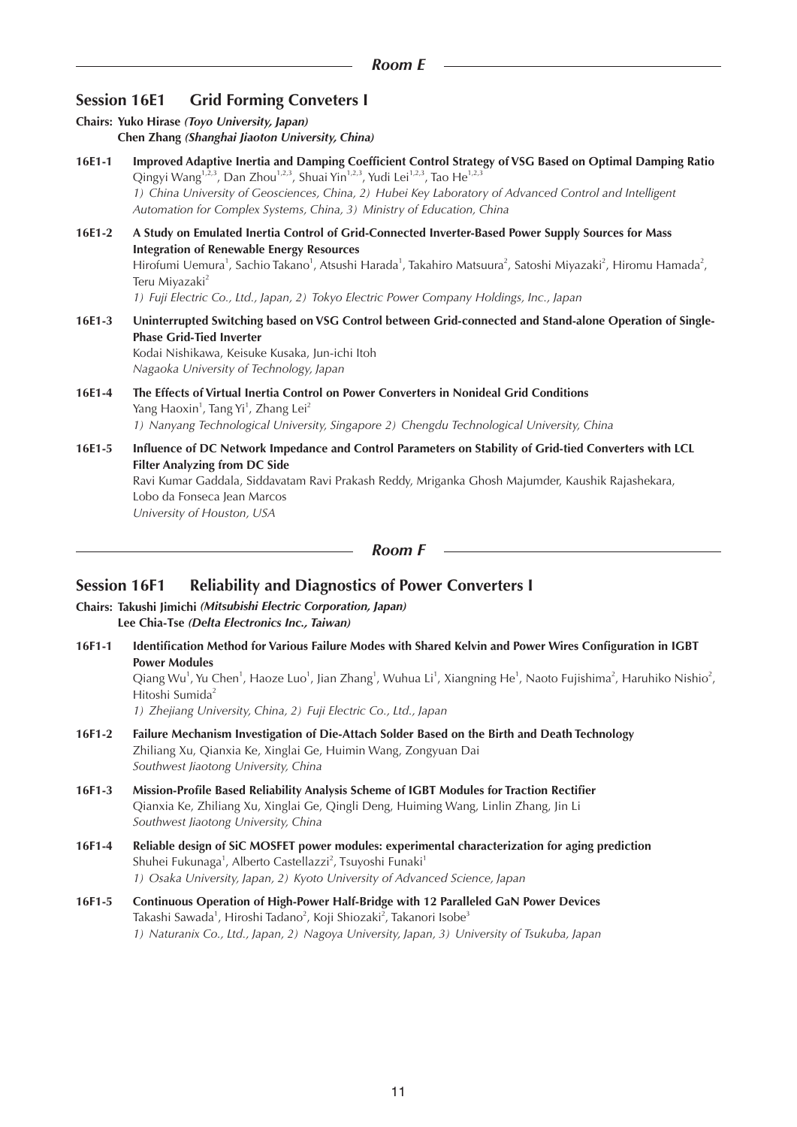# **Session 16E1 Grid Forming Conveters I**

**Chairs: Yuko Hirase** *(Toyo University, Japan)* **Chen Zhang** *(Shanghai Jiaoton University, China)* **16E1-1 Improved Adaptive Inertia and Damping Coefficient Control Strategy of VSG Based on Optimal Damping Ratio** Qingyi Wang<sup>1,2,3</sup>, Dan Zhou<sup>1,2,3</sup>, Shuai Yin<sup>1,2,3</sup>, Yudi Lei<sup>1,2,3</sup>, Tao He<sup>1,2,3</sup> *1) China University of Geosciences, China, 2) Hubei Key Laboratory of Advanced Control and Intelligent Automation for Complex Systems, China, 3) Ministry of Education, China* **16E1-2 A Study on Emulated Inertia Control of Grid-Connected Inverter-Based Power Supply Sources for Mass Integration of Renewable Energy Resources** Hirofumi Uemura<sup>1</sup>, Sachio Takano<sup>1</sup>, Atsushi Harada<sup>1</sup>, Takahiro Matsuura<sup>2</sup>, Satoshi Miyazaki<sup>2</sup>, Hiromu Hamada<sup>2</sup>, Teru Miyazaki<sup>2</sup> *1) Fuji Electric Co., Ltd., Japan, 2) Tokyo Electric Power Company Holdings, Inc., Japan* **16E1-3 Uninterrupted Switching based on VSG Control between Grid-connected and Stand-alone Operation of Single-Phase Grid-Tied Inverter** Kodai Nishikawa, Keisuke Kusaka, Jun-ichi Itoh *Nagaoka University of Technology, Japan* **16E1-4 The Effects of Virtual Inertia Control on Power Converters in Nonideal Grid Conditions** Yang Haoxin<sup>1</sup>, Tang Yi<sup>1</sup>, Zhang Lei<sup>2</sup> *1) Nanyang Technological University, Singapore 2) Chengdu Technological University, China* **16E1-5 Influence of DC Network Impedance and Control Parameters on Stability of Grid-tied Converters with LCL Filter Analyzing from DC Side** Ravi Kumar Gaddala, Siddavatam Ravi Prakash Reddy, Mriganka Ghosh Majumder, Kaushik Rajashekara, Lobo da Fonseca Jean Marcos *University of Houston, USA*

*Room F*

## **Session 16F1 Reliability and Diagnostics of Power Converters I**

- **Chairs: Takushi Jimichi** *(Mitsubishi Electric Corporation, Japan)* **Lee Chia-Tse** *(Delta Electronics Inc., Taiwan)*
- **16F1-1 Identification Method for Various Failure Modes with Shared Kelvin and Power Wires Configuration in IGBT Power Modules**

Qiang Wu<sup>1</sup>, Yu Chen<sup>1</sup>, Haoze Luo<sup>1</sup>, Jian Zhang<sup>1</sup>, Wuhua Li<sup>1</sup>, Xiangning He<sup>1</sup>, Naoto Fujishima<sup>2</sup>, Haruhiko Nishio<sup>2</sup>, Hitoshi Sumida<sup>2</sup>

*1) Zhejiang University, China, 2) Fuji Electric Co., Ltd., Japan*

- **16F1-2 Failure Mechanism Investigation of Die-Attach Solder Based on the Birth and Death Technology** Zhiliang Xu, Qianxia Ke, Xinglai Ge, Huimin Wang, Zongyuan Dai *Southwest Jiaotong University, China*
- **16F1-3 Mission-Profile Based Reliability Analysis Scheme of IGBT Modules for Traction Rectifier** Qianxia Ke, Zhiliang Xu, Xinglai Ge, Qingli Deng, Huiming Wang, Linlin Zhang, Jin Li *Southwest Jiaotong University, China*
- **16F1-4 Reliable design of SiC MOSFET power modules: experimental characterization for aging prediction** Shuhei Fukunaga<sup>1</sup>, Alberto Castellazzi<sup>2</sup>, Tsuyoshi Funaki<sup>1</sup> *1) Osaka University, Japan, 2) Kyoto University of Advanced Science, Japan*
- **16F1-5 Continuous Operation of High-Power Half-Bridge with 12 Paralleled GaN Power Devices**  Takashi Sawada<sup>1</sup>, Hiroshi Tadano<sup>2</sup>, Koji Shiozaki<sup>2</sup>, Takanori Isobe<sup>3</sup> *1) Naturanix Co., Ltd., Japan, 2) Nagoya University, Japan, 3) University of Tsukuba, Japan*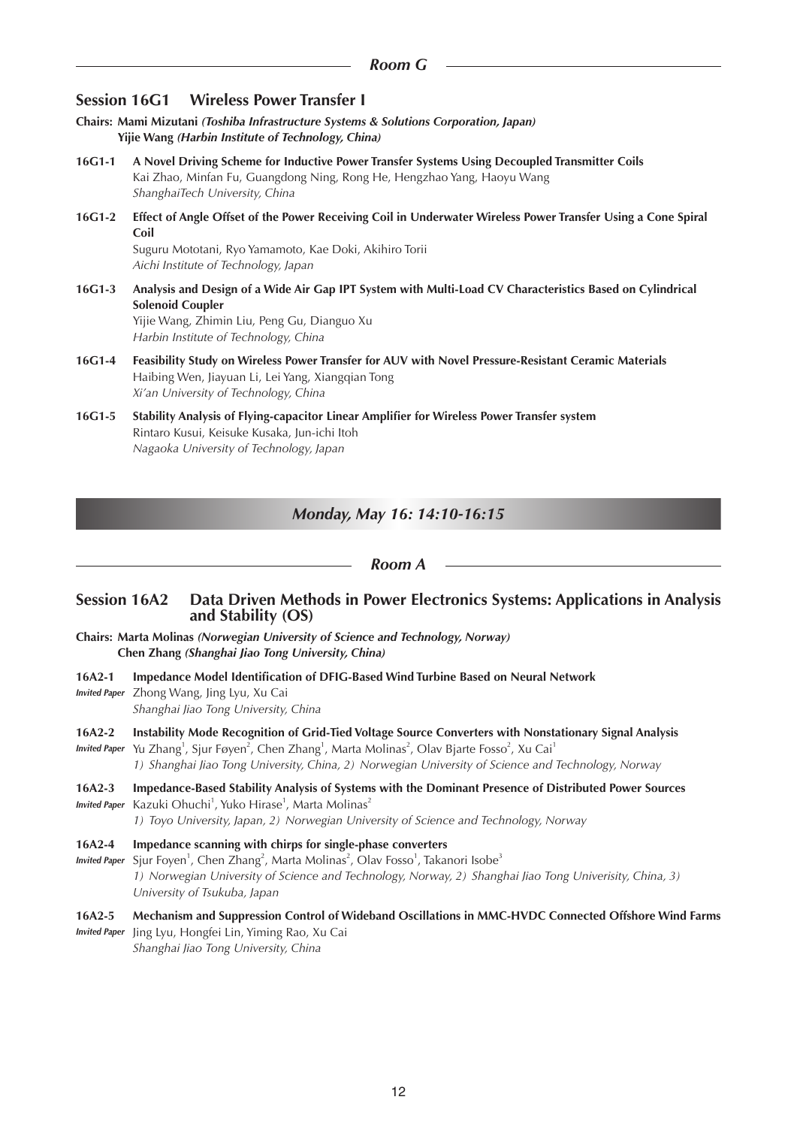# **Session 16G1 Wireless Power Transfer I**

- **Chairs: Mami Mizutani** *(Toshiba Infrastructure Systems & Solutions Corporation, Japan)* **Yijie Wang** *(Harbin Institute of Technology, China)*
- **16G1-1 A Novel Driving Scheme for Inductive Power Transfer Systems Using Decoupled Transmitter Coils** Kai Zhao, Minfan Fu, Guangdong Ning, Rong He, Hengzhao Yang, Haoyu Wang *ShanghaiTech University, China*
- **16G1-2 Effect of Angle Offset of the Power Receiving Coil in Underwater Wireless Power Transfer Using a Cone Spiral Coil**

Suguru Mototani, Ryo Yamamoto, Kae Doki, Akihiro Torii *Aichi Institute of Technology, Japan*

**16G1-3 Analysis and Design of a Wide Air Gap IPT System with Multi-Load CV Characteristics Based on Cylindrical Solenoid Coupler**

Yijie Wang, Zhimin Liu, Peng Gu, Dianguo Xu *Harbin Institute of Technology, China*

- **16G1-4 Feasibility Study on Wireless Power Transfer for AUV with Novel Pressure-Resistant Ceramic Materials** Haibing Wen, Jiayuan Li, Lei Yang, Xiangqian Tong *Xi'an University of Technology, China*
- **16G1-5 Stability Analysis of Flying-capacitor Linear Amplifier for Wireless Power Transfer system** Rintaro Kusui, Keisuke Kusaka, Jun-ichi Itoh *Nagaoka University of Technology, Japan*

## *Monday, May 16: 14:10-16:15*

## *Room A*

## **Session 16A2 Data Driven Methods in Power Electronics Systems: Applications in Analysis and Stability (OS)**

- **Chairs: Marta Molinas** *(Norwegian University of Science and Technology, Norway)* **Chen Zhang** *(Shanghai Jiao Tong University, China)*
- **16A2-1 Impedance Model Identification of DFIG-Based Wind Turbine Based on Neural Network** *Invited Paper* Zhong Wang, Jing Lyu, Xu Cai

*Shanghai Jiao Tong University, China*

**16A2-2 Instability Mode Recognition of Grid-Tied Voltage Source Converters with Nonstationary Signal Analysis**  Invited Paper Yu Zhang<sup>1</sup>, Sjur Føyen<sup>2</sup>, Chen Zhang<sup>1</sup>, Marta Molinas<sup>2</sup>, Olav Bjarte Fosso<sup>2</sup>, Xu Cai<sup>1</sup>

*1) Shanghai Jiao Tong University, China, 2) Norwegian University of Science and Technology, Norway*

**16A2-3 Impedance-Based Stability Analysis of Systems with the Dominant Presence of Distributed Power Sources** *Invited Paper* Kazuki Ohuchi<sup>1</sup>, Yuko Hirase<sup>1</sup>, Marta Molinas<sup>2</sup>

*1) Toyo University, Japan, 2) Norwegian University of Science and Technology, Norway*

- **16A2-4 Impedance scanning with chirps for single-phase converters**
- *Invited Paper* Sjur Foyen<sup>1</sup>, Chen Zhang<sup>2</sup>, Marta Molinas<sup>2</sup>, Olav Fosso<sup>1</sup>, Takanori Isobe<sup>3</sup> *1) Norwegian University of Science and Technology, Norway, 2) Shanghai Jiao Tong Univerisity, China, 3) University of Tsukuba, Japan*

# **16A2-5 Mechanism and Suppression Control of Wideband Oscillations in MMC-HVDC Connected Offshore Wind Farms**

*Invited Paper* Jing Lyu, Hongfei Lin, Yiming Rao, Xu Cai *Shanghai Jiao Tong University, China*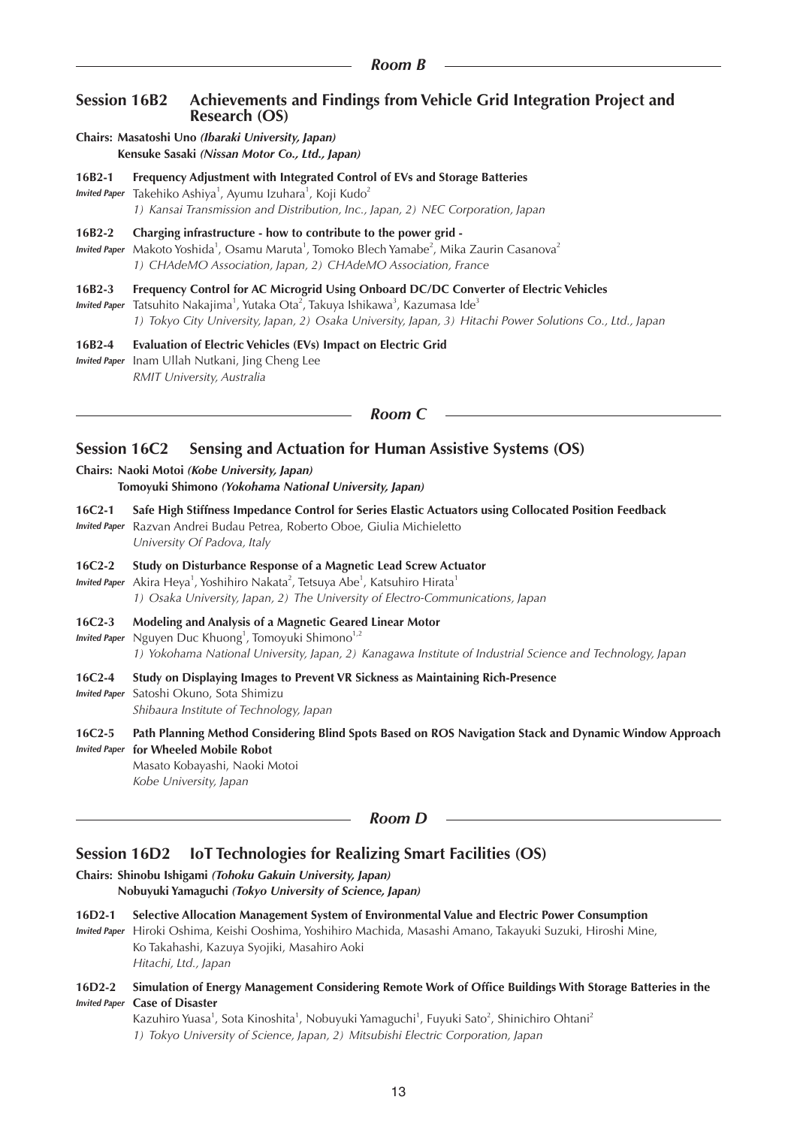## **Session 16B2 Achievements and Findings from Vehicle Grid Integration Project and Research (OS)**

- **Chairs: Masatoshi Uno** *(Ibaraki University, Japan)* **Kensuke Sasaki** *(Nissan Motor Co., Ltd., Japan)*
- **16B2-1 Frequency Adjustment with Integrated Control of EVs and Storage Batteries** *Invited Paper* Takehiko Ashiya<sup>1</sup>, Ayumu Izuhara<sup>1</sup>, Koji Kudo<sup>2</sup>

*1) Kansai Transmission and Distribution, Inc., Japan, 2) NEC Corporation, Japan*

#### **16B2-2 Charging infrastructure - how to contribute to the power grid -**

Invited Paper Makoto Yoshida<sup>1</sup>, Osamu Maruta<sup>1</sup>, Tomoko Blech Yamabe<sup>2</sup>, Mika Zaurin Casanova<sup>2</sup> *1) CHAdeMO Association, Japan, 2) CHAdeMO Association, France*

## **16B2-3 Frequency Control for AC Microgrid Using Onboard DC/DC Converter of Electric Vehicles**

*Invited Paper* Tatsuhito Nakajima<sup>1</sup>, Yutaka Ota<sup>2</sup>, Takuya Ishikawa<sup>3</sup>, Kazumasa Ide<sup>3</sup> *1) Tokyo City University, Japan, 2) Osaka University, Japan, 3) Hitachi Power Solutions Co., Ltd., Japan*

#### **16B2-4 Evaluation of Electric Vehicles (EVs) Impact on Electric Grid** *Invited Paper* Inam Ullah Nutkani, Jing Cheng Lee *RMIT University, Australia*

#### *Room C*

# **Session 16C2 Sensing and Actuation for Human Assistive Systems (OS)**

#### **Chairs: Naoki Motoi** *(Kobe University, Japan)* **Tomoyuki Shimono** *(Yokohama National University, Japan)*

**16C2-1 Safe High Stiffness Impedance Control for Series Elastic Actuators using Collocated Position Feedback** *Invited Paper* Razvan Andrei Budau Petrea, Roberto Oboe, Giulia Michieletto *University Of Padova, Italy*

#### **16C2-2 Study on Disturbance Response of a Magnetic Lead Screw Actuator**

*Invited Paper* Akira Heya<sup>1</sup>, Yoshihiro Nakata<sup>2</sup>, Tetsuya Abe<sup>1</sup>, Katsuhiro Hirata<sup>1</sup>

*1) Osaka University, Japan, 2) The University of Electro-Communications, Japan*

## **16C2-3 Modeling and Analysis of a Magnetic Geared Linear Motor**

*Invited Paper* Nguyen Duc Khuong<sup>1</sup>, Tomoyuki Shimono<sup>1,2</sup> *1) Yokohama National University, Japan, 2) Kanagawa Institute of Industrial Science and Technology, Japan*

#### **16C2-4 Study on Displaying Images to Prevent VR Sickness as Maintaining Rich-Presence**

*Invited Paper* Satoshi Okuno, Sota Shimizu

*Shibaura Institute of Technology, Japan*

#### **16C2-5 Path Planning Method Considering Blind Spots Based on ROS Navigation Stack and Dynamic Window Approach**  *Invited Paper* **for Wheeled Mobile Robot**

Masato Kobayashi, Naoki Motoi *Kobe University, Japan*

## *Room D*

# **Session 16D2 IoT Technologies for Realizing Smart Facilities (OS)**

#### **Chairs: Shinobu Ishigami** *(Tohoku Gakuin University, Japan)* **Nobuyuki Yamaguchi** *(Tokyo University of Science, Japan)*

## **16D2-1 Selective Allocation Management System of Environmental Value and Electric Power Consumption**

*Invited Paper* Hiroki Oshima, Keishi Ooshima, Yoshihiro Machida, Masashi Amano, Takayuki Suzuki, Hiroshi Mine, Ko Takahashi, Kazuya Syojiki, Masahiro Aoki *Hitachi, Ltd., Japan*

## **16D2-2 Simulation of Energy Management Considering Remote Work of Office Buildings With Storage Batteries in the**  *Invited Paper* **Case of Disaster**

Kazuhiro Yuasa<sup>1</sup>, Sota Kinoshita<sup>1</sup>, Nobuyuki Yamaguchi<sup>1</sup>, Fuyuki Sato<sup>2</sup>, Shinichiro Ohtani<sup>2</sup> *1) Tokyo University of Science, Japan, 2) Mitsubishi Electric Corporation, Japan*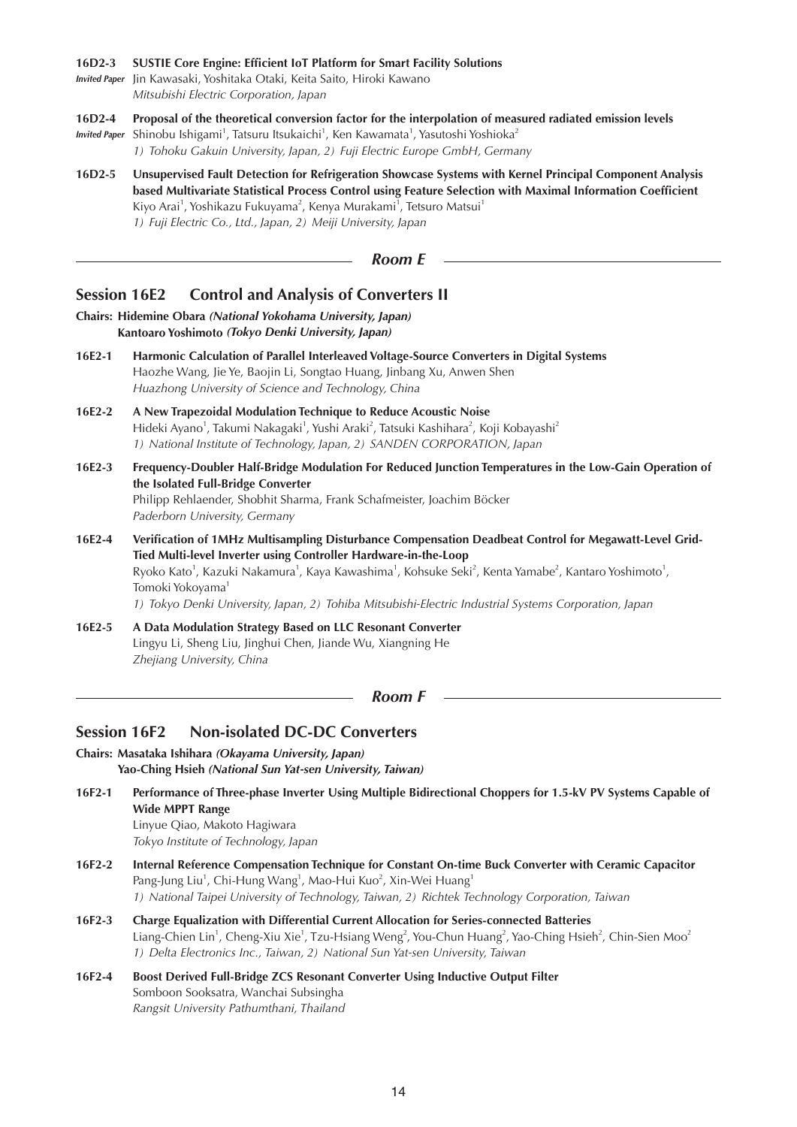#### **16D2-3 SUSTIE Core Engine: Efficient IoT Platform for Smart Facility Solutions**

*Invited Paper* Jin Kawasaki, Yoshitaka Otaki, Keita Saito, Hiroki Kawano *Mitsubishi Electric Corporation, Japan*

**16D2-4 Proposal of the theoretical conversion factor for the interpolation of measured radiated emission levels**

Invited Paper Shinobu Ishigami<sup>1</sup>, Tatsuru Itsukaichi<sup>1</sup>, Ken Kawamata<sup>1</sup>, Yasutoshi Yoshioka<sup>2</sup> *1) Tohoku Gakuin University, Japan, 2) Fuji Electric Europe GmbH, Germany*

**16D2-5 Unsupervised Fault Detection for Refrigeration Showcase Systems with Kernel Principal Component Analysis based Multivariate Statistical Process Control using Feature Selection with Maximal Information Coefficient** Kiyo Arai<sup>1</sup>, Yoshikazu Fukuyama<sup>2</sup>, Kenya Murakami<sup>1</sup>, Tetsuro Matsui<sup>1</sup> *1) Fuji Electric Co., Ltd., Japan, 2) Meiji University, Japan*

*Room E*

# **Session 16E2 Control and Analysis of Converters II**

#### **Chairs: Hidemine Obara** *(National Yokohama University, Japan)* **Kantoaro Yoshimoto** *(Tokyo Denki University, Japan)*

- **16E2-1 Harmonic Calculation of Parallel Interleaved Voltage-Source Converters in Digital Systems** Haozhe Wang, Jie Ye, Baojin Li, Songtao Huang, Jinbang Xu, Anwen Shen *Huazhong University of Science and Technology, China*
- **16E2-2 A New Trapezoidal Modulation Technique to Reduce Acoustic Noise** Hideki Ayano<sup>1</sup>, Takumi Nakagaki<sup>1</sup>, Yushi Araki<sup>2</sup>, Tatsuki Kashihara<sup>2</sup>, Koji Kobayashi<sup>2</sup> *1) National Institute of Technology, Japan, 2) SANDEN CORPORATION, Japan*
- **16E2-3 Frequency-Doubler Half-Bridge Modulation For Reduced Junction Temperatures in the Low-Gain Operation of the Isolated Full-Bridge Converter** Philipp Rehlaender, Shobhit Sharma, Frank Schafmeister, Joachim Böcker *Paderborn University, Germany*
- **16E2-4 Verification of 1MHz Multisampling Disturbance Compensation Deadbeat Control for Megawatt-Level Grid-Tied Multi-level Inverter using Controller Hardware-in-the-Loop** Ryoko Kato<sup>1</sup>, Kazuki Nakamura<sup>1</sup>, Kaya Kawashima<sup>1</sup>, Kohsuke Seki<sup>2</sup>, Kenta Yamabe<sup>2</sup>, Kantaro Yoshimoto<sup>1</sup>, Tomoki Yokoyama<sup>1</sup> *1) Tokyo Denki University, Japan, 2) Tohiba Mitsubishi-Electric Industrial Systems Corporation, Japan*
- **16E2-5 A Data Modulation Strategy Based on LLC Resonant Converter** Lingyu Li, Sheng Liu, Jinghui Chen, Jiande Wu, Xiangning He *Zhejiang University, China*

*Room F*

# **Session 16F2 Non-isolated DC-DC Converters**

**Chairs: Masataka Ishihara** *(Okayama University, Japan)* **Yao-Ching Hsieh** *(National Sun Yat-sen University, Taiwan)*

**16F2-1 Performance of Three-phase Inverter Using Multiple Bidirectional Choppers for 1.5-kV PV Systems Capable of Wide MPPT Range** Linyue Qiao, Makoto Hagiwara

*Tokyo Institute of Technology, Japan*

- **16F2-2 Internal Reference Compensation Technique for Constant On-time Buck Converter with Ceramic Capacitor** Pang-Jung Liu<sup>1</sup>, Chi-Hung Wang<sup>1</sup>, Mao-Hui Kuo<sup>2</sup>, Xin-Wei Huang<sup>1</sup> *1) National Taipei University of Technology, Taiwan, 2) Richtek Technology Corporation, Taiwan*
- **16F2-3 Charge Equalization with Differential Current Allocation for Series-connected Batteries** Liang-Chien Lin<sup>1</sup>, Cheng-Xiu Xie<sup>1</sup>, Tzu-Hsiang Weng<sup>2</sup>, You-Chun Huang<sup>2</sup>, Yao-Ching Hsieh<sup>2</sup>, Chin-Sien Moo<sup>2</sup> *1) Delta Electronics Inc., Taiwan, 2) National Sun Yat-sen University, Taiwan*
- **16F2-4 Boost Derived Full-Bridge ZCS Resonant Converter Using Inductive Output Filter** Somboon Sooksatra, Wanchai Subsingha *Rangsit University Pathumthani, Thailand*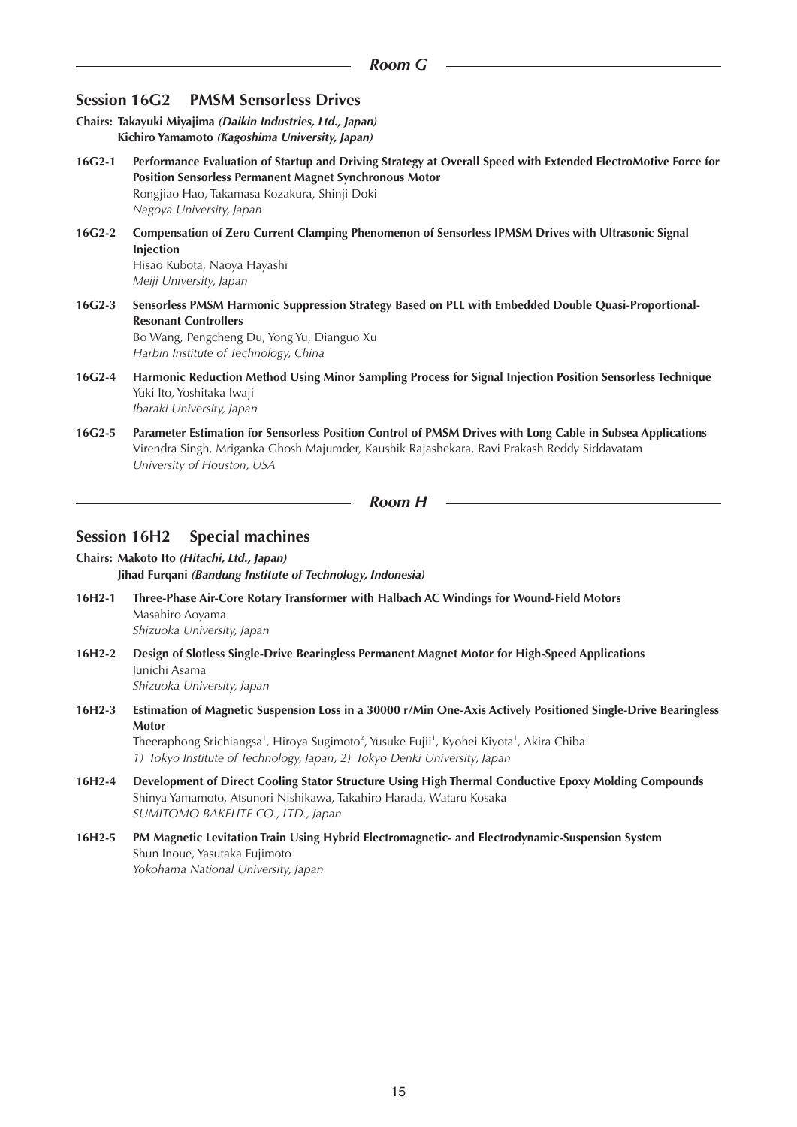# **Session 16G2 PMSM Sensorless Drives**

- **Chairs: Takayuki Miyajima** *(Daikin Industries, Ltd., Japan)* **Kichiro Yamamoto** *(Kagoshima University, Japan)*
- **16G2-1 Performance Evaluation of Startup and Driving Strategy at Overall Speed with Extended ElectroMotive Force for Position Sensorless Permanent Magnet Synchronous Motor** Rongjiao Hao, Takamasa Kozakura, Shinji Doki *Nagoya University, Japan*
- **16G2-2 Compensation of Zero Current Clamping Phenomenon of Sensorless IPMSM Drives with Ultrasonic Signal Injection** Hisao Kubota, Naoya Hayashi *Meiji University, Japan*
- **16G2-3 Sensorless PMSM Harmonic Suppression Strategy Based on PLL with Embedded Double Quasi-Proportional-Resonant Controllers** Bo Wang, Pengcheng Du, Yong Yu, Dianguo Xu *Harbin Institute of Technology, China*
- **16G2-4 Harmonic Reduction Method Using Minor Sampling Process for Signal Injection Position Sensorless Technique**  Yuki Ito, Yoshitaka Iwaji *Ibaraki University, Japan*
- **16G2-5 Parameter Estimation for Sensorless Position Control of PMSM Drives with Long Cable in Subsea Applications** Virendra Singh, Mriganka Ghosh Majumder, Kaushik Rajashekara, Ravi Prakash Reddy Siddavatam *University of Houston, USA*

*Room H*

## **Session 16H2 Special machines**

- **Chairs: Makoto Ito** *(Hitachi, Ltd., Japan)* **Jihad Furqani** *(Bandung Institute of Technology, Indonesia)*
- **16H2-1 Three-Phase Air-Core Rotary Transformer with Halbach AC Windings for Wound-Field Motors** Masahiro Aoyama *Shizuoka University, Japan*
- **16H2-2 Design of Slotless Single-Drive Bearingless Permanent Magnet Motor for High-Speed Applications** Junichi Asama *Shizuoka University, Japan*
- **16H2-3 Estimation of Magnetic Suspension Loss in a 30000 r/Min One-Axis Actively Positioned Single-Drive Bearingless Motor**

Theeraphong Srichiangsa $^1$ , Hiroya Sugimoto $^2$ , Yusuke Fujii $^1$ , Kyohei Kiyota $^1$ , Akira Chiba $^1$ *1) Tokyo Institute of Technology, Japan, 2) Tokyo Denki University, Japan*

- **16H2-4 Development of Direct Cooling Stator Structure Using High Thermal Conductive Epoxy Molding Compounds** Shinya Yamamoto, Atsunori Nishikawa, Takahiro Harada, Wataru Kosaka *SUMITOMO BAKELITE CO., LTD., Japan*
- **16H2-5 PM Magnetic Levitation Train Using Hybrid Electromagnetic- and Electrodynamic-Suspension System** Shun Inoue, Yasutaka Fujimoto *Yokohama National University, Japan*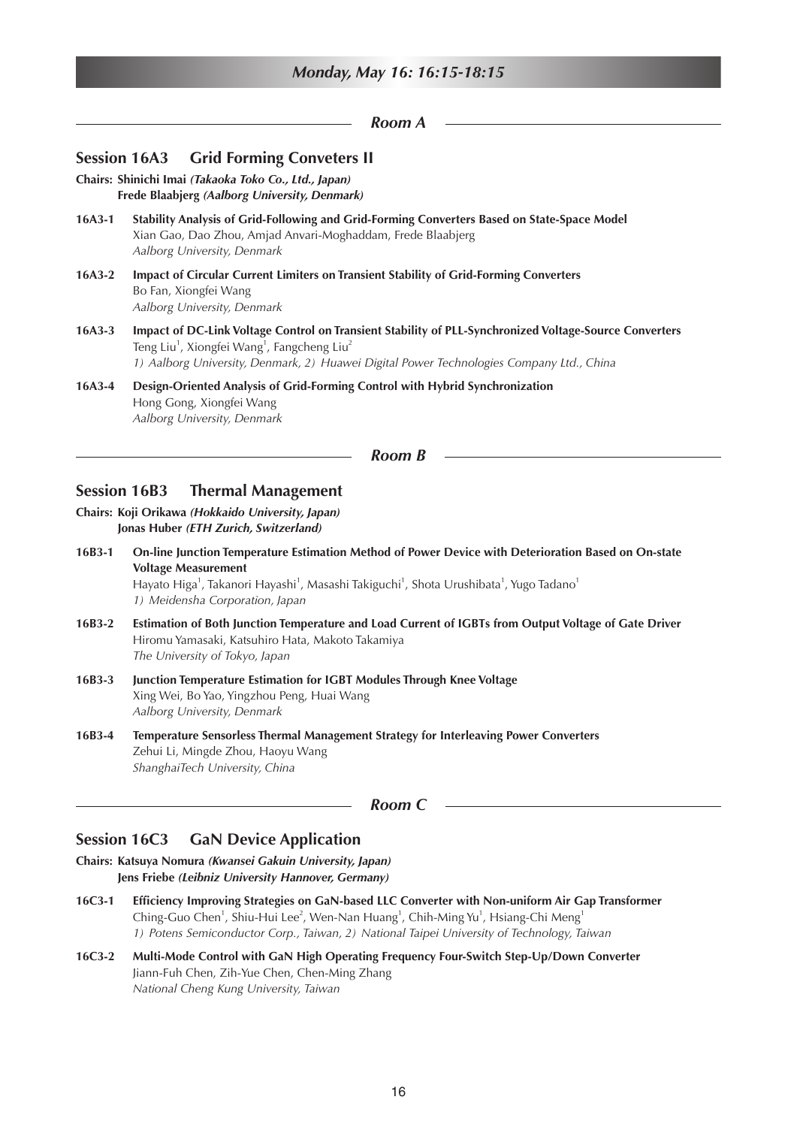|          | Room A                                                                                                                                                                                                                                                                                |
|----------|---------------------------------------------------------------------------------------------------------------------------------------------------------------------------------------------------------------------------------------------------------------------------------------|
|          | <b>Grid Forming Conveters II</b><br><b>Session 16A3</b>                                                                                                                                                                                                                               |
|          | Chairs: Shinichi Imai (Takaoka Toko Co., Ltd., Japan)<br>Frede Blaabjerg (Aalborg University, Denmark)                                                                                                                                                                                |
| $16A3-1$ | Stability Analysis of Grid-Following and Grid-Forming Converters Based on State-Space Model<br>Xian Gao, Dao Zhou, Amjad Anvari-Moghaddam, Frede Blaabjerg<br>Aalborg University, Denmark                                                                                             |
| 16A3-2   | Impact of Circular Current Limiters on Transient Stability of Grid-Forming Converters<br>Bo Fan, Xiongfei Wang<br>Aalborg University, Denmark                                                                                                                                         |
| $16A3-3$ | Impact of DC-Link Voltage Control on Transient Stability of PLL-Synchronized Voltage-Source Converters<br>Teng Liu <sup>1</sup> , Xiongfei Wang <sup>1</sup> , Fangcheng Liu <sup>2</sup><br>1) Aalborg University, Denmark, 2) Huawei Digital Power Technologies Company Ltd., China |
| $16A3-4$ | Design-Oriented Analysis of Grid-Forming Control with Hybrid Synchronization<br>Hong Gong, Xiongfei Wang<br>Aalborg University, Denmark                                                                                                                                               |
|          | <b>Room B</b>                                                                                                                                                                                                                                                                         |
|          | <b>Session 16B3</b><br><b>Thermal Management</b>                                                                                                                                                                                                                                      |
|          | Chairs: Koji Orikawa (Hokkaido University, Japan)<br>Jonas Huber (ETH Zurich, Switzerland)                                                                                                                                                                                            |
| $16B3-1$ | On-line Junction Temperature Estimation Method of Power Device with Deterioration Based on On-state                                                                                                                                                                                   |

**Voltage Measurement** Hayato Higa<sup>1</sup>, Takanori Hayashi<sup>1</sup>, Masashi Takiguchi<sup>1</sup>, Shota Urushibata<sup>1</sup>, Yugo Tadano<sup>1</sup> *1) Meidensha Corporation, Japan*

- **16B3-2 Estimation of Both Junction Temperature and Load Current of IGBTs from Output Voltage of Gate Driver** Hiromu Yamasaki, Katsuhiro Hata, Makoto Takamiya *The University of Tokyo, Japan*
- **16B3-3 Junction Temperature Estimation for IGBT Modules Through Knee Voltage** Xing Wei, Bo Yao, Yingzhou Peng, Huai Wang *Aalborg University, Denmark*
- **16B3-4 Temperature Sensorless Thermal Management Strategy for Interleaving Power Converters** Zehui Li, Mingde Zhou, Haoyu Wang *ShanghaiTech University, China*

## *Room C*

## **Session 16C3 GaN Device Application**

- **Chairs: Katsuya Nomura** *(Kwansei Gakuin University, Japan)* **Jens Friebe** *(Leibniz University Hannover, Germany)*
- **16C3-1 Efficiency Improving Strategies on GaN-based LLC Converter with Non-uniform Air Gap Transformer** Ching-Guo Chen<sup>1</sup>, Shiu-Hui Lee<sup>2</sup>, Wen-Nan Huang<sup>1</sup>, Chih-Ming Yu<sup>1</sup>, Hsiang-Chi Meng<sup>1</sup> *1) Potens Semiconductor Corp., Taiwan, 2) National Taipei University of Technology, Taiwan*
- **16C3-2 Multi-Mode Control with GaN High Operating Frequency Four-Switch Step-Up/Down Converter** Jiann-Fuh Chen, Zih-Yue Chen, Chen-Ming Zhang *National Cheng Kung University, Taiwan*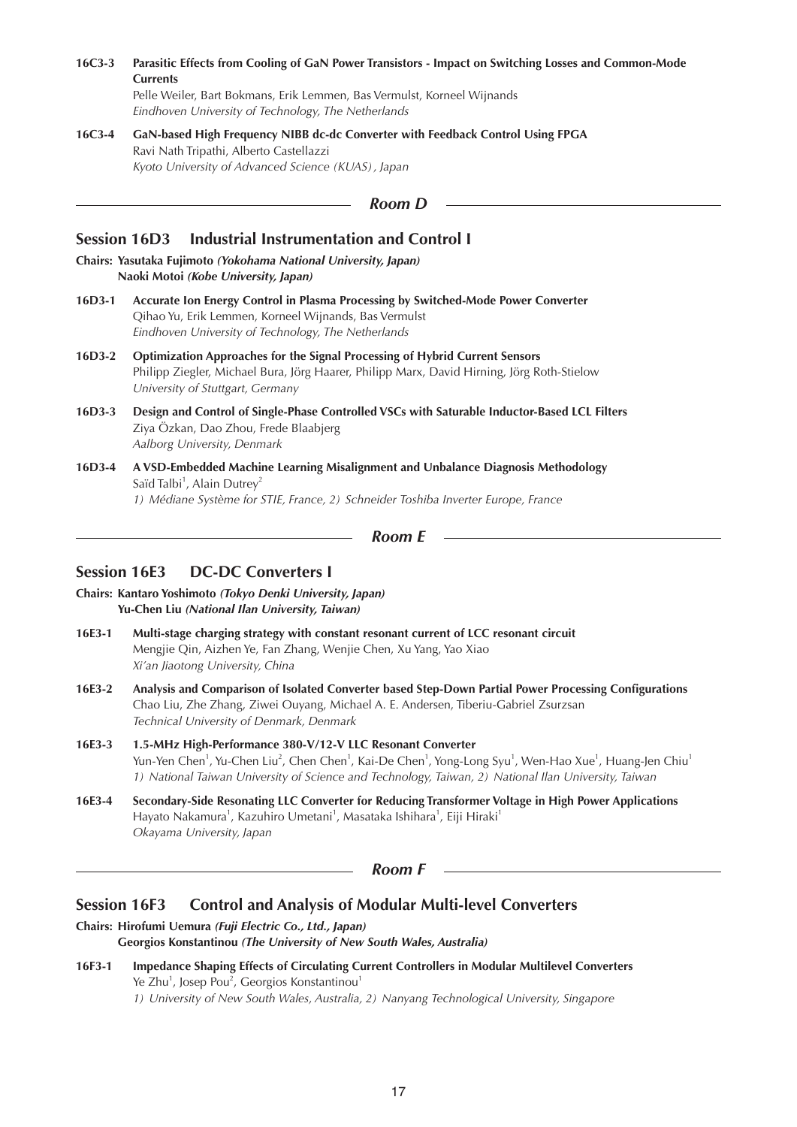**16C3-3 Parasitic Effects from Cooling of GaN Power Transistors - Impact on Switching Losses and Common-Mode Currents** Pelle Weiler, Bart Bokmans, Erik Lemmen, Bas Vermulst, Korneel Wijnands *Eindhoven University of Technology, The Netherlands*

**16C3-4 GaN-based High Frequency NIBB dc-dc Converter with Feedback Control Using FPGA** Ravi Nath Tripathi, Alberto Castellazzi *Kyoto University of Advanced Science (KUAS), Japan*

```
Room D
```
# **Session 16D3 Industrial Instrumentation and Control I**

- **Chairs: Yasutaka Fujimoto** *(Yokohama National University, Japan)* **Naoki Motoi** *(Kobe University, Japan)*
- **16D3-1 Accurate Ion Energy Control in Plasma Processing by Switched-Mode Power Converter** Qihao Yu, Erik Lemmen, Korneel Wijnands, Bas Vermulst *Eindhoven University of Technology, The Netherlands*
- **16D3-2 Optimization Approaches for the Signal Processing of Hybrid Current Sensors** Philipp Ziegler, Michael Bura, Jörg Haarer, Philipp Marx, David Hirning, Jörg Roth-Stielow *University of Stuttgart, Germany*
- **16D3-3 Design and Control of Single-Phase Controlled VSCs with Saturable Inductor-Based LCL Filters** Ziya Özkan, Dao Zhou, Frede Blaabjerg *Aalborg University, Denmark*
- **16D3-4 A VSD-Embedded Machine Learning Misalignment and Unbalance Diagnosis Methodology** Saïd Talbi<sup>1</sup>, Alain Dutrey<sup>2</sup> *1) Médiane Système for STIE, France, 2) Schneider Toshiba Inverter Europe, France*

```
Room E
```
# **Session 16E3 DC-DC Converters I**

- **Chairs: Kantaro Yoshimoto** *(Tokyo Denki University, Japan)* **Yu-Chen Liu** *(National Ilan University, Taiwan)*
- **16E3-1 Multi-stage charging strategy with constant resonant current of LCC resonant circuit** Mengjie Qin, Aizhen Ye, Fan Zhang, Wenjie Chen, Xu Yang, Yao Xiao *Xi'an Jiaotong University, China*
- **16E3-2 Analysis and Comparison of Isolated Converter based Step-Down Partial Power Processing Configurations** Chao Liu, Zhe Zhang, Ziwei Ouyang, Michael A. E. Andersen, Tiberiu-Gabriel Zsurzsan *Technical University of Denmark, Denmark*
- **16E3-3 1.5-MHz High-Performance 380-V/12-V LLC Resonant Converter** Yun-Yen Chen<sup>1</sup>, Yu-Chen Liu<sup>2</sup>, Chen Chen<sup>1</sup>, Kai-De Chen<sup>1</sup>, Yong-Long Syu<sup>1</sup>, Wen-Hao Xue<sup>1</sup>, Huang-Jen Chiu<sup>1</sup> *1) National Taiwan University of Science and Technology, Taiwan, 2) National Ilan University, Taiwan*
- **16E3-4 Secondary-Side Resonating LLC Converter for Reducing Transformer Voltage in High Power Applications** Hayato Nakamura<sup>1</sup>, Kazuhiro Umetani<sup>1</sup>, Masataka Ishihara<sup>1</sup>, Eiji Hiraki<sup>1</sup> *Okayama University, Japan*

*Room F*

# **Session 16F3 Control and Analysis of Modular Multi-level Converters**

**Chairs: Hirofumi Uemura** *(Fuji Electric Co., Ltd., Japan)*

**Georgios Konstantinou** *(The University of New South Wales, Australia)*

**16F3-1 Impedance Shaping Effects of Circulating Current Controllers in Modular Multilevel Converters** Ye Zhu<sup>1</sup>, Josep Pou<sup>2</sup>, Georgios Konstantinou<sup>1</sup> *1) University of New South Wales, Australia, 2) Nanyang Technological University, Singapore*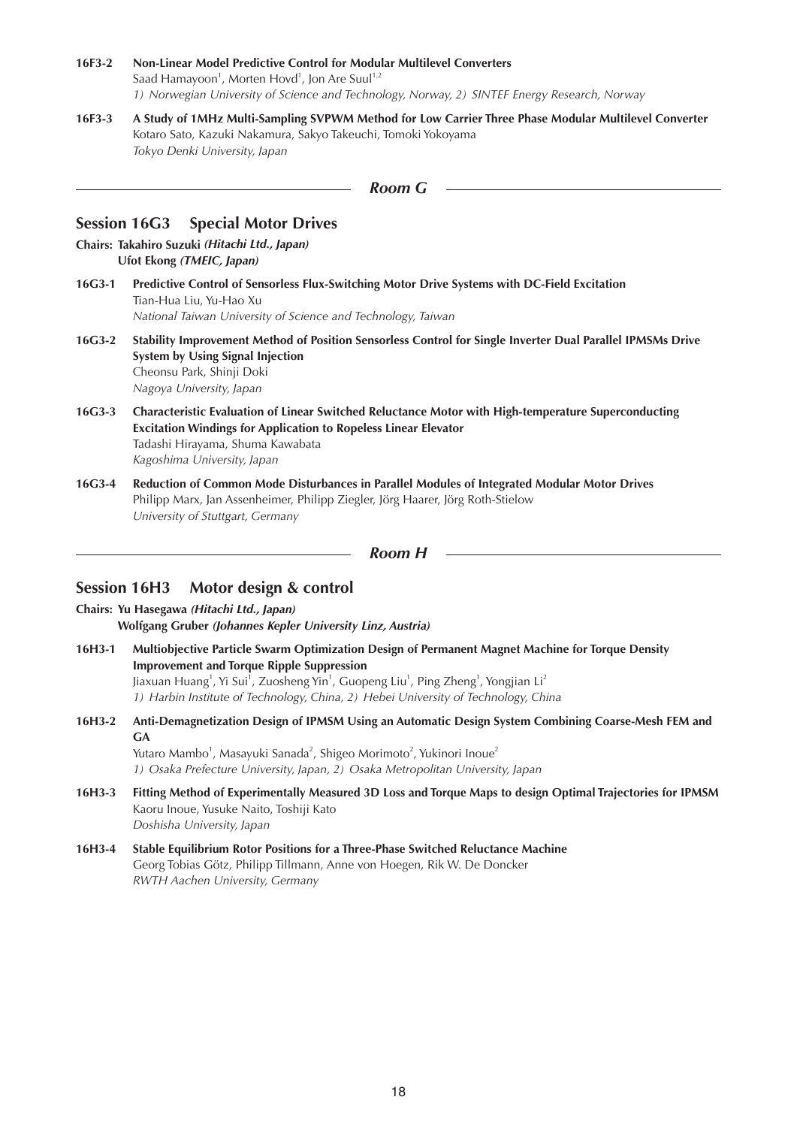- **16F3-2 Non-Linear Model Predictive Control for Modular Multilevel Converters** Saad Hamayoon<sup>1</sup>, Morten Hovd<sup>1</sup>, Jon Are Suul<sup>1,2</sup> *1) Norwegian University of Science and Technology, Norway, 2) SINTEF Energy Research, Norway*
- **16F3-3 A Study of 1MHz Multi-Sampling SVPWM Method for Low Carrier Three Phase Modular Multilevel Converter** Kotaro Sato, Kazuki Nakamura, Sakyo Takeuchi, Tomoki Yokoyama *Tokyo Denki University, Japan*

| <b>Room</b> G |  |
|---------------|--|
|---------------|--|

## **Session 16G3 Special Motor Drives**

- **Chairs: Takahiro Suzuki** *(Hitachi Ltd., Japan)* **Ufot Ekong** *(TMEIC, Japan)*
- **16G3-1 Predictive Control of Sensorless Flux-Switching Motor Drive Systems with DC-Field Excitation** Tian-Hua Liu, Yu-Hao Xu *National Taiwan University of Science and Technology, Taiwan*
- **16G3-2 Stability Improvement Method of Position Sensorless Control for Single Inverter Dual Parallel IPMSMs Drive System by Using Signal Injection** Cheonsu Park, Shinji Doki *Nagoya University, Japan*
- **16G3-3 Characteristic Evaluation of Linear Switched Reluctance Motor with High-temperature Superconducting Excitation Windings for Application to Ropeless Linear Elevator** Tadashi Hirayama, Shuma Kawabata *Kagoshima University, Japan*
- **16G3-4 Reduction of Common Mode Disturbances in Parallel Modules of Integrated Modular Motor Drives** Philipp Marx, Jan Assenheimer, Philipp Ziegler, Jörg Haarer, Jörg Roth-Stielow *University of Stuttgart, Germany*

```
Room H
```
# **Session 16H3 Motor design & control**

- **Chairs: Yu Hasegawa** *(Hitachi Ltd., Japan)* **Wolfgang Gruber** *(Johannes Kepler University Linz, Austria)*
- **16H3-1 Multiobjective Particle Swarm Optimization Design of Permanent Magnet Machine for Torque Density Improvement and Torque Ripple Suppression** Jiaxuan Huang<sup>1</sup>, Yi Sui<sup>1</sup>, Zuosheng Yin<sup>1</sup>, Guopeng Liu<sup>1</sup>, Ping Zheng<sup>1</sup>, Yongjian Li<sup>2</sup> *1) Harbin Institute of Technology, China, 2) Hebei University of Technology, China*
- **16H3-2 Anti-Demagnetization Design of IPMSM Using an Automatic Design System Combining Coarse-Mesh FEM and GA**

Yutaro Mambo<sup>1</sup>, Masayuki Sanada<sup>2</sup>, Shigeo Morimoto<sup>2</sup>, Yukinori Inoue<sup>2</sup> *1) Osaka Prefecture University, Japan, 2) Osaka Metropolitan University, Japan*

- **16H3-3 Fitting Method of Experimentally Measured 3D Loss and Torque Maps to design Optimal Trajectories for IPMSM** Kaoru Inoue, Yusuke Naito, Toshiji Kato *Doshisha University, Japan*
- **16H3-4 Stable Equilibrium Rotor Positions for a Three-Phase Switched Reluctance Machine** Georg Tobias Götz, Philipp Tillmann, Anne von Hoegen, Rik W. De Doncker *RWTH Aachen University, Germany*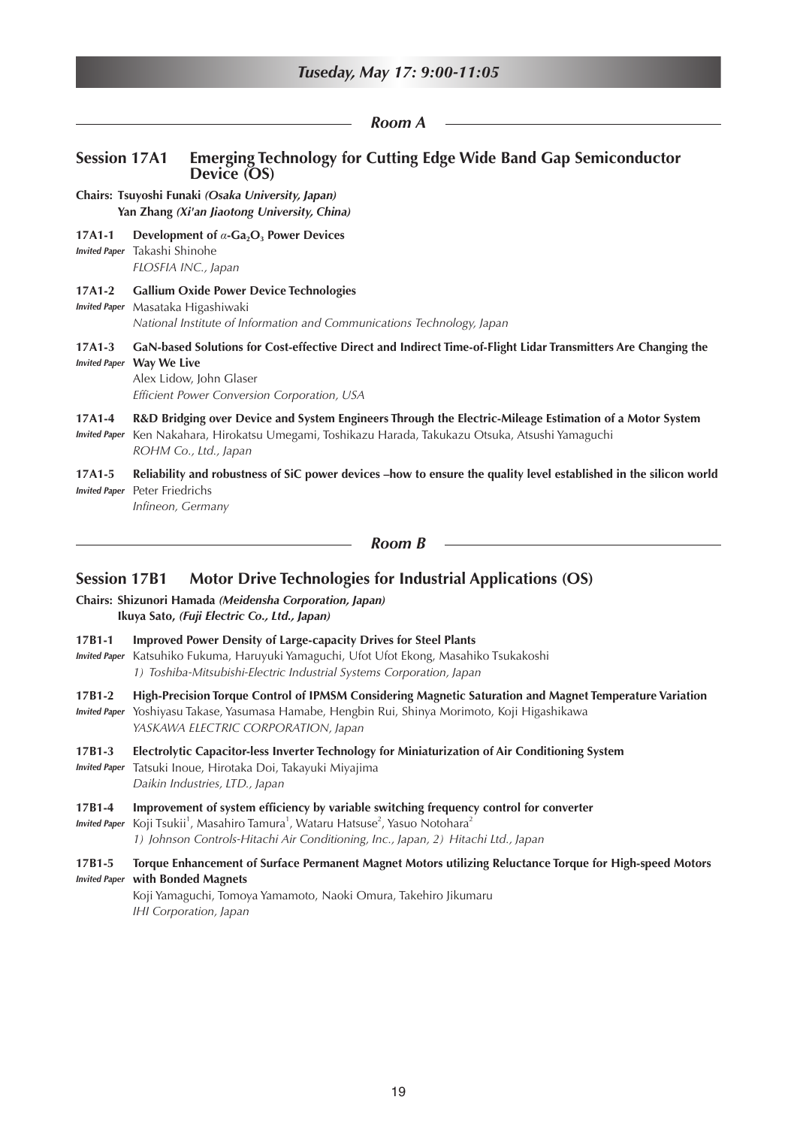|                                | Tuseday, May 17: 9:00-11:05                                                                                                                                                                                                 |
|--------------------------------|-----------------------------------------------------------------------------------------------------------------------------------------------------------------------------------------------------------------------------|
|                                | <b>Room A</b>                                                                                                                                                                                                               |
| <b>Session 17A1</b>            | <b>Emerging Technology for Cutting Edge Wide Band Gap Semiconductor</b><br>Device (OS)                                                                                                                                      |
|                                | Chairs: Tsuyoshi Funaki (Osaka University, Japan)<br>Yan Zhang (Xi'an Jiaotong University, China)                                                                                                                           |
| $17A1-1$                       | Development of $\alpha$ -Ga <sub>2</sub> O <sub>3</sub> Power Devices<br><b>Invited Paper</b> Takashi Shinohe<br>FLOSFIA INC., Japan                                                                                        |
| 17A1-2<br><b>Invited Paper</b> | <b>Gallium Oxide Power Device Technologies</b><br>Masataka Higashiwaki<br>National Institute of Information and Communications Technology, Japan                                                                            |
| 17A1-3                         | GaN-based Solutions for Cost-effective Direct and Indirect Time-of-Flight Lidar Transmitters Are Changing the<br><b>Invited Paper Way We Live</b><br>Alex Lidow, John Glaser<br>Efficient Power Conversion Corporation, USA |
| 17A1-4<br><b>Invited Paper</b> | R&D Bridging over Device and System Engineers Through the Electric-Mileage Estimation of a Motor System<br>Ken Nakahara, Hirokatsu Umegami, Toshikazu Harada, Takukazu Otsuka, Atsushi Yamaguchi<br>ROHM Co., Ltd., Japan   |
| 17A1-5<br><b>Invited Paper</b> | Reliability and robustness of SiC power devices -how to ensure the quality level established in the silicon world<br>Peter Friedrichs<br>Infineon, Germany                                                                  |
|                                | <b>Room B</b>                                                                                                                                                                                                               |
| <b>Session 17B1</b>            | <b>Motor Drive Technologies for Industrial Applications (OS)</b><br>Chairs: Shizunori Hamada (Meidensha Corporation, Japan)<br>Ikuya Sato, (Fuji Electric Co., Ltd., Japan)                                                 |
| 17B1-1                         | <b>Improved Power Density of Large-capacity Drives for Steel Plants</b><br>Inited Rane Katsubiko Eukuma, Harvuuki Vamaguchi, Utot Utot Ekong, Masabiko Tsukakoshi                                                           |

- *Invited Paper* Katsuhiko Fukuma, Haruyuki Yamaguchi, Ufot Ufot Ekong, Masahiko Tsukakoshi *1) Toshiba-Mitsubishi-Electric Industrial Systems Corporation, Japan*
- **17B1-2 High-Precision Torque Control of IPMSM Considering Magnetic Saturation and Magnet Temperature Variation**
- *Invited Paper* Yoshiyasu Takase, Yasumasa Hamabe, Hengbin Rui, Shinya Morimoto, Koji Higashikawa *YASKAWA ELECTRIC CORPORATION, Japan*
- **17B1-3 Electrolytic Capacitor-less Inverter Technology for Miniaturization of Air Conditioning System** *Invited Paper* Tatsuki Inoue, Hirotaka Doi, Takayuki Miyajima
	- *Daikin Industries, LTD., Japan*
- **17B1-4 Improvement of system efficiency by variable switching frequency control for converter**

I*nvited Paper* Koji Tsukii<sup>1</sup>, Masahiro Tamura<sup>1</sup>, Wataru Hatsuse<sup>2</sup>, Yasuo Notohara<sup>2</sup> *1) Johnson Controls-Hitachi Air Conditioning, Inc., Japan, 2) Hitachi Ltd., Japan*

## **17B1-5 Torque Enhancement of Surface Permanent Magnet Motors utilizing Reluctance Torque for High-speed Motors**  *Invited Paper* **with Bonded Magnets**

Koji Yamaguchi, Tomoya Yamamoto, Naoki Omura, Takehiro Jikumaru *IHI Corporation, Japan*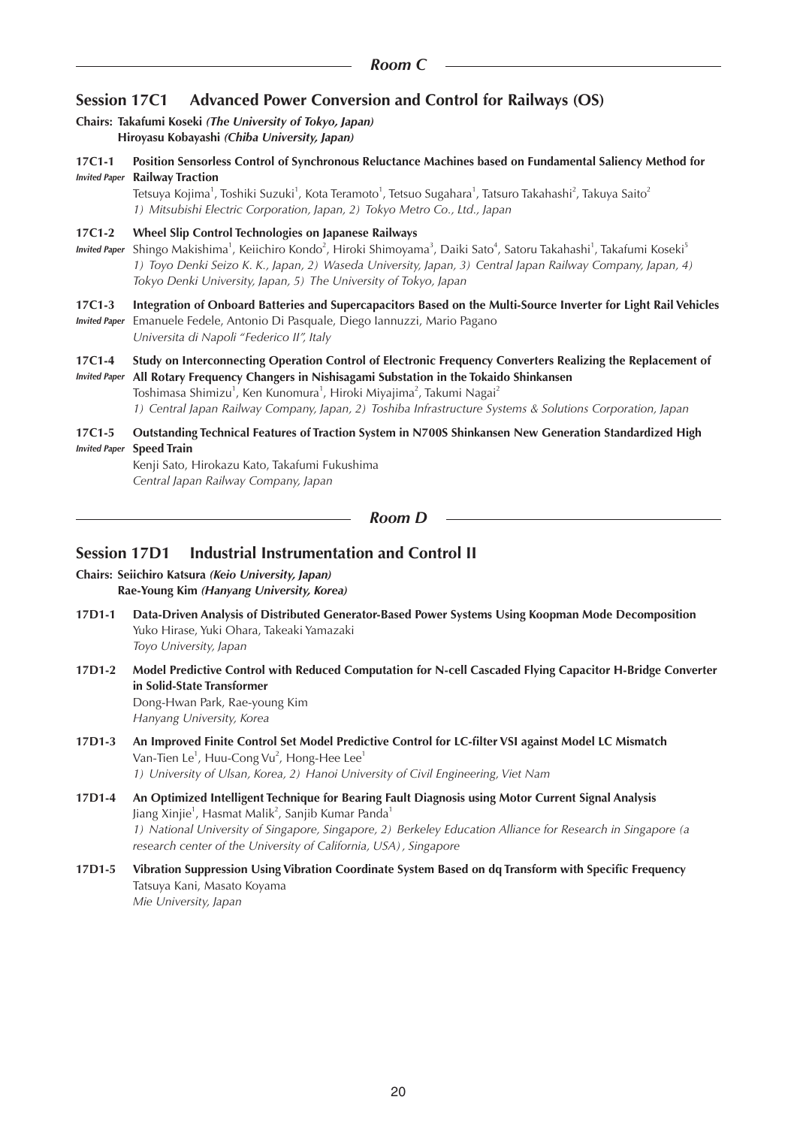# **Session 17C1 Advanced Power Conversion and Control for Railways (OS)**

#### **Chairs: Takafumi Koseki** *(The University of Tokyo, Japan)* **Hiroyasu Kobayashi** *(Chiba University, Japan)*

**17C1-1 Position Sensorless Control of Synchronous Reluctance Machines based on Fundamental Saliency Method for**  *Invited Paper* **Railway Traction**

Tetsuya Kojima<sup>1</sup>, Toshiki Suzuki<sup>1</sup>, Kota Teramoto<sup>1</sup>, Tetsuo Sugahara<sup>1</sup>, Tatsuro Takahashi<sup>2</sup>, Takuya Saito<sup>2</sup> *1) Mitsubishi Electric Corporation, Japan, 2) Tokyo Metro Co., Ltd., Japan*

#### **17C1-2 Wheel Slip Control Technologies on Japanese Railways**

*Invited Paper* Shingo Makishima<sup>1</sup>, Keiichiro Kondo<sup>2</sup>, Hiroki Shimoyama<sup>3</sup>, Daiki Sato<sup>4</sup>, Satoru Takahashi<sup>1</sup>, Takafumi Koseki<sup>5</sup> *1) Toyo Denki Seizo K. K., Japan, 2) Waseda University, Japan, 3) Central Japan Railway Company, Japan, 4) Tokyo Denki University, Japan, 5) The University of Tokyo, Japan*

## **17C1-3 Integration of Onboard Batteries and Supercapacitors Based on the Multi-Source Inverter for Light Rail Vehicles**

*Invited Paper* Emanuele Fedele, Antonio Di Pasquale, Diego Iannuzzi, Mario Pagano *Universita di Napoli "Federico II", Italy*

#### **17C1-4 Study on Interconnecting Operation Control of Electronic Frequency Converters Realizing the Replacement of**  *Invited Paper* **All Rotary Frequency Changers in Nishisagami Substation in the Tokaido Shinkansen**

Toshimasa Shimizu<sup>1</sup>, Ken Kunomura<sup>1</sup>, Hiroki Miyajima<sup>2</sup>, Takumi Nagai<sup>2</sup> *1) Central Japan Railway Company, Japan, 2) Toshiba Infrastructure Systems & Solutions Corporation, Japan*

#### **17C1-5 Outstanding Technical Features of Traction System in N700S Shinkansen New Generation Standardized High**  *Invited Paper* **Speed Train**

Kenji Sato, Hirokazu Kato, Takafumi Fukushima *Central Japan Railway Company, Japan*

## *Room D*

# **Session 17D1 Industrial Instrumentation and Control II**

#### **Chairs: Seiichiro Katsura** *(Keio University, Japan)* **Rae-Young Kim** *(Hanyang University, Korea)*

- **17D1-1 Data-Driven Analysis of Distributed Generator-Based Power Systems Using Koopman Mode Decomposition** Yuko Hirase, Yuki Ohara, Takeaki Yamazaki *Toyo University, Japan*
- **17D1-2 Model Predictive Control with Reduced Computation for N-cell Cascaded Flying Capacitor H-Bridge Converter in Solid-State Transformer** Dong-Hwan Park, Rae-young Kim *Hanyang University, Korea*

#### **17D1-3 An Improved Finite Control Set Model Predictive Control for LC-filter VSI against Model LC Mismatch** Van-Tien Le $^{\rm 1}$ , Huu-Cong Vu $^{\rm 2}$ , Hong-Hee Lee $^{\rm 1}$ *1) University of Ulsan, Korea, 2) Hanoi University of Civil Engineering, Viet Nam*

## **17D1-4 An Optimized Intelligent Technique for Bearing Fault Diagnosis using Motor Current Signal Analysis** Jiang Xinjie $^1$ , Hasmat Malik $^2$ , Sanjib Kumar Panda $^1$ *1) National University of Singapore, Singapore, 2) Berkeley Education Alliance for Research in Singapore (a research center of the University of California, USA), Singapore*

#### **17D1-5 Vibration Suppression Using Vibration Coordinate System Based on dq Transform with Specific Frequency** Tatsuya Kani, Masato Koyama *Mie University, Japan*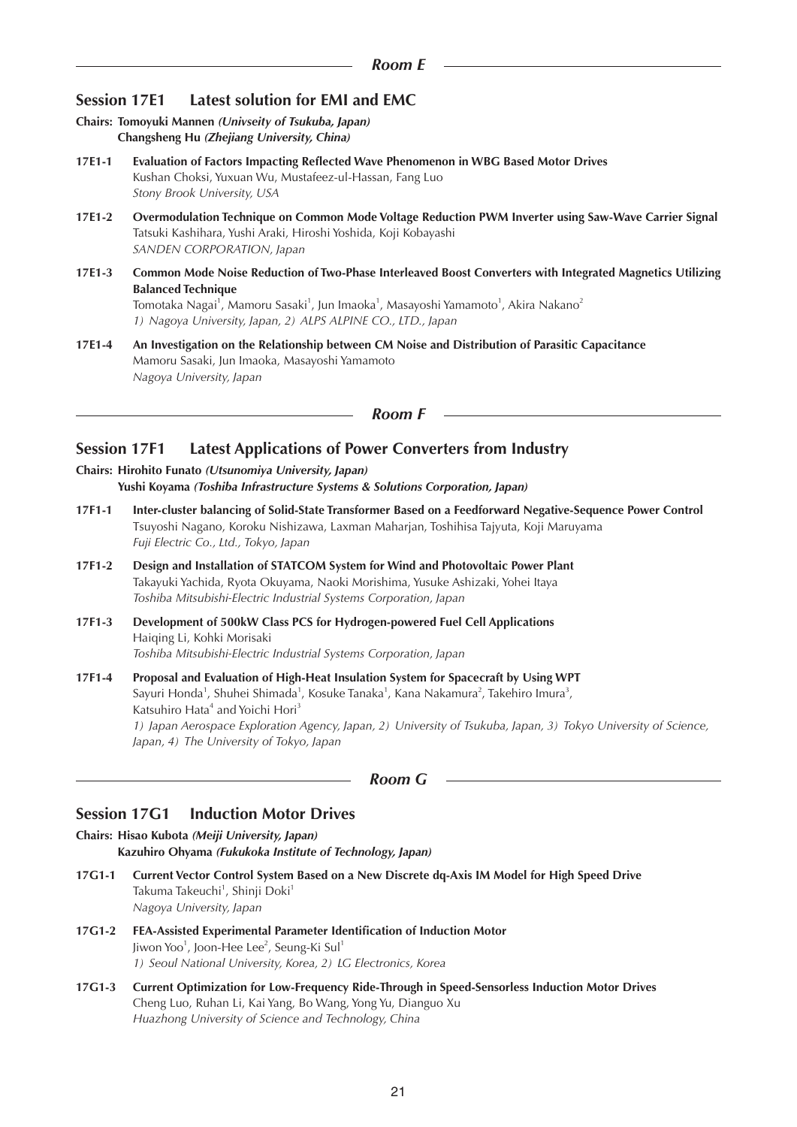# **Session 17E1 Latest solution for EMI and EMC**

- **Chairs: Tomoyuki Mannen** *(Univseity of Tsukuba, Japan)* **Changsheng Hu** *(Zhejiang University, China)*
- **17E1-1 Evaluation of Factors Impacting Reflected Wave Phenomenon in WBG Based Motor Drives** Kushan Choksi, Yuxuan Wu, Mustafeez-ul-Hassan, Fang Luo *Stony Brook University, USA*
- **17E1-2 Overmodulation Technique on Common Mode Voltage Reduction PWM Inverter using Saw-Wave Carrier Signal** Tatsuki Kashihara, Yushi Araki, Hiroshi Yoshida, Koji Kobayashi *SANDEN CORPORATION, Japan*
- **17E1-3 Common Mode Noise Reduction of Two-Phase Interleaved Boost Converters with Integrated Magnetics Utilizing Balanced Technique** Tomotaka Nagai<sup>1</sup>, Mamoru Sasaki<sup>1</sup>, Jun Imaoka<sup>1</sup>, Masayoshi Yamamoto<sup>1</sup>, Akira Nakano<sup>2</sup> *1) Nagoya University, Japan, 2) ALPS ALPINE CO., LTD., Japan*
- **17E1-4 An Investigation on the Relationship between CM Noise and Distribution of Parasitic Capacitance** Mamoru Sasaki, Jun Imaoka, Masayoshi Yamamoto *Nagoya University, Japan*

#### *Room F*

# **Session 17F1 Latest Applications of Power Converters from Industry**

- **Chairs: Hirohito Funato** *(Utsunomiya University, Japan)* **Yushi Koyama** *(Toshiba Infrastructure Systems & Solutions Corporation, Japan)*
- **17F1-1 Inter-cluster balancing of Solid-State Transformer Based on a Feedforward Negative-Sequence Power Control** Tsuyoshi Nagano, Koroku Nishizawa, Laxman Maharjan, Toshihisa Tajyuta, Koji Maruyama *Fuji Electric Co., Ltd., Tokyo, Japan*
- **17F1-2 Design and Installation of STATCOM System for Wind and Photovoltaic Power Plant** Takayuki Yachida, Ryota Okuyama, Naoki Morishima, Yusuke Ashizaki, Yohei Itaya *Toshiba Mitsubishi-Electric Industrial Systems Corporation, Japan*
- **17F1-3 Development of 500kW Class PCS for Hydrogen-powered Fuel Cell Applications** Haiqing Li, Kohki Morisaki *Toshiba Mitsubishi-Electric Industrial Systems Corporation, Japan*
- **17F1-4 Proposal and Evaluation of High-Heat Insulation System for Spacecraft by Using WPT** Sayuri Honda<sup>1</sup>, Shuhei Shimada<sup>1</sup>, Kosuke Tanaka<sup>1</sup>, Kana Nakamura<sup>2</sup>, Takehiro Imura<sup>3</sup>, Katsuhiro Hata<sup>4</sup> and Yoichi Hori<sup>3</sup> *1) Japan Aerospace Exploration Agency, Japan, 2) University of Tsukuba, Japan, 3) Tokyo University of Science, Japan, 4) The University of Tokyo, Japan*

*Room G*

# **Session 17G1 Induction Motor Drives**

**Chairs: Hisao Kubota** *(Meiji University, Japan)* **Kazuhiro Ohyama** *(Fukukoka Institute of Technology, Japan)*

- **17G1-1 Current Vector Control System Based on a New Discrete dq-Axis IM Model for High Speed Drive** Takuma Takeuchi<sup>1</sup>, Shinji Doki<sup>1</sup> *Nagoya University, Japan*
- **17G1-2 FEA-Assisted Experimental Parameter Identification of Induction Motor** Jiwon Yoo<sup>1</sup>, Joon-Hee Lee<sup>2</sup>, Seung-Ki Sul<sup>1</sup> *1) Seoul National University, Korea, 2) LG Electronics, Korea*
- **17G1-3 Current Optimization for Low-Frequency Ride-Through in Speed-Sensorless Induction Motor Drives** Cheng Luo, Ruhan Li, Kai Yang, Bo Wang, Yong Yu, Dianguo Xu *Huazhong University of Science and Technology, China*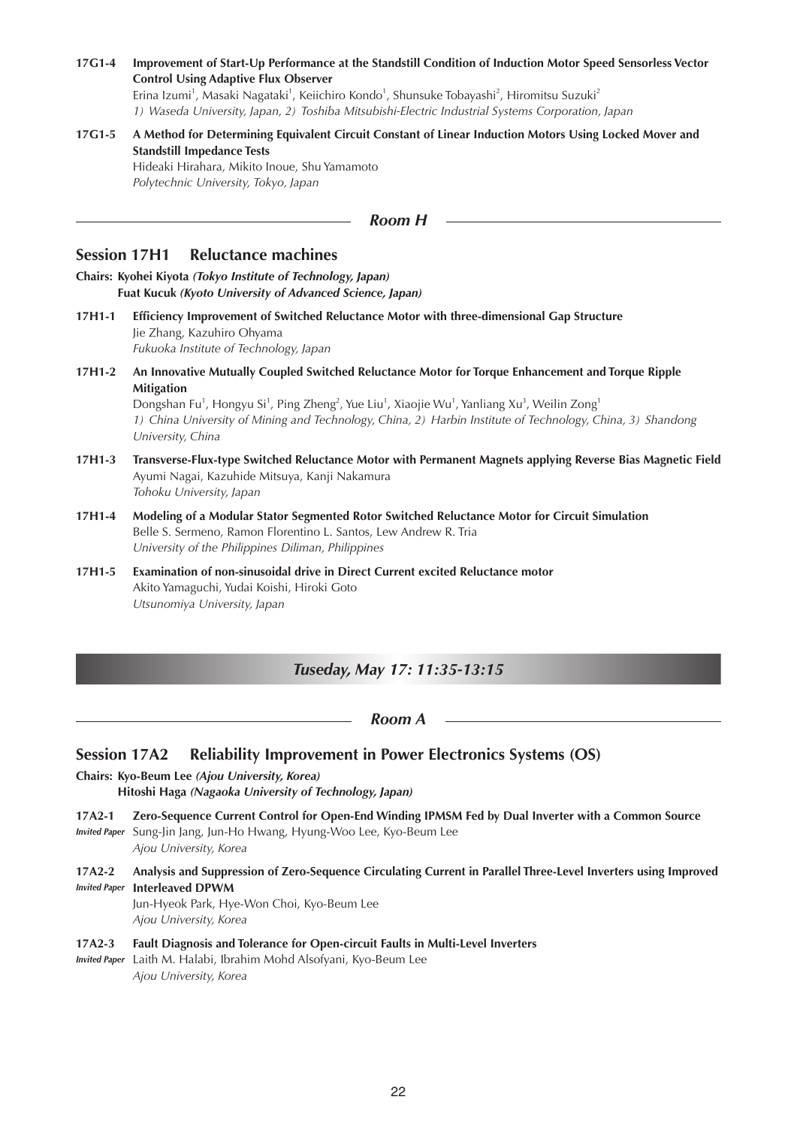#### **17G1-4 Improvement of Start-Up Performance at the Standstill Condition of Induction Motor Speed Sensorless Vector Control Using Adaptive Flux Observer**

Erina Izumi<sup>1</sup>, Masaki Nagataki<sup>1</sup>, Keiichiro Kondo<sup>1</sup>, Shunsuke Tobayashi<sup>2</sup>, Hiromitsu Suzuki<sup>2</sup> *1) Waseda University, Japan, 2) Toshiba Mitsubishi-Electric Industrial Systems Corporation, Japan*

## **17G1-5 A Method for Determining Equivalent Circuit Constant of Linear Induction Motors Using Locked Mover and Standstill Impedance Tests** Hideaki Hirahara, Mikito Inoue, Shu Yamamoto *Polytechnic University, Tokyo, Japan*

*Room H*

## **Session 17H1 Reluctance machines**

- **Chairs: Kyohei Kiyota** *(Tokyo Institute of Technology, Japan)* **Fuat Kucuk** *(Kyoto University of Advanced Science, Japan)*
- **17H1-1 Efficiency Improvement of Switched Reluctance Motor with three-dimensional Gap Structure** Jie Zhang, Kazuhiro Ohyama *Fukuoka Institute of Technology, Japan*
- **17H1-2 An Innovative Mutually Coupled Switched Reluctance Motor for Torque Enhancement and Torque Ripple Mitigation** Dongshan Fu<sup>1</sup>, Hongyu Si<sup>1</sup>, Ping Zheng<sup>2</sup>, Yue Liu<sup>1</sup>, Xiaojie Wu<sup>1</sup>, Yanliang Xu<sup>3</sup>, Weilin Zong<sup>1</sup>

*1) China University of Mining and Technology, China, 2) Harbin Institute of Technology, China, 3) Shandong University, China*

- **17H1-3 Transverse-Flux-type Switched Reluctance Motor with Permanent Magnets applying Reverse Bias Magnetic Field** Ayumi Nagai, Kazuhide Mitsuya, Kanji Nakamura *Tohoku University, Japan*
- **17H1-4 Modeling of a Modular Stator Segmented Rotor Switched Reluctance Motor for Circuit Simulation** Belle S. Sermeno, Ramon Florentino L. Santos, Lew Andrew R. Tria *University of the Philippines Diliman, Philippines*
- **17H1-5 Examination of non-sinusoidal drive in Direct Current excited Reluctance motor** Akito Yamaguchi, Yudai Koishi, Hiroki Goto *Utsunomiya University, Japan*

# *Tuseday, May 17: 11:35-13:15*

*Room A*

# **Session 17A2 Reliability Improvement in Power Electronics Systems (OS)**

- **Chairs: Kyo-Beum Lee** *(Ajou University, Korea)* **Hitoshi Haga** *(Nagaoka University of Technology, Japan)*
- **17A2-1 Zero-Sequence Current Control for Open-End Winding IPMSM Fed by Dual Inverter with a Common Source** *Invited Paper* Sung-Jin Jang, Jun-Ho Hwang, Hyung-Woo Lee, Kyo-Beum Lee *Ajou University, Korea*
- **17A2-2 Analysis and Suppression of Zero-Sequence Circulating Current in Parallel Three-Level Inverters using Improved**  *Invited Paper* **Interleaved DPWM**

Jun-Hyeok Park, Hye-Won Choi, Kyo-Beum Lee *Ajou University, Korea*

- **17A2-3 Fault Diagnosis and Tolerance for Open-circuit Faults in Multi-Level Inverters**
- *Invited Paper* Laith M. Halabi, Ibrahim Mohd Alsofyani, Kyo-Beum Lee *Ajou University, Korea*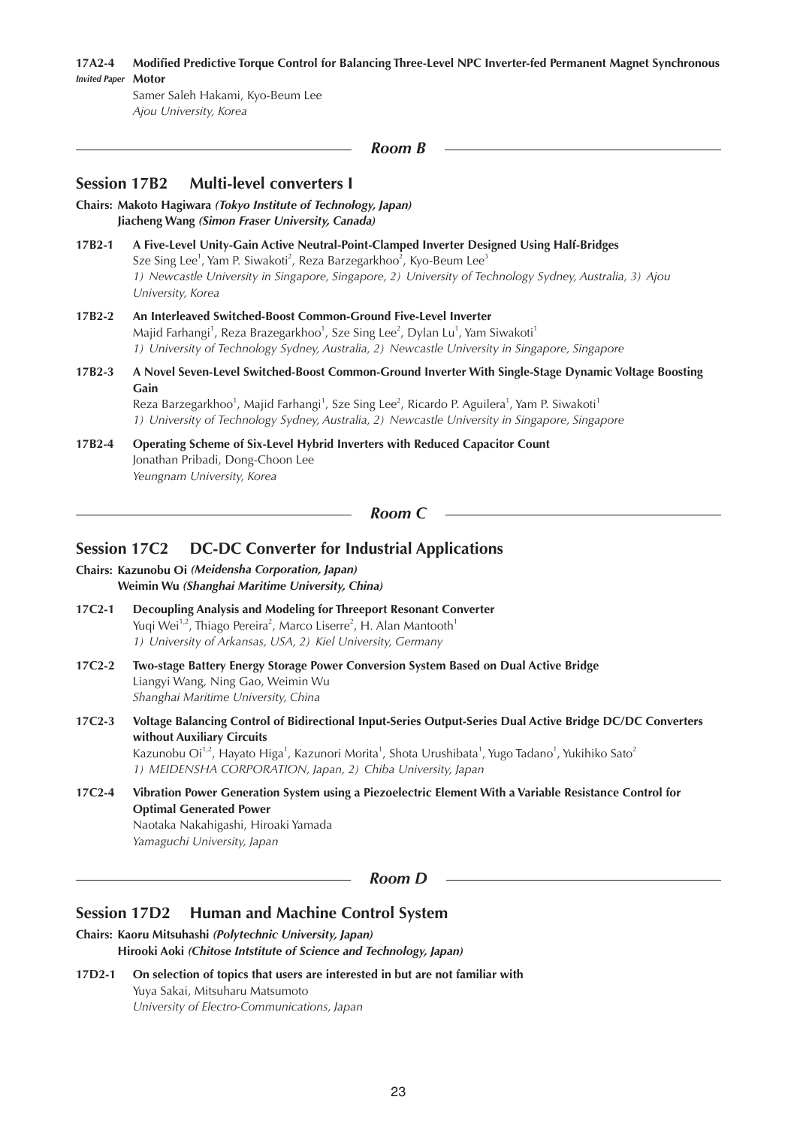**17A2-4 Modified Predictive Torque Control for Balancing Three-Level NPC Inverter-fed Permanent Magnet Synchronous**  *Invited Paper* **Motor**

Samer Saleh Hakami, Kyo-Beum Lee *Ajou University, Korea*

#### *Room B*

## **Session 17B2 Multi-level converters I**

**Chairs: Makoto Hagiwara** *(Tokyo Institute of Technology, Japan)* **Jiacheng Wang** *(Simon Fraser University, Canada)*

- **17B2-1 A Five-Level Unity-Gain Active Neutral-Point-Clamped Inverter Designed Using Half-Bridges** Sze Sing Lee<sup>1</sup>, Yam P. Siwakoti<sup>2</sup>, Reza Barzegarkhoo<sup>2</sup>, Kyo-Beum Lee<sup>3</sup> *1) Newcastle University in Singapore, Singapore, 2) University of Technology Sydney, Australia, 3) Ajou University, Korea*
- **17B2-2 An Interleaved Switched-Boost Common-Ground Five-Level Inverter** Majid Farhangi<sup>1</sup>, Reza Brazegarkhoo<sup>1</sup>, Sze Sing Lee<sup>2</sup>, Dylan Lu<sup>1</sup>, Yam Siwakoti<sup>1</sup> *1) University of Technology Sydney, Australia, 2) Newcastle University in Singapore, Singapore*
- **17B2-3 A Novel Seven-Level Switched-Boost Common-Ground Inverter With Single-Stage Dynamic Voltage Boosting Gain**

Reza Barzegarkhoo<sup>1</sup>, Majid Farhangi<sup>1</sup>, Sze Sing Lee<sup>2</sup>, Ricardo P. Aguilera<sup>1</sup>, Yam P. Siwakoti<sup>1</sup> *1) University of Technology Sydney, Australia, 2) Newcastle University in Singapore, Singapore*

**17B2-4 Operating Scheme of Six-Level Hybrid Inverters with Reduced Capacitor Count** Jonathan Pribadi, Dong-Choon Lee *Yeungnam University, Korea*

*Room C*

## **Session 17C2 DC-DC Converter for Industrial Applications**

**Chairs: Kazunobu Oi** *(Meidensha Corporation, Japan)* **Weimin Wu** *(Shanghai Maritime University, China)*

- **17C2-1 Decoupling Analysis and Modeling for Threeport Resonant Converter** Yuqi Wei<sup>1,2</sup>, Thiago Pereira<sup>2</sup>, Marco Liserre<sup>2</sup>, H. Alan Mantooth<sup>1</sup> *1) University of Arkansas, USA, 2) Kiel University, Germany*
- **17C2-2 Two-stage Battery Energy Storage Power Conversion System Based on Dual Active Bridge** Liangyi Wang, Ning Gao, Weimin Wu *Shanghai Maritime University, China*
- **17C2-3 Voltage Balancing Control of Bidirectional Input-Series Output-Series Dual Active Bridge DC/DC Converters without Auxiliary Circuits** Kazunobu Oi<sup>1,2</sup>, Hayato Higa<sup>1</sup>, Kazunori Morita<sup>1</sup>, Shota Urushibata<sup>1</sup>, Yugo Tadano<sup>1</sup>, Yukihiko Sato<sup>2</sup> *1) MEIDENSHA CORPORATION, Japan, 2) Chiba University, Japan*
- **17C2-4 Vibration Power Generation System using a Piezoelectric Element With a Variable Resistance Control for Optimal Generated Power** Naotaka Nakahigashi, Hiroaki Yamada *Yamaguchi University, Japan*

*Room D*

## **Session 17D2 Human and Machine Control System**

**Chairs: Kaoru Mitsuhashi** *(Polytechnic University, Japan)* **Hirooki Aoki** *(Chitose Intstitute of Science and Technology, Japan)*

**17D2-1 On selection of topics that users are interested in but are not familiar with** Yuya Sakai, Mitsuharu Matsumoto *University of Electro-Communications, Japan*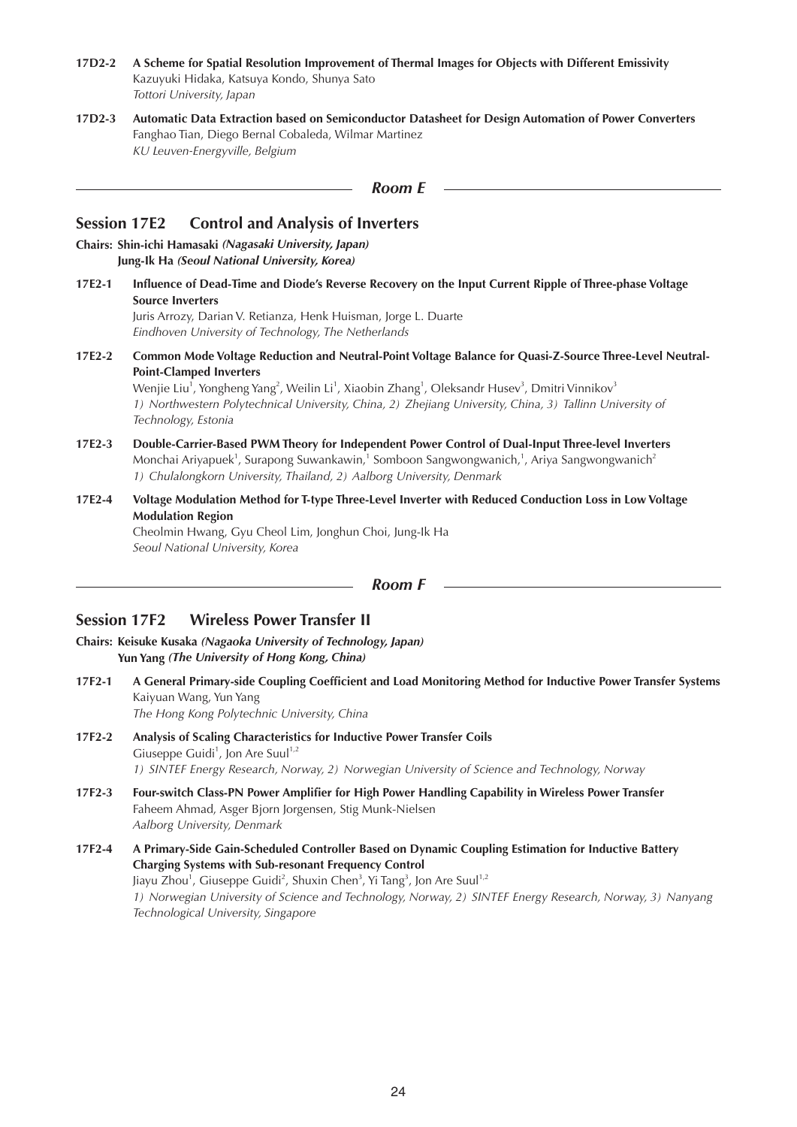- **17D2-2 A Scheme for Spatial Resolution Improvement of Thermal Images for Objects with Different Emissivity** Kazuyuki Hidaka, Katsuya Kondo, Shunya Sato *Tottori University, Japan*
- **17D2-3 Automatic Data Extraction based on Semiconductor Datasheet for Design Automation of Power Converters** Fanghao Tian, Diego Bernal Cobaleda, Wilmar Martinez *KU Leuven-Energyville, Belgium*

# **Session 17E2 Control and Analysis of Inverters**

- **Chairs: Shin-ichi Hamasaki** *(Nagasaki University, Japan)* **Jung-Ik Ha** *(Seoul National University, Korea)*
- **17E2-1 Influence of Dead-Time and Diode's Reverse Recovery on the Input Current Ripple of Three-phase Voltage Source Inverters**

Juris Arrozy, Darian V. Retianza, Henk Huisman, Jorge L. Duarte *Eindhoven University of Technology, The Netherlands*

**17E2-2 Common Mode Voltage Reduction and Neutral-Point Voltage Balance for Quasi-Z-Source Three-Level Neutral-Point-Clamped Inverters**

Wenjie Liu<sup>1</sup>, Yongheng Yang<sup>2</sup>, Weilin Li<sup>1</sup>, Xiaobin Zhang<sup>1</sup>, Oleksandr Husev<sup>3</sup>, Dmitri Vinnikov<sup>3</sup> *1) Northwestern Polytechnical University, China, 2) Zhejiang University, China, 3) Tallinn University of Technology, Estonia*

- **17E2-3 Double-Carrier-Based PWM Theory for Independent Power Control of Dual-Input Three-level Inverters** Monchai Ariyapuek<sup>1</sup>, Surapong Suwankawin,<sup>1</sup> Somboon Sangwongwanich,<sup>1</sup>, Ariya Sangwongwanich<sup>2</sup> *1) Chulalongkorn University, Thailand, 2) Aalborg University, Denmark*
- **17E2-4 Voltage Modulation Method for T-type Three-Level Inverter with Reduced Conduction Loss in Low Voltage Modulation Region**

Cheolmin Hwang, Gyu Cheol Lim, Jonghun Choi, Jung-Ik Ha *Seoul National University, Korea*

*Room F*

# **Session 17F2 Wireless Power Transfer II**

**Chairs: Keisuke Kusaka** *(Nagaoka University of Technology, Japan)* **Yun Yang** *(The University of Hong Kong, China)*

**17F2-1 A General Primary-side Coupling Coefficient and Load Monitoring Method for Inductive Power Transfer Systems** Kaiyuan Wang, Yun Yang

*The Hong Kong Polytechnic University, China*

- **17F2-2 Analysis of Scaling Characteristics for Inductive Power Transfer Coils** Giuseppe Guidi<sup>1</sup>, Jon Are Suul<sup>1,2</sup> *1) SINTEF Energy Research, Norway, 2) Norwegian University of Science and Technology, Norway*
- **17F2-3 Four-switch Class-PN Power Amplifier for High Power Handling Capability in Wireless Power Transfer** Faheem Ahmad, Asger Bjorn Jorgensen, Stig Munk-Nielsen *Aalborg University, Denmark*
- **17F2-4 A Primary-Side Gain-Scheduled Controller Based on Dynamic Coupling Estimation for Inductive Battery Charging Systems with Sub-resonant Frequency Control** Jiayu Zhou<sup>1</sup>, Giuseppe Guidi<sup>2</sup>, Shuxin Chen<sup>3</sup>, Yi Tang<sup>3</sup>, Jon Are Suul<sup>1,2</sup> *1) Norwegian University of Science and Technology, Norway, 2) SINTEF Energy Research, Norway, 3) Nanyang Technological University, Singapore*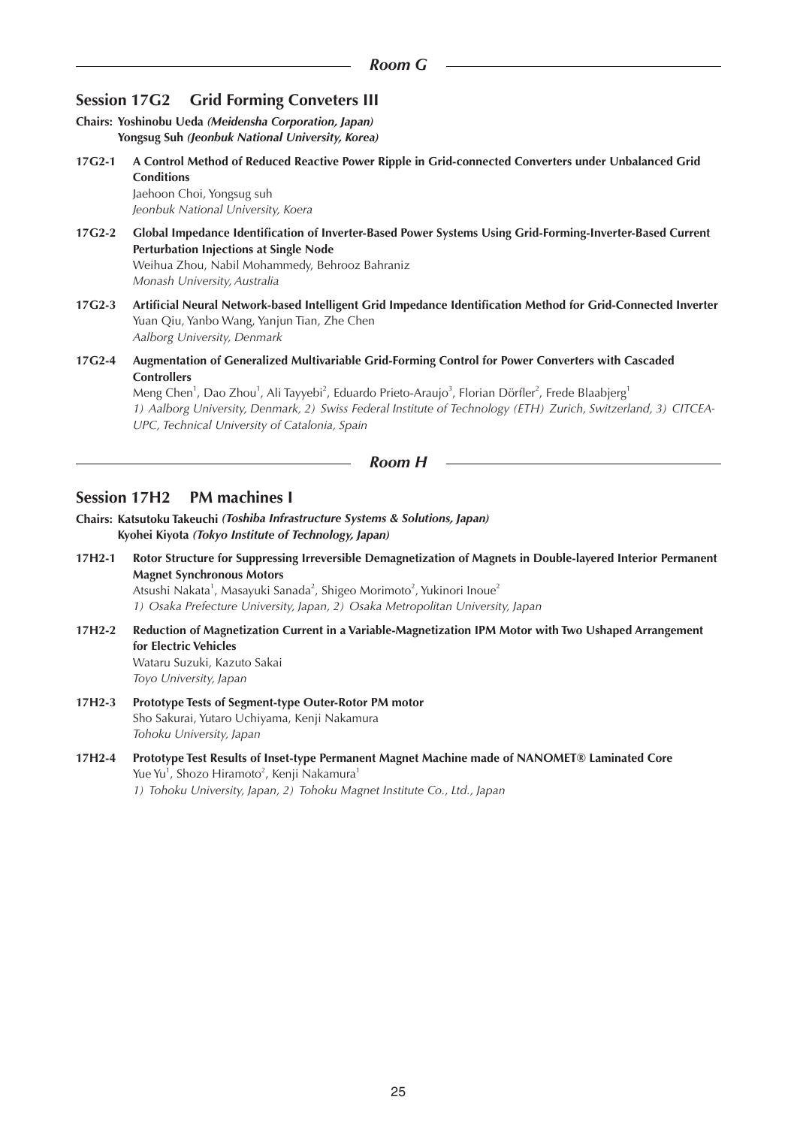# **Session 17G2 Grid Forming Conveters III**

**Chairs: Yoshinobu Ueda** *(Meidensha Corporation, Japan)* **Yongsug Suh** *(Jeonbuk National University, Korea)*

**17G2-1 A Control Method of Reduced Reactive Power Ripple in Grid-connected Converters under Unbalanced Grid Conditions** Jaehoon Choi, Yongsug suh

*Jeonbuk National University, Koera*

- **17G2-2 Global Impedance Identification of Inverter-Based Power Systems Using Grid-Forming-Inverter-Based Current Perturbation Injections at Single Node** Weihua Zhou, Nabil Mohammedy, Behrooz Bahraniz *Monash University, Australia*
- **17G2-3 Artificial Neural Network-based Intelligent Grid Impedance Identification Method for Grid-Connected Inverter** Yuan Qiu, Yanbo Wang, Yanjun Tian, Zhe Chen *Aalborg University, Denmark*
- **17G2-4 Augmentation of Generalized Multivariable Grid-Forming Control for Power Converters with Cascaded Controllers**

Meng Chen<sup>1</sup>, Dao Zhou<sup>1</sup>, Ali Tayyebi<sup>2</sup>, Eduardo Prieto-Araujo<sup>3</sup>, Florian Dörfler<sup>2</sup>, Frede Blaabjerg<sup>1</sup> *1) Aalborg University, Denmark, 2) Swiss Federal Institute of Technology (ETH) Zurich, Switzerland, 3) CITCEA-UPC, Technical University of Catalonia, Spain*

*Room H*

## **Session 17H2 PM machines I**

**Chairs: Katsutoku Takeuchi** *(Toshiba Infrastructure Systems & Solutions, Japan)* **Kyohei Kiyota** *(Tokyo Institute of Technology, Japan)*

**17H2-1 Rotor Structure for Suppressing Irreversible Demagnetization of Magnets in Double-layered Interior Permanent Magnet Synchronous Motors** Atsushi Nakata<sup>1</sup>, Masayuki Sanada<sup>2</sup>, Shigeo Morimoto<sup>2</sup>, Yukinori Inoue<sup>2</sup>

*1) Osaka Prefecture University, Japan, 2) Osaka Metropolitan University, Japan*

- **17H2-2 Reduction of Magnetization Current in a Variable-Magnetization IPM Motor with Two Ushaped Arrangement for Electric Vehicles** Wataru Suzuki, Kazuto Sakai *Toyo University, Japan*
- **17H2-3 Prototype Tests of Segment-type Outer-Rotor PM motor** Sho Sakurai, Yutaro Uchiyama, Kenji Nakamura *Tohoku University, Japan*
- **17H2-4 Prototype Test Results of Inset-type Permanent Magnet Machine made of NANOMET® Laminated Core** Yue Yu<sup>1</sup>, Shozo Hiramoto<sup>2</sup>, Kenji Nakamura<sup>1</sup> *1) Tohoku University, Japan, 2) Tohoku Magnet Institute Co., Ltd., Japan*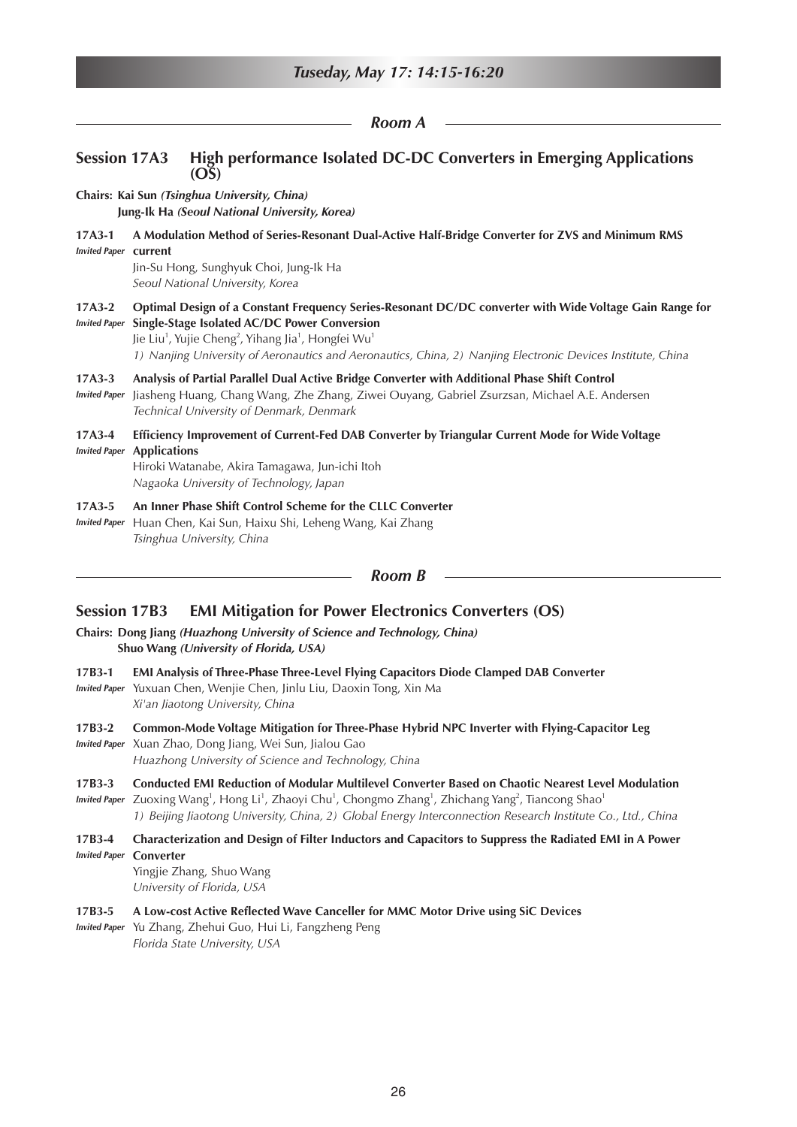|                                          | Room A                                                                                                                                                                                                                                                                                                                                                                                      |
|------------------------------------------|---------------------------------------------------------------------------------------------------------------------------------------------------------------------------------------------------------------------------------------------------------------------------------------------------------------------------------------------------------------------------------------------|
| <b>Session 17A3</b>                      | High performance Isolated DC-DC Converters in Emerging Applications<br>OS)                                                                                                                                                                                                                                                                                                                  |
|                                          | Chairs: Kai Sun (Tsinghua University, China)<br>Jung-Ik Ha (Seoul National University, Korea)                                                                                                                                                                                                                                                                                               |
| $17A3-1$<br><b>Invited Paper Current</b> | A Modulation Method of Series-Resonant Dual-Active Half-Bridge Converter for ZVS and Minimum RMS<br>Jin-Su Hong, Sunghyuk Choi, Jung-Ik Ha<br>Seoul National University, Korea                                                                                                                                                                                                              |
| $17A3-2$                                 | Optimal Design of a Constant Frequency Series-Resonant DC/DC converter with Wide Voltage Gain Range for<br>Invited Paper Single-Stage Isolated AC/DC Power Conversion<br>Jie Liu <sup>1</sup> , Yujie Cheng <sup>2</sup> , Yihang Jia <sup>1</sup> , Hongfei Wu <sup>1</sup><br>1) Nanjing University of Aeronautics and Aeronautics, China, 2) Nanjing Electronic Devices Institute, China |
| $17A3-3$<br><b>Invited Paper</b>         | Analysis of Partial Parallel Dual Active Bridge Converter with Additional Phase Shift Control<br>Jiasheng Huang, Chang Wang, Zhe Zhang, Ziwei Ouyang, Gabriel Zsurzsan, Michael A.E. Andersen<br>Technical University of Denmark, Denmark                                                                                                                                                   |
| $17A3-4$<br><b>Invited Paper</b>         | Efficiency Improvement of Current-Fed DAB Converter by Triangular Current Mode for Wide Voltage<br><b>Applications</b><br>Hiroki Watanabe, Akira Tamagawa, Jun-ichi Itoh<br>Nagaoka University of Technology, Japan                                                                                                                                                                         |
| $17A3-5$<br><b>Invited Paper</b>         | An Inner Phase Shift Control Scheme for the CLLC Converter<br>Huan Chen, Kai Sun, Haixu Shi, Leheng Wang, Kai Zhang<br>Tsinghua University, China                                                                                                                                                                                                                                           |
|                                          | Room B                                                                                                                                                                                                                                                                                                                                                                                      |

# **Session 17B3 EMI Mitigation for Power Electronics Converters (OS)**

- **Chairs: Dong Jiang** *(Huazhong University of Science and Technology, China)* **Shuo Wang** *(University of Florida, USA)*
- **17B3-1 EMI Analysis of Three-Phase Three-Level Flying Capacitors Diode Clamped DAB Converter**
- *Invited Paper* Yuxuan Chen, Wenjie Chen, Jinlu Liu, Daoxin Tong, Xin Ma *Xi'an Jiaotong University, China*
- **17B3-2 Common-Mode Voltage Mitigation for Three-Phase Hybrid NPC Inverter with Flying-Capacitor Leg** *Invited Paper* Xuan Zhao, Dong Jiang, Wei Sun, Jialou Gao *Huazhong University of Science and Technology, China*
- **17B3-3 Conducted EMI Reduction of Modular Multilevel Converter Based on Chaotic Nearest Level Modulation** Invited Paper Zuoxing Wang<sup>1</sup>, Hong Li<sup>1</sup>, Zhaoyi Chu<sup>1</sup>, Chongmo Zhang<sup>1</sup>, Zhichang Yang<sup>2</sup>, Tiancong Shao<sup>1</sup>

*1) Beijing Jiaotong University, China, 2) Global Energy Interconnection Research Institute Co., Ltd., China*

#### **17B3-4 Characterization and Design of Filter Inductors and Capacitors to Suppress the Radiated EMI in A Power**  *Invited Paper* **Converter**

Yingjie Zhang, Shuo Wang *University of Florida, USA*

**17B3-5 A Low-cost Active Reflected Wave Canceller for MMC Motor Drive using SiC Devices**

*Invited Paper* Yu Zhang, Zhehui Guo, Hui Li, Fangzheng Peng *Florida State University, USA*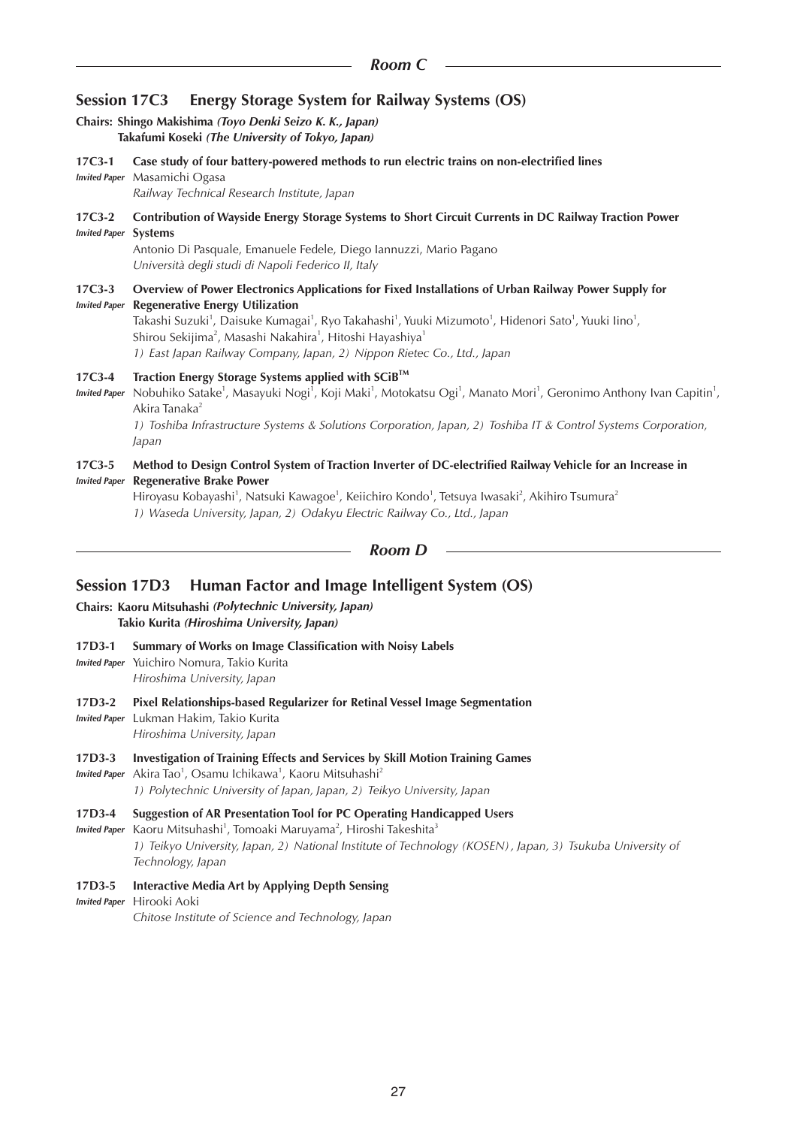## **Session 17C3 Energy Storage System for Railway Systems (OS)**

#### **Chairs: Shingo Makishima** *(Toyo Denki Seizo K. K., Japan)* **Takafumi Koseki** *(The University of Tokyo, Japan)*

- **17C3-1 Case study of four battery-powered methods to run electric trains on non-electrified lines**
- *Invited Paper* Masamichi Ogasa *Railway Technical Research Institute, Japan*

#### **17C3-2 Contribution of Wayside Energy Storage Systems to Short Circuit Currents in DC Railway Traction Power**  *Invited Paper* **Systems**

Antonio Di Pasquale, Emanuele Fedele, Diego Iannuzzi, Mario Pagano *Università degli studi di Napoli Federico II, Italy*

#### **17C3-3 Overview of Power Electronics Applications for Fixed Installations of Urban Railway Power Supply for**  *Invited Paper* **Regenerative Energy Utilization**

Takashi Suzuki<sup>1</sup>, Daisuke Kumagai<sup>1</sup>, Ryo Takahashi<sup>1</sup>, Yuuki Mizumoto<sup>1</sup>, Hidenori Sato<sup>1</sup>, Yuuki Iino<sup>1</sup>, Shirou Sekijima<sup>2</sup>, Masashi Nakahira<sup>1</sup>, Hitoshi Hayashiya<sup>1</sup> *1) East Japan Railway Company, Japan, 2) Nippon Rietec Co., Ltd., Japan*

#### **17C3-4 Traction Energy Storage Systems applied with SCiBTM**

Invited Paper Nobuhiko Satake<sup>1</sup>, Masayuki Nogi<sup>1</sup>, Koji Maki<sup>1</sup>, Motokatsu Ogi<sup>1</sup>, Manato Mori<sup>1</sup>, Geronimo Anthony Ivan Capitin<sup>1</sup>, Akira Tanaka $2$ *1) Toshiba Infrastructure Systems & Solutions Corporation, Japan, 2) Toshiba IT & Control Systems Corporation, Japan*

#### **17C3-5 Method to Design Control System of Traction Inverter of DC-electrified Railway Vehicle for an Increase in**  *Invited Paper* **Regenerative Brake Power**

Hiroyasu Kobayashi<sup>1</sup>, Natsuki Kawagoe<sup>1</sup>, Keiichiro Kondo<sup>1</sup>, Tetsuya Iwasaki<sup>2</sup>, Akihiro Tsumura<sup>2</sup> *1) Waseda University, Japan, 2) Odakyu Electric Railway Co., Ltd., Japan*

# *Room D*

## **Session 17D3 Human Factor and Image Intelligent System (OS)**

**Chairs: Kaoru Mitsuhashi** *(Polytechnic University, Japan)* **Takio Kurita** *(Hiroshima University, Japan)*

#### **17D3-1 Summary of Works on Image Classification with Noisy Labels**

- *Invited Paper* Yuichiro Nomura, Takio Kurita *Hiroshima University, Japan*
- **17D3-2 Pixel Relationships-based Regularizer for Retinal Vessel Image Segmentation**
- *Invited Paper* Lukman Hakim, Takio Kurita

*Hiroshima University, Japan*

#### **17D3-3 Investigation of Training Effects and Services by Skill Motion Training Games**

*Invited Paper* Akira Tao<sup>1</sup>, Osamu Ichikawa<sup>1</sup>, Kaoru Mitsuhashi<sup>2</sup> *1) Polytechnic University of Japan, Japan, 2) Teikyo University, Japan*

#### **17D3-4 Suggestion of AR Presentation Tool for PC Operating Handicapped Users**

*Invited Paper* Kaoru Mitsuhashi<sup>1</sup>, Tomoaki Maruyama<sup>2</sup>, Hiroshi Takeshita<sup>3</sup>

*1) Teikyo University, Japan, 2) National Institute of Technology (KOSEN), Japan, 3) Tsukuba University of Technology, Japan*

#### **17D3-5 Interactive Media Art by Applying Depth Sensing**

#### *Invited Paper* Hirooki Aoki

*Chitose Institute of Science and Technology, Japan*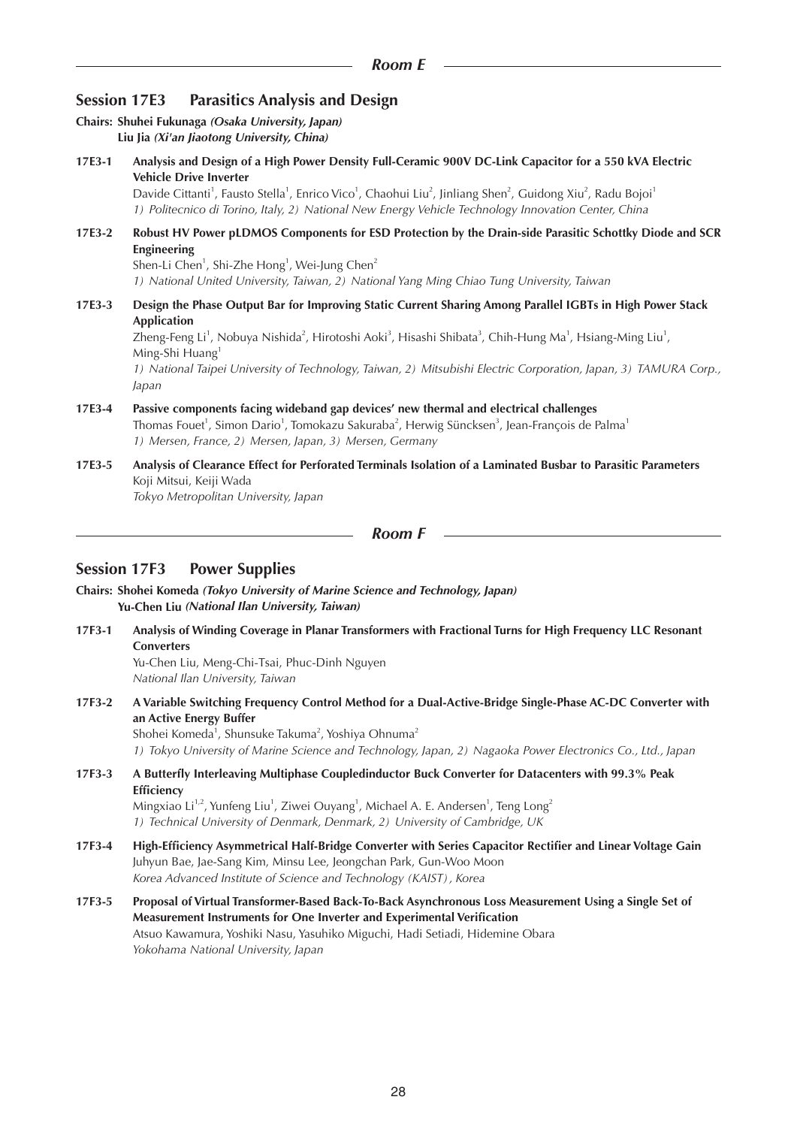## **Session 17E3 Parasitics Analysis and Design**

|        | Chairs: Shuhei Fukunaga (Osaka University, Japan)<br>Liu Jia (Xi'an Jiaotong University, China)                                                                                                                                                                                                                                                                                                                                                                                   |
|--------|-----------------------------------------------------------------------------------------------------------------------------------------------------------------------------------------------------------------------------------------------------------------------------------------------------------------------------------------------------------------------------------------------------------------------------------------------------------------------------------|
| 17E3-1 | Analysis and Design of a High Power Density Full-Ceramic 900V DC-Link Capacitor for a 550 kVA Electric<br><b>Vehicle Drive Inverter</b><br>Davide Cittanti <sup>1</sup> , Fausto Stella <sup>1</sup> , Enrico Vico <sup>1</sup> , Chaohui Liu <sup>2</sup> , Jinliang Shen <sup>2</sup> , Guidong Xiu <sup>2</sup> , Radu Bojoi <sup>1</sup><br>1) Politecnico di Torino, Italy, 2) National New Energy Vehicle Technology Innovation Center, China                               |
| 17E3-2 | Robust HV Power pLDMOS Components for ESD Protection by the Drain-side Parasitic Schottky Diode and SCR<br><b>Engineering</b><br>Shen-Li Chen <sup>1</sup> , Shi-Zhe Hong <sup>1</sup> , Wei-Jung Chen <sup>2</sup><br>1) National United University, Taiwan, 2) National Yang Ming Chiao Tung University, Taiwan                                                                                                                                                                 |
| 17E3-3 | Design the Phase Output Bar for Improving Static Current Sharing Among Parallel IGBTs in High Power Stack<br><b>Application</b><br>Zheng-Feng Li <sup>1</sup> , Nobuya Nishida <sup>2</sup> , Hirotoshi Aoki <sup>3</sup> , Hisashi Shibata <sup>3</sup> , Chih-Hung Ma <sup>1</sup> , Hsiang-Ming Liu <sup>1</sup> ,<br>Ming-Shi Huang <sup>1</sup><br>1) National Taipei University of Technology, Taiwan, 2) Mitsubishi Electric Corporation, Japan, 3) TAMURA Corp.,<br>Japan |
| 17E3-4 | Passive components facing wideband gap devices' new thermal and electrical challenges<br>Thomas Fouet <sup>1</sup> , Simon Dario <sup>1</sup> , Tomokazu Sakuraba <sup>2</sup> , Herwig Süncksen <sup>3</sup> , Jean-François de Palma <sup>1</sup><br>1) Mersen, France, 2) Mersen, Japan, 3) Mersen, Germany                                                                                                                                                                    |
| 17E3-5 | Analysis of Clearance Effect for Perforated Terminals Isolation of a Laminated Busbar to Parasitic Parameters<br>Koji Mitsui, Keiji Wada<br>Tokyo Metropolitan University, Japan                                                                                                                                                                                                                                                                                                  |

```
Room F
```
## **Session 17F3 Power Supplies**

- **Chairs: Shohei Komeda** *(Tokyo University of Marine Science and Technology, Japan)* **Yu-Chen Liu** *(National Ilan University, Taiwan)*
- **17F3-1 Analysis of Winding Coverage in Planar Transformers with Fractional Turns for High Frequency LLC Resonant Converters** Yu-Chen Liu, Meng-Chi-Tsai, Phuc-Dinh Nguyen *National Ilan University, Taiwan*
- **17F3-2 A Variable Switching Frequency Control Method for a Dual-Active-Bridge Single-Phase AC-DC Converter with an Active Energy Buffer** Shohei Komeda $^1$ , Shunsuke Takuma $^2$ , Yoshiya Ohnuma $^2$ *1) Tokyo University of Marine Science and Technology, Japan, 2) Nagaoka Power Electronics Co., Ltd., Japan*
- **17F3-3 A Butterfly Interleaving Multiphase Coupledinductor Buck Converter for Datacenters with 99.3% Peak Efficiency** Mingxiao Li<sup>1,2</sup>, Yunfeng Liu<sup>1</sup>, Ziwei Ouyang<sup>1</sup>, Michael A. E. Andersen<sup>1</sup>, Teng Long<sup>2</sup> *1) Technical University of Denmark, Denmark, 2) University of Cambridge, UK*
- **17F3-4 High-Efficiency Asymmetrical Half-Bridge Converter with Series Capacitor Rectifier and Linear Voltage Gain** Juhyun Bae, Jae-Sang Kim, Minsu Lee, Jeongchan Park, Gun-Woo Moon *Korea Advanced Institute of Science and Technology (KAIST), Korea*
- **17F3-5 Proposal of Virtual Transformer-Based Back-To-Back Asynchronous Loss Measurement Using a Single Set of Measurement Instruments for One Inverter and Experimental Verification** Atsuo Kawamura, Yoshiki Nasu, Yasuhiko Miguchi, Hadi Setiadi, Hidemine Obara *Yokohama National University, Japan*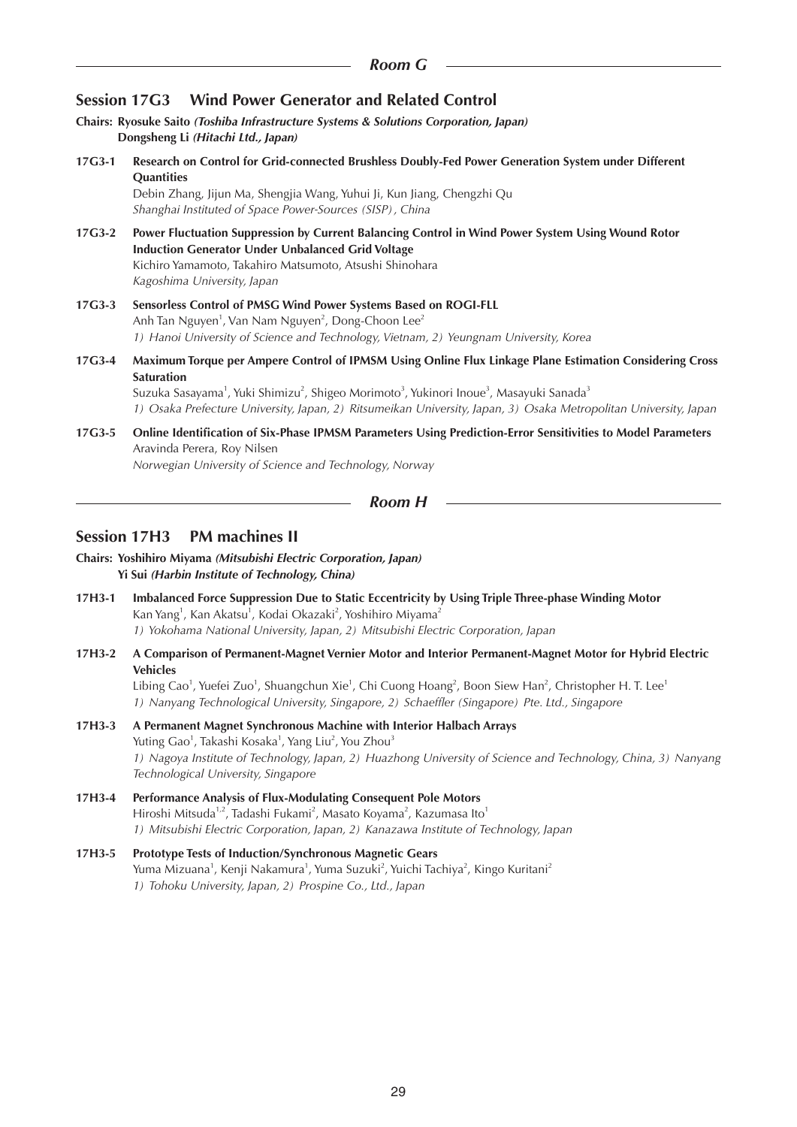## **Session 17G3 Wind Power Generator and Related Control**

- **Chairs: Ryosuke Saito** *(Toshiba Infrastructure Systems & Solutions Corporation, Japan)* **Dongsheng Li** *(Hitachi Ltd., Japan)*
- **17G3-1 Research on Control for Grid-connected Brushless Doubly-Fed Power Generation System under Different Quantities**

Debin Zhang, Jijun Ma, Shengjia Wang, Yuhui Ji, Kun Jiang, Chengzhi Qu *Shanghai Instituted of Space Power-Sources (SISP), China*

- **17G3-2 Power Fluctuation Suppression by Current Balancing Control in Wind Power System Using Wound Rotor Induction Generator Under Unbalanced Grid Voltage**  Kichiro Yamamoto, Takahiro Matsumoto, Atsushi Shinohara *Kagoshima University, Japan*
- **17G3-3 Sensorless Control of PMSG Wind Power Systems Based on ROGI-FLL** Anh Tan Nguyen $^1$ , Van Nam Nguyen $^2$ , Dong-Choon Lee $^2$ *1) Hanoi University of Science and Technology, Vietnam, 2) Yeungnam University, Korea*
- **17G3-4 Maximum Torque per Ampere Control of IPMSM Using Online Flux Linkage Plane Estimation Considering Cross Saturation**

Suzuka Sasayama<sup>1</sup>, Yuki Shimizu<sup>2</sup>, Shigeo Morimoto<sup>3</sup>, Yukinori Inoue<sup>3</sup>, Masayuki Sanada<sup>3</sup> *1) Osaka Prefecture University, Japan, 2) Ritsumeikan University, Japan, 3) Osaka Metropolitan University, Japan*

**17G3-5 Online Identification of Six-Phase IPMSM Parameters Using Prediction-Error Sensitivities to Model Parameters** Aravinda Perera, Roy Nilsen *Norwegian University of Science and Technology, Norway*

```
Room H
```
## **Session 17H3 PM machines II**

- **Chairs: Yoshihiro Miyama** *(Mitsubishi Electric Corporation, Japan)*  **Yi Sui** *(Harbin Institute of Technology, China)*
- **17H3-1 Imbalanced Force Suppression Due to Static Eccentricity by Using Triple Three-phase Winding Motor** Kan Yang<sup>1</sup>, Kan Akatsu<sup>1</sup>, Kodai Okazaki<sup>2</sup>, Yoshihiro Miyama<sup>2</sup> *1) Yokohama National University, Japan, 2) Mitsubishi Electric Corporation, Japan*
- **17H3-2 A Comparison of Permanent-Magnet Vernier Motor and Interior Permanent-Magnet Motor for Hybrid Electric Vehicles**

Libing Cao<sup>1</sup>, Yuefei Zuo<sup>1</sup>, Shuangchun Xie<sup>1</sup>, Chi Cuong Hoang<sup>2</sup>, Boon Siew Han<sup>2</sup>, Christopher H. T. Lee<sup>1</sup> *1) Nanyang Technological University, Singapore, 2) Schaeffler (Singapore) Pte. Ltd., Singapore*

- **17H3-3 A Permanent Magnet Synchronous Machine with Interior Halbach Arrays** Yuting Gao<sup>1</sup>, Takashi Kosaka<sup>1</sup>, Yang Liu<sup>2</sup>, You Zhou<sup>3</sup> *1) Nagoya Institute of Technology, Japan, 2) Huazhong University of Science and Technology, China, 3) Nanyang Technological University, Singapore*
- **17H3-4 Performance Analysis of Flux-Modulating Consequent Pole Motors** Hiroshi Mitsuda<sup>1,2</sup>, Tadashi Fukami<sup>2</sup>, Masato Koyama<sup>2</sup>, Kazumasa Ito<sup>1</sup> *1) Mitsubishi Electric Corporation, Japan, 2) Kanazawa Institute of Technology, Japan*
- **17H3-5 Prototype Tests of Induction/Synchronous Magnetic Gears** Yuma Mizuana<sup>1</sup>, Kenji Nakamura<sup>1</sup>, Yuma Suzuki<sup>2</sup>, Yuichi Tachiya<sup>2</sup>, Kingo Kuritani<sup>2</sup> *1) Tohoku University, Japan, 2) Prospine Co., Ltd., Japan*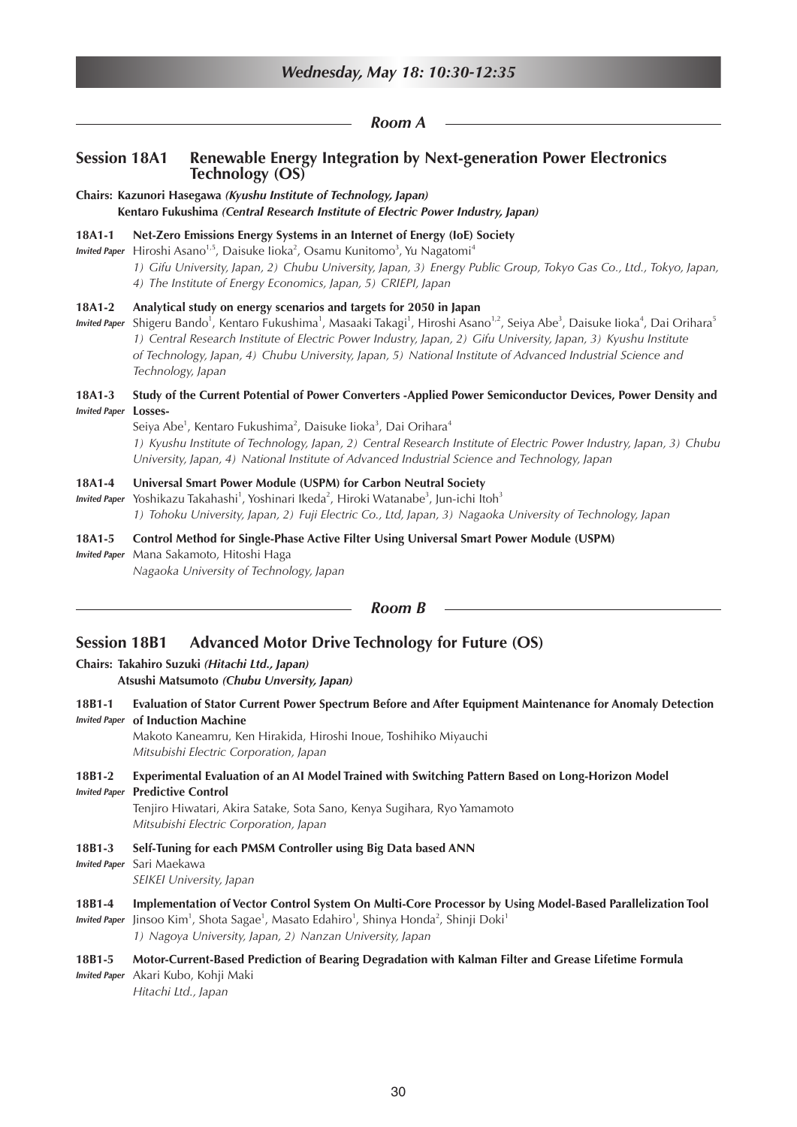|                                | Wednesday, May 18: 10:30-12:35                                                                                                                                                                                                                                                                                                                                                                                                                                                                                                        |  |  |
|--------------------------------|---------------------------------------------------------------------------------------------------------------------------------------------------------------------------------------------------------------------------------------------------------------------------------------------------------------------------------------------------------------------------------------------------------------------------------------------------------------------------------------------------------------------------------------|--|--|
|                                | Room A                                                                                                                                                                                                                                                                                                                                                                                                                                                                                                                                |  |  |
| <b>Session 18A1</b>            | Renewable Energy Integration by Next-generation Power Electronics<br><b>Technology (OS)</b>                                                                                                                                                                                                                                                                                                                                                                                                                                           |  |  |
|                                | Chairs: Kazunori Hasegawa (Kyushu Institute of Technology, Japan)<br>Kentaro Fukushima (Central Research Institute of Electric Power Industry, Japan)                                                                                                                                                                                                                                                                                                                                                                                 |  |  |
| 18A1-1<br><b>Invited Paper</b> | Net-Zero Emissions Energy Systems in an Internet of Energy (IoE) Society<br>Hiroshi Asano <sup>1,5</sup> , Daisuke lioka <sup>2</sup> , Osamu Kunitomo <sup>3</sup> , Yu Nagatomi <sup>4</sup><br>1) Gifu University, Japan, 2) Chubu University, Japan, 3) Energy Public Group, Tokyo Gas Co., Ltd., Tokyo, Japan,<br>4) The Institute of Energy Economics, Japan, 5) CRIEPI, Japan                                                                                                                                                  |  |  |
| 18A1-2<br><b>Invited Paper</b> | Analytical study on energy scenarios and targets for 2050 in Japan<br>Shigeru Bando <sup>1</sup> , Kentaro Fukushima <sup>1</sup> , Masaaki Takagi <sup>1</sup> , Hiroshi Asano <sup>1,2</sup> , Seiya Abe <sup>3</sup> , Daisuke Iioka <sup>4</sup> , Dai Orihara <sup>5</sup><br>1) Central Research Institute of Electric Power Industry, Japan, 2) Gifu University, Japan, 3) Kyushu Institute<br>of Technology, Japan, 4) Chubu University, Japan, 5) National Institute of Advanced Industrial Science and<br>Technology, Japan |  |  |
| 18A1-3<br><b>Invited Paper</b> | Study of the Current Potential of Power Converters -Applied Power Semiconductor Devices, Power Density and<br>Losses-<br>Seiya Abe <sup>1</sup> , Kentaro Fukushima <sup>2</sup> , Daisuke lioka <sup>3</sup> , Dai Orihara <sup>4</sup><br>1) Kyushu Institute of Technology, Japan, 2) Central Research Institute of Electric Power Industry, Japan, 3) Chubu<br>University, Japan, 4) National Institute of Advanced Industrial Science and Technology, Japan                                                                      |  |  |
| 18A1-4<br><b>Invited Paper</b> | Universal Smart Power Module (USPM) for Carbon Neutral Society<br>Yoshikazu Takahashi <sup>1</sup> , Yoshinari Ikeda <sup>2</sup> , Hiroki Watanabe <sup>3</sup> , Jun-ichi Itoh <sup>3</sup><br>1) Tohoku University, Japan, 2) Fuji Electric Co., Ltd, Japan, 3) Nagaoka University of Technology, Japan                                                                                                                                                                                                                            |  |  |
| 18A1-5<br><b>Invited Paper</b> | Control Method for Single-Phase Active Filter Using Universal Smart Power Module (USPM)<br>Mana Sakamoto, Hitoshi Haga<br>Nagaoka University of Technology, Japan                                                                                                                                                                                                                                                                                                                                                                     |  |  |
|                                | <b>Room B</b>                                                                                                                                                                                                                                                                                                                                                                                                                                                                                                                         |  |  |
| <b>Session 18B1</b>            | <b>Advanced Motor Drive Technology for Future (OS)</b><br>Chairs: Takahiro Suzuki (Hitachi Ltd., Japan)<br>Atsushi Matsumoto (Chubu Unversity, Japan)                                                                                                                                                                                                                                                                                                                                                                                 |  |  |
| 18B1-1<br><b>Invited Paper</b> | Evaluation of Stator Current Power Spectrum Before and After Equipment Maintenance for Anomaly Detection<br>of Induction Machine<br>Makoto Kaneamru, Ken Hirakida, Hiroshi Inoue, Toshihiko Miyauchi<br>Mitsubishi Electric Corporation, Japan                                                                                                                                                                                                                                                                                        |  |  |
| 18B1-2<br><b>Invited Paper</b> | Experimental Evaluation of an AI Model Trained with Switching Pattern Based on Long-Horizon Model<br><b>Predictive Control</b><br>Tenjiro Hiwatari, Akira Satake, Sota Sano, Kenya Sugihara, Ryo Yamamoto<br>Mitsubishi Electric Corporation, Japan                                                                                                                                                                                                                                                                                   |  |  |
| 18B1-3<br><b>Invited Paper</b> | Self-Tuning for each PMSM Controller using Big Data based ANN<br>Sari Maekawa<br>SEIKEI University, Japan                                                                                                                                                                                                                                                                                                                                                                                                                             |  |  |
| 18B1-4<br><b>Invited Paper</b> | Implementation of Vector Control System On Multi-Core Processor by Using Model-Based Parallelization Tool<br>Jinsoo Kim <sup>1</sup> , Shota Sagae <sup>1</sup> , Masato Edahiro <sup>1</sup> , Shinya Honda <sup>2</sup> , Shinji Doki <sup>1</sup><br>1) Nagoya University, Japan, 2) Nanzan University, Japan                                                                                                                                                                                                                      |  |  |
| 18B1-5<br><b>Invited Paper</b> | Motor-Current-Based Prediction of Bearing Degradation with Kalman Filter and Grease Lifetime Formula<br>Akari Kubo, Kohji Maki<br>Hitachi Ltd., Japan                                                                                                                                                                                                                                                                                                                                                                                 |  |  |
|                                |                                                                                                                                                                                                                                                                                                                                                                                                                                                                                                                                       |  |  |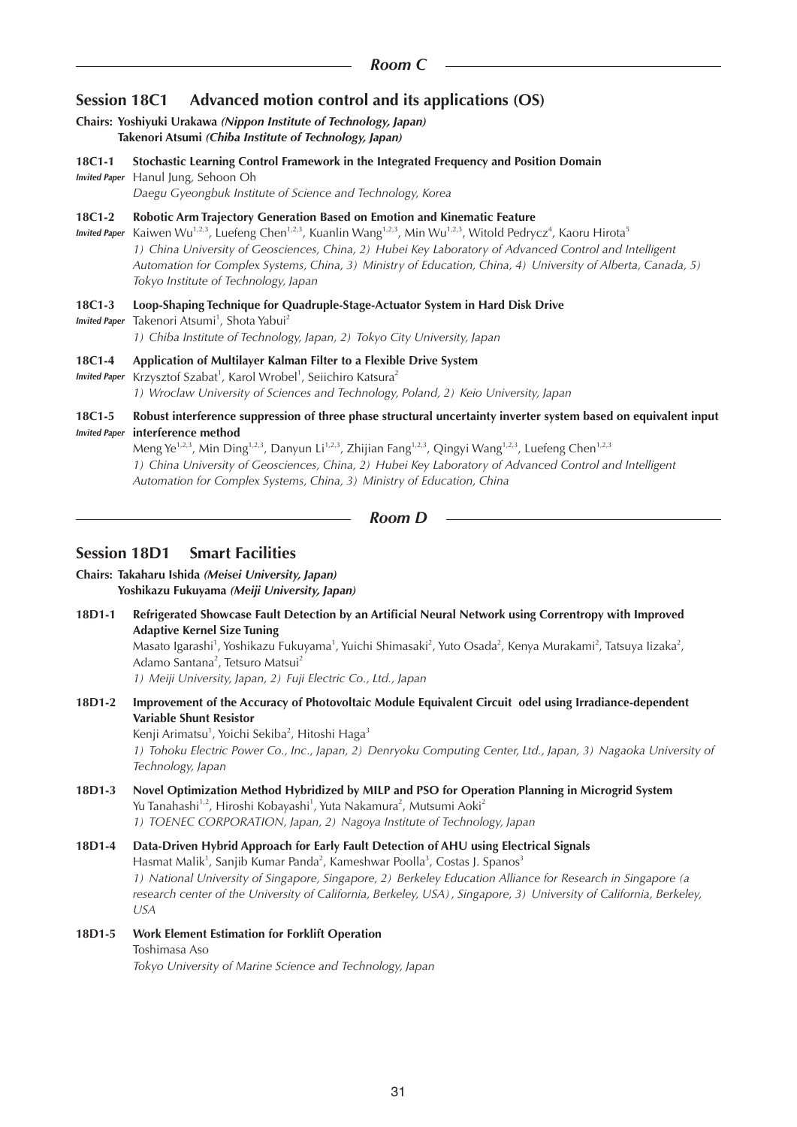## **Session 18C1 Advanced motion control and its applications (OS)**

#### **Chairs: Yoshiyuki Urakawa** *(Nippon Institute of Technology, Japan)* **Takenori Atsumi** *(Chiba Institute of Technology, Japan)*

- **18C1-1 Stochastic Learning Control Framework in the Integrated Frequency and Position Domain**
- *Invited Paper* Hanul Jung, Sehoon Oh *Daegu Gyeongbuk Institute of Science and Technology, Korea*

#### **18C1-2 Robotic Arm Trajectory Generation Based on Emotion and Kinematic Feature**

Invited Paper Kaiwen Wu<sup>1,2,3</sup>, Luefeng Chen<sup>1,2,3</sup>, Kuanlin Wang<sup>1,2,3</sup>, Min Wu<sup>1,2,3</sup>, Witold Pedrycz<sup>4</sup>, Kaoru Hirota<sup>5</sup> *1) China University of Geosciences, China, 2) Hubei Key Laboratory of Advanced Control and Intelligent Automation for Complex Systems, China, 3) Ministry of Education, China, 4) University of Alberta, Canada, 5) Tokyo Institute of Technology, Japan*

#### **18C1-3 Loop-Shaping Technique for Quadruple-Stage-Actuator System in Hard Disk Drive**

*Invited Paper* Takenori Atsumi<sup>1</sup>, Shota Yabui<sup>2</sup>

*1) Chiba Institute of Technology, Japan, 2) Tokyo City University, Japan*

#### **18C1-4 Application of Multilayer Kalman Filter to a Flexible Drive System**

Invited Paper Krzysztof Szabat<sup>1</sup>, Karol Wrobel<sup>1</sup>, Seiichiro Katsura<sup>2</sup> *1) Wroclaw University of Sciences and Technology, Poland, 2) Keio University, Japan*

#### **18C1-5 Robust interference suppression of three phase structural uncertainty inverter system based on equivalent input**  *Invited Paper* **interference method**

Meng Ye<sup>1,2,3</sup>, Min Ding<sup>1,2,3</sup>, Danyun Li<sup>1,2,3</sup>, Zhijian Fang<sup>1,2,3</sup>, Qingyi Wang<sup>1,2,3</sup>, Luefeng Chen<sup>1,2,3</sup> *1) China University of Geosciences, China, 2) Hubei Key Laboratory of Advanced Control and Intelligent Automation for Complex Systems, China, 3) Ministry of Education, China*

```
Room D
```
## **Session 18D1 Smart Facilities**

#### **Chairs: Takaharu Ishida** *(Meisei University, Japan)* **Yoshikazu Fukuyama** *(Meiji University, Japan)*

**18D1-1 Refrigerated Showcase Fault Detection by an Artificial Neural Network using Correntropy with Improved Adaptive Kernel Size Tuning**

Masato Igarashi<sup>1</sup>, Yoshikazu Fukuyama<sup>1</sup>, Yuichi Shimasaki<sup>2</sup>, Yuto Osada<sup>2</sup>, Kenya Murakami<sup>2</sup>, Tatsuya Iizaka<sup>2</sup>, Adamo Santana<sup>2</sup>, Tetsuro Matsui<sup>2</sup>

*1) Meiji University, Japan, 2) Fuji Electric Co., Ltd., Japan*

**18D1-2 Improvement of the Accuracy of Photovoltaic Module Equivalent Circuit odel using Irradiance-dependent Variable Shunt Resistor** Kenji Arimatsu<sup>1</sup>, Yoichi Sekiba<sup>2</sup>, Hitoshi Haga<sup>3</sup>

1) Tohoku Electric Power Co., Inc., Japan, 2) Denryoku Computing Center, Ltd., Japan, 3) Nagaoka University of *Technology, Japan*

**18D1-3 Novel Optimization Method Hybridized by MILP and PSO for Operation Planning in Microgrid System** Yu Tanahashi<sup>1,2</sup>, Hiroshi Kobayashi<sup>1</sup>, Yuta Nakamura<sup>2</sup>, Mutsumi Aoki<sup>2</sup> *1) TOENEC CORPORATION, Japan, 2) Nagoya Institute of Technology, Japan*

## **18D1-4 Data-Driven Hybrid Approach for Early Fault Detection of AHU using Electrical Signals** Hasmat Malik<sup>1</sup>, Sanjib Kumar Panda<sup>2</sup>, Kameshwar Poolla<sup>3</sup>, Costas J. Spanos<sup>3</sup> *1) National University of Singapore, Singapore, 2) Berkeley Education Alliance for Research in Singapore (a research center of the University of California, Berkeley, USA), Singapore, 3) University of California, Berkeley, USA*

#### **18D1-5 Work Element Estimation for Forklift Operation** Toshimasa Aso

*Tokyo University of Marine Science and Technology, Japan*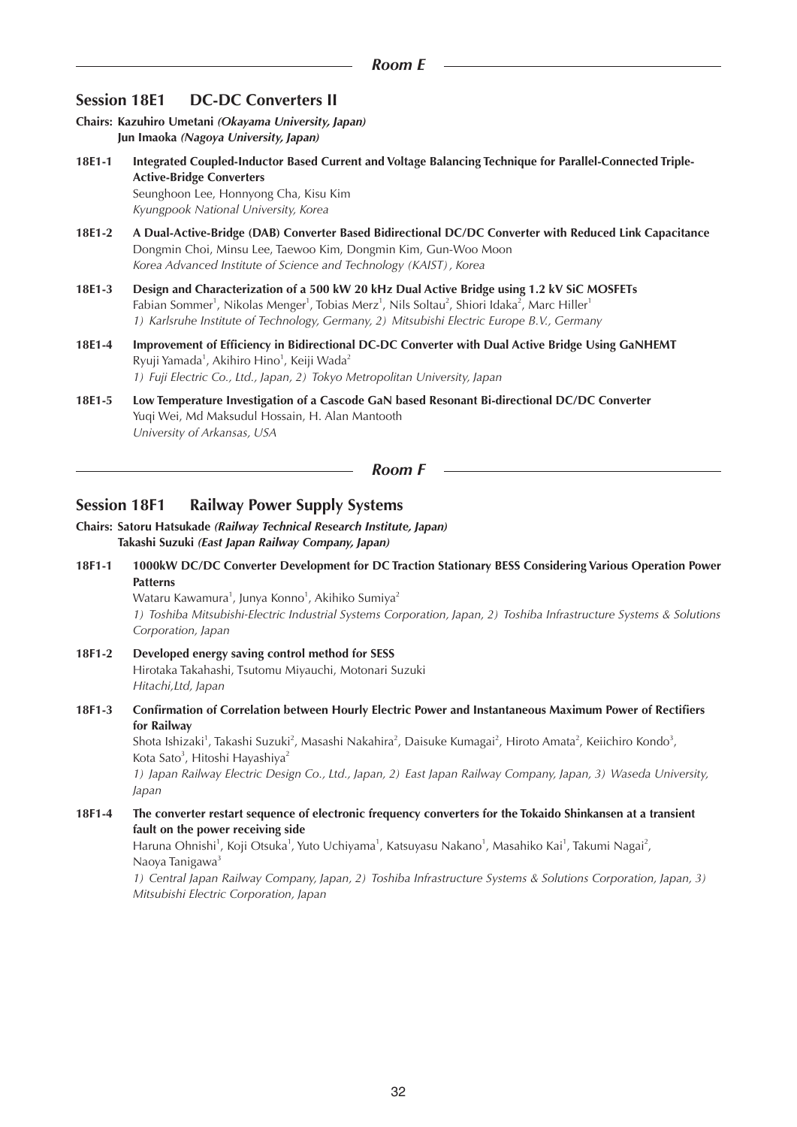## **Session 18E1 DC-DC Converters II**

**Chairs: Kazuhiro Umetani** *(Okayama University, Japan)* **Jun Imaoka** *(Nagoya University, Japan)*

- **18E1-1 Integrated Coupled-Inductor Based Current and Voltage Balancing Technique for Parallel-Connected Triple-Active-Bridge Converters** Seunghoon Lee, Honnyong Cha, Kisu Kim *Kyungpook National University, Korea*
- **18E1-2 A Dual-Active-Bridge (DAB) Converter Based Bidirectional DC/DC Converter with Reduced Link Capacitance** Dongmin Choi, Minsu Lee, Taewoo Kim, Dongmin Kim, Gun-Woo Moon *Korea Advanced Institute of Science and Technology (KAIST), Korea*
- **18E1-3 Design and Characterization of a 500 kW 20 kHz Dual Active Bridge using 1.2 kV SiC MOSFETs** Fabian Sommer<sup>1</sup>, Nikolas Menger<sup>1</sup>, Tobias Merz<sup>1</sup>, Nils Soltau<sup>2</sup>, Shiori Idaka<sup>2</sup>, Marc Hiller<sup>1</sup> *1) Karlsruhe Institute of Technology, Germany, 2) Mitsubishi Electric Europe B.V., Germany*
- **18E1-4 Improvement of Efficiency in Bidirectional DC-DC Converter with Dual Active Bridge Using GaNHEMT** Ryuji Yamada<sup>1</sup>, Akihiro Hino<sup>1</sup>, Keiji Wada<sup>2</sup> *1) Fuji Electric Co., Ltd., Japan, 2) Tokyo Metropolitan University, Japan*
- **18E1-5 Low Temperature Investigation of a Cascode GaN based Resonant Bi-directional DC/DC Converter** Yuqi Wei, Md Maksudul Hossain, H. Alan Mantooth *University of Arkansas, USA*

#### *Room F*

## **Session 18F1 Railway Power Supply Systems**

- **Chairs: Satoru Hatsukade** *(Railway Technical Research Institute, Japan)* **Takashi Suzuki** *(East Japan Railway Company, Japan)*
- **18F1-1 1000kW DC/DC Converter Development for DC Traction Stationary BESS Considering Various Operation Power Patterns**

Wataru Kawamura<sup>1</sup>, Junya Konno<sup>1</sup>, Akihiko Sumiya<sup>2</sup> *1) Toshiba Mitsubishi-Electric Industrial Systems Corporation, Japan, 2) Toshiba Infrastructure Systems & Solutions Corporation, Japan*

- **18F1-2 Developed energy saving control method for SESS** Hirotaka Takahashi, Tsutomu Miyauchi, Motonari Suzuki *Hitachi,Ltd, Japan*
- **18F1-3 Confirmation of Correlation between Hourly Electric Power and Instantaneous Maximum Power of Rectifiers for Railway**

Shota Ishizaki<sup>1</sup>, Takashi Suzuki<sup>2</sup>, Masashi Nakahira<sup>2</sup>, Daisuke Kumagai<sup>2</sup>, Hiroto Amata<sup>2</sup>, Keiichiro Kondo<sup>3</sup>, Kota Sato<sup>3</sup>, Hitoshi Hayashiya<sup>2</sup>

*1) Japan Railway Electric Design Co., Ltd., Japan, 2) East Japan Railway Company, Japan, 3) Waseda University, Japan*

**18F1-4 The converter restart sequence of electronic frequency converters for the Tokaido Shinkansen at a transient fault on the power receiving side**

Haruna Ohnishi<sup>1</sup>, Koji Otsuka<sup>1</sup>, Yuto Uchiyama<sup>1</sup>, Katsuyasu Nakano<sup>1</sup>, Masahiko Kai<sup>1</sup>, Takumi Nagai<sup>2</sup>, Naoya Tanigawa<sup>3</sup>

*1) Central Japan Railway Company, Japan, 2) Toshiba Infrastructure Systems & Solutions Corporation, Japan, 3) Mitsubishi Electric Corporation, Japan*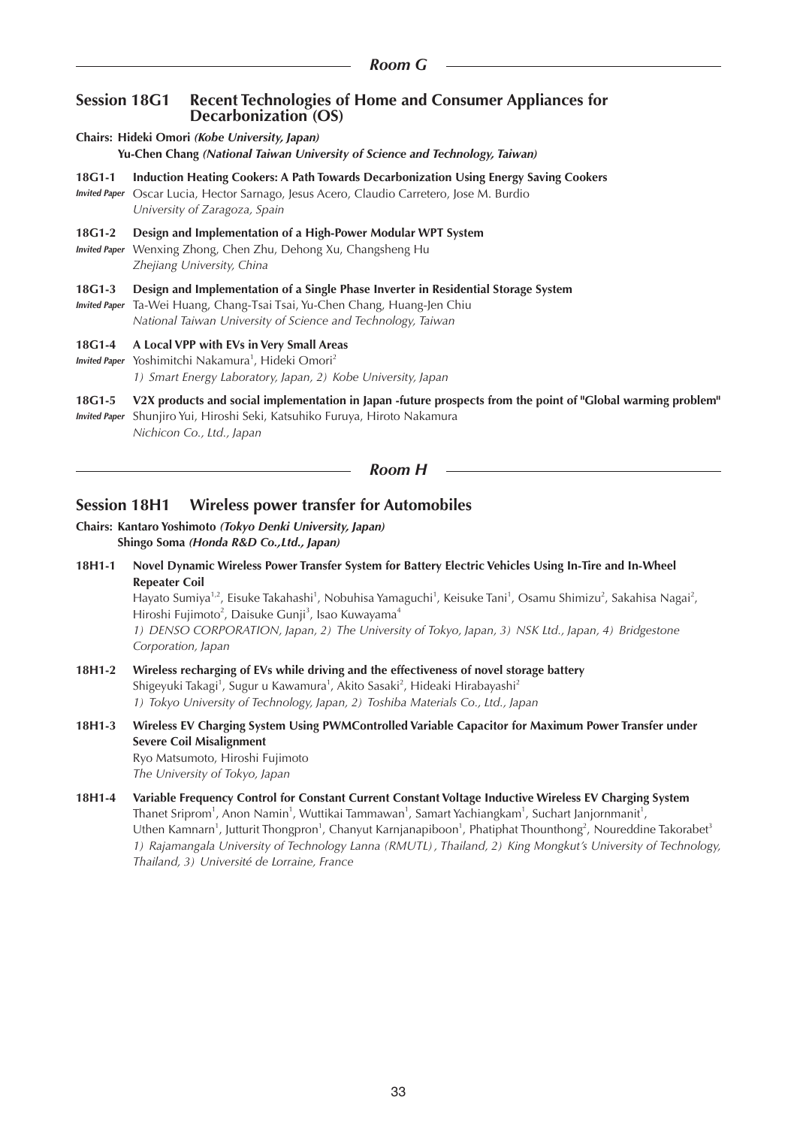## **Session 18G1 Recent Technologies of Home and Consumer Appliances for Decarbonization (OS)**

- **Chairs: Hideki Omori** *(Kobe University, Japan)* **Yu-Chen Chang** *(National Taiwan University of Science and Technology, Taiwan)* **18G1-1 Induction Heating Cookers: A Path Towards Decarbonization Using Energy Saving Cookers**
- *Invited Paper* Oscar Lucia, Hector Sarnago, Jesus Acero, Claudio Carretero, Jose M. Burdio *University of Zaragoza, Spain*
- **18G1-2 Design and Implementation of a High-Power Modular WPT System**

*Invited Paper* Wenxing Zhong, Chen Zhu, Dehong Xu, Changsheng Hu *Zhejiang University, China*

**18G1-3 Design and Implementation of a Single Phase Inverter in Residential Storage System**

*Invited Paper* Ta-Wei Huang, Chang-Tsai Tsai, Yu-Chen Chang, Huang-Jen Chiu *National Taiwan University of Science and Technology, Taiwan*

#### **18G1-4 A Local VPP with EVs in Very Small Areas**

- Invited Paper Yoshimitchi Nakamura<sup>1</sup>, Hideki Omori<sup>2</sup> *1) Smart Energy Laboratory, Japan, 2) Kobe University, Japan*
- **18G1-5 V2X products and social implementation in Japan -future prospects from the point of "Global warming problem"**
- *Invited Paper* Shunjiro Yui, Hiroshi Seki, Katsuhiko Furuya, Hiroto Nakamura *Nichicon Co., Ltd., Japan*

*Room H*

# **Session 18H1 Wireless power transfer for Automobiles**

#### **Chairs: Kantaro Yoshimoto** *(Tokyo Denki University, Japan)* **Shingo Soma** *(Honda R&D Co.,Ltd., Japan)*

**18H1-1 Novel Dynamic Wireless Power Transfer System for Battery Electric Vehicles Using In-Tire and In-Wheel Repeater Coil**

Hayato Sumiya<sup>1,2</sup>, Eisuke Takahashi<sup>1</sup>, Nobuhisa Yamaguchi<sup>1</sup>, Keisuke Tani<sup>1</sup>, Osamu Shimizu<sup>2</sup>, Sakahisa Nagai<sup>2</sup>, Hiroshi Fujimoto<sup>2</sup>, Daisuke Gunji<sup>3</sup>, Isao Kuwayama<sup>4</sup> *1) DENSO CORPORATION, Japan, 2) The University of Tokyo, Japan, 3) NSK Ltd., Japan, 4) Bridgestone Corporation, Japan*

- **18H1-2 Wireless recharging of EVs while driving and the effectiveness of novel storage battery** Shigeyuki Takagi $^1$ , Sugur u Kawamura $^1$ , Akito Sasaki $^2$ , Hideaki Hirabayashi $^2$ *1) Tokyo University of Technology, Japan, 2) Toshiba Materials Co., Ltd., Japan*
- **18H1-3 Wireless EV Charging System Using PWMControlled Variable Capacitor for Maximum Power Transfer under Severe Coil Misalignment** Ryo Matsumoto, Hiroshi Fujimoto *The University of Tokyo, Japan*
- **18H1-4 Variable Frequency Control for Constant Current Constant Voltage Inductive Wireless EV Charging System** Thanet Sriprom<sup>1</sup>, Anon Namin<sup>1</sup>, Wuttikai Tammawan<sup>1</sup>, Samart Yachiangkam<sup>1</sup>, Suchart Janjornmanit<sup>1</sup>, Uthen Kamnarn<sup>1</sup>, Jutturit Thongpron<sup>1</sup>, Chanyut Karnjanapiboon<sup>1</sup>, Phatiphat Thounthong<sup>2</sup>, Noureddine Takorabet<sup>3</sup> *1) Rajamangala University of Technology Lanna (RMUTL), Thailand, 2) King Mongkut's University of Technology, Thailand, 3) Université de Lorraine, France*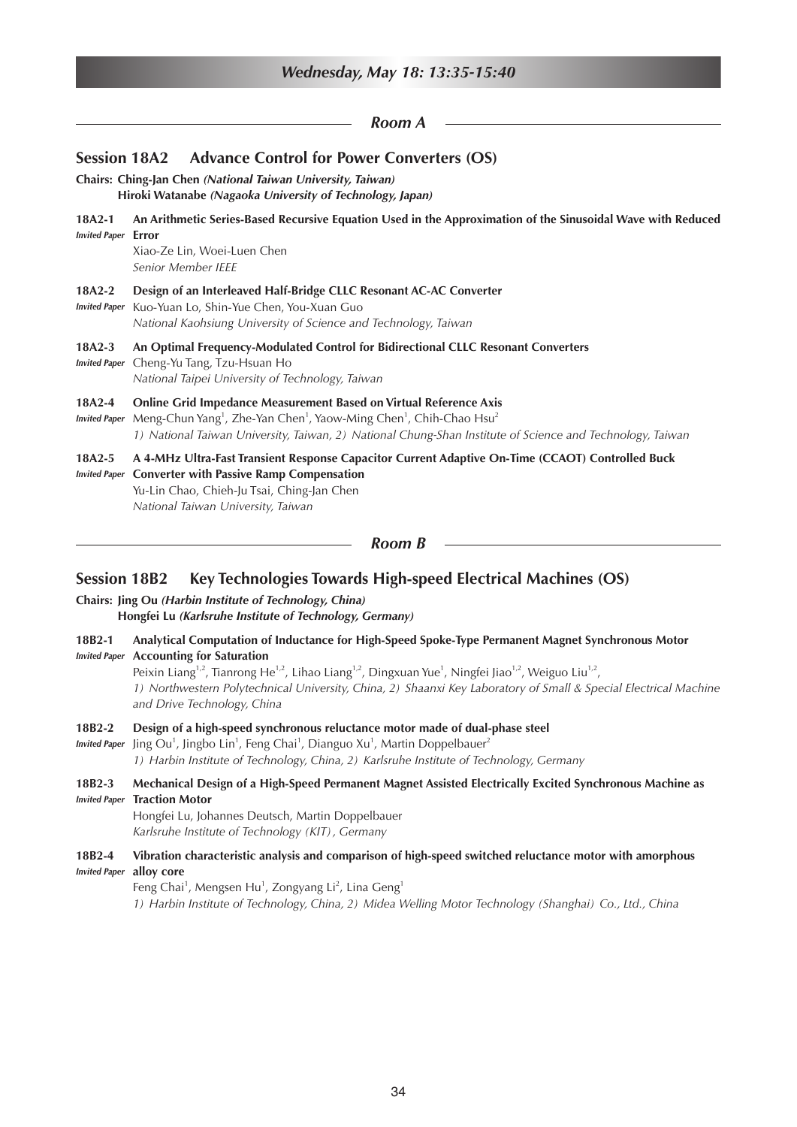|                                        | Wednesday, May 18: 13:35-15:40                                                                                                                                                                                                                                                                                                       |
|----------------------------------------|--------------------------------------------------------------------------------------------------------------------------------------------------------------------------------------------------------------------------------------------------------------------------------------------------------------------------------------|
|                                        | Room A                                                                                                                                                                                                                                                                                                                               |
| <b>Session 18A2</b>                    | <b>Advance Control for Power Converters (OS)</b>                                                                                                                                                                                                                                                                                     |
|                                        | Chairs: Ching-Jan Chen (National Taiwan University, Taiwan)<br>Hiroki Watanabe (Nagaoka University of Technology, Japan)                                                                                                                                                                                                             |
| $18A2-1$<br><b>Invited Paper Error</b> | An Arithmetic Series-Based Recursive Equation Used in the Approximation of the Sinusoidal Wave with Reduced<br>Xiao-Ze Lin, Woei-Luen Chen<br>Senior Member IEEE                                                                                                                                                                     |
| 18A2-2<br><b>Invited Paper</b>         | Design of an Interleaved Half-Bridge CLLC Resonant AC-AC Converter<br>Kuo-Yuan Lo, Shin-Yue Chen, You-Xuan Guo<br>National Kaohsiung University of Science and Technology, Taiwan                                                                                                                                                    |
| 18A2-3<br><b>Invited Paper</b>         | An Optimal Frequency-Modulated Control for Bidirectional CLLC Resonant Converters<br>Cheng-Yu Tang, Tzu-Hsuan Ho<br>National Taipei University of Technology, Taiwan                                                                                                                                                                 |
| 18A2-4<br><b>Invited Paper</b>         | Online Grid Impedance Measurement Based on Virtual Reference Axis<br>Meng-Chun Yang <sup>1</sup> , Zhe-Yan Chen <sup>1</sup> , Yaow-Ming Chen <sup>1</sup> , Chih-Chao Hsu <sup>2</sup><br>1) National Taiwan University, Taiwan, 2) National Chung-Shan Institute of Science and Technology, Taiwan                                 |
| 18A2-5<br><b>Invited Paper</b>         | A 4-MHz Ultra-Fast Transient Response Capacitor Current Adaptive On-Time (CCAOT) Controlled Buck<br><b>Converter with Passive Ramp Compensation</b><br>Yu-Lin Chao, Chieh-Ju Tsai, Ching-Jan Chen<br>National Taiwan University, Taiwan                                                                                              |
|                                        | <b>Room B</b>                                                                                                                                                                                                                                                                                                                        |
| <b>Session 18B2</b>                    | Key Technologies Towards High-speed Electrical Machines (OS)                                                                                                                                                                                                                                                                         |
|                                        | Chairs: Jing Ou (Harbin Institute of Technology, China)<br>Hongfei Lu (Karlsruhe Institute of Technology, Germany)                                                                                                                                                                                                                   |
| 18B2-1                                 | Analytical Computation of Inductance for High-Speed Spoke-Type Permanent Magnet Synchronous Motor<br><b>Invited Paper</b> Accounting for Saturation<br>Peixin Liang <sup>1,2</sup> , Tianrong He <sup>1,2</sup> , Lihao Liang <sup>1,2</sup> , Dingxuan Yue <sup>1</sup> , Ningfei Jiao <sup>1,2</sup> , Weiguo Liu <sup>1,2</sup> , |

*1) Northwestern Polytechnical University, China, 2) Shaanxi Key Laboratory of Small & Special Electrical Machine and Drive Technology, China*

## **18B2-2 Design of a high-speed synchronous reluctance motor made of dual-phase steel**

Invited Paper Jing Ou<sup>1</sup>, Jingbo Lin<sup>1</sup>, Feng Chai<sup>1</sup>, Dianguo Xu<sup>1</sup>, Martin Doppelbauer<sup>2</sup> *1) Harbin Institute of Technology, China, 2) Karlsruhe Institute of Technology, Germany*

**18B2-3 Mechanical Design of a High-Speed Permanent Magnet Assisted Electrically Excited Synchronous Machine as**  *Invited Paper* **Traction Motor**

Hongfei Lu, Johannes Deutsch, Martin Doppelbauer *Karlsruhe Institute of Technology (KIT), Germany*

## **18B2-4 Vibration characteristic analysis and comparison of high-speed switched reluctance motor with amorphous**  *Invited Paper* **alloy core**

Feng Chai<sup>1</sup>, Mengsen Hu<sup>1</sup>, Zongyang Li<sup>2</sup>, Lina Geng<sup>1</sup> *1) Harbin Institute of Technology, China, 2) Midea Welling Motor Technology (Shanghai) Co., Ltd., China*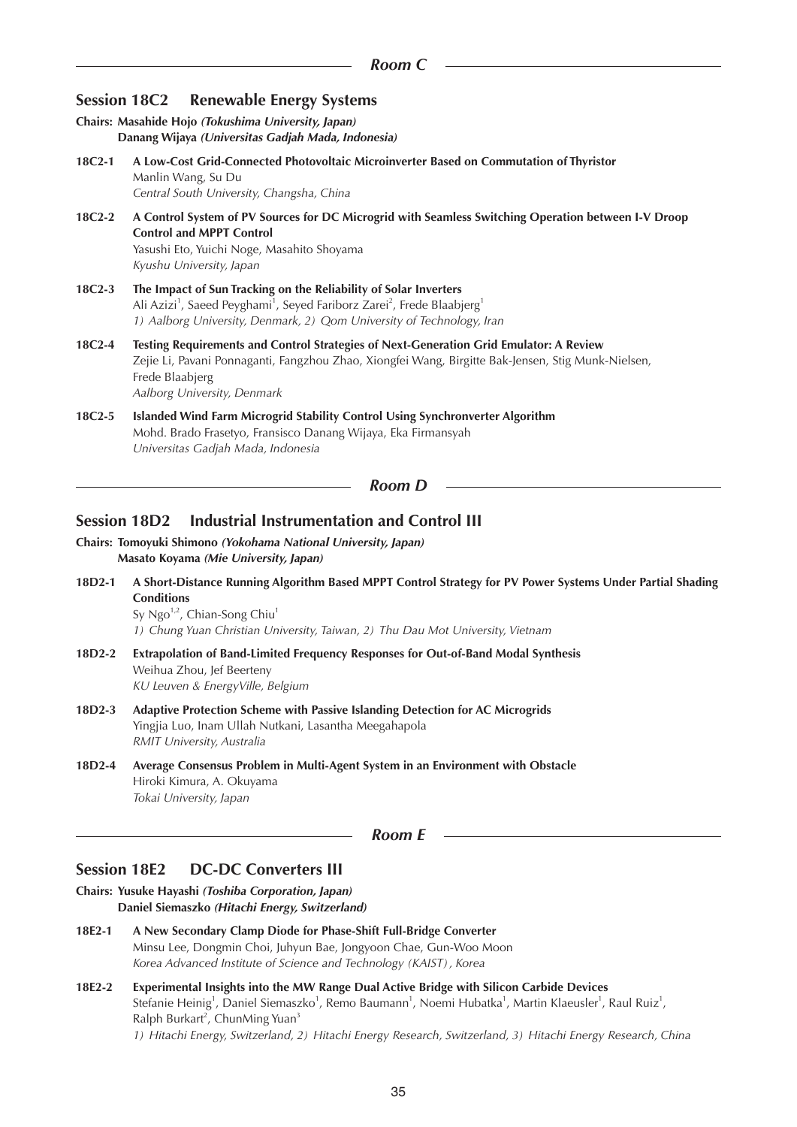# **Session 18C2 Renewable Energy Systems**

|          | Chairs: Masahide Hojo (Tokushima University, Japan)<br>Danang Wijaya (Universitas Gadjah Mada, Indonesia)                                                                                                                                                            |
|----------|----------------------------------------------------------------------------------------------------------------------------------------------------------------------------------------------------------------------------------------------------------------------|
| $18C2-1$ | A Low-Cost Grid-Connected Photovoltaic Microinverter Based on Commutation of Thyristor<br>Manlin Wang, Su Du<br>Central South University, Changsha, China                                                                                                            |
| 18C2-2   | A Control System of PV Sources for DC Microgrid with Seamless Switching Operation between I-V Droop<br><b>Control and MPPT Control</b><br>Yasushi Eto, Yuichi Noge, Masahito Shoyama<br>Kyushu University, Japan                                                     |
| 18C2-3   | The Impact of Sun Tracking on the Reliability of Solar Inverters<br>Ali Azizi <sup>1</sup> , Saeed Peyghami <sup>1</sup> , Seyed Fariborz Zarei <sup>2</sup> , Frede Blaabjerg <sup>1</sup><br>1) Aalborg University, Denmark, 2) Qom University of Technology, Iran |
| 18C2-4   | Testing Requirements and Control Strategies of Next-Generation Grid Emulator: A Review<br>Zejie Li, Pavani Ponnaganti, Fangzhou Zhao, Xiongfei Wang, Birgitte Bak-Jensen, Stig Munk-Nielsen,<br>Frede Blaabjerg<br>Aalborg University, Denmark                       |
| 18C2-5   | Islanded Wind Farm Microgrid Stability Control Using Synchronverter Algorithm<br>Mohd. Brado Frasetyo, Fransisco Danang Wijaya, Eka Firmansyah<br>Universitas Gadjah Mada, Indonesia                                                                                 |
|          | Room D                                                                                                                                                                                                                                                               |

# **Session 18D2 Industrial Instrumentation and Control III**

**Chairs: Tomoyuki Shimono** *(Yokohama National University, Japan)* **Masato Koyama** *(Mie University, Japan)*

**18D2-1 A Short-Distance Running Algorithm Based MPPT Control Strategy for PV Power Systems Under Partial Shading Conditions** Sy Ngo<sup>1,2</sup>, Chian-Song Chiu<sup>1</sup>

*1) Chung Yuan Christian University, Taiwan, 2) Thu Dau Mot University, Vietnam*

- **18D2-2 Extrapolation of Band-Limited Frequency Responses for Out-of-Band Modal Synthesis** Weihua Zhou, Jef Beerteny *KU Leuven & EnergyVille, Belgium*
- **18D2-3 Adaptive Protection Scheme with Passive Islanding Detection for AC Microgrids** Yingjia Luo, Inam Ullah Nutkani, Lasantha Meegahapola *RMIT University, Australia*
- **18D2-4 Average Consensus Problem in Multi-Agent System in an Environment with Obstacle** Hiroki Kimura, A. Okuyama *Tokai University, Japan*

#### *Room E*

## **Session 18E2 DC-DC Converters III**

- **Chairs: Yusuke Hayashi** *(Toshiba Corporation, Japan)* **Daniel Siemaszko** *(Hitachi Energy, Switzerland)*
- **18E2-1 A New Secondary Clamp Diode for Phase-Shift Full-Bridge Converter** Minsu Lee, Dongmin Choi, Juhyun Bae, Jongyoon Chae, Gun-Woo Moon *Korea Advanced Institute of Science and Technology (KAIST), Korea*
- **18E2-2 Experimental Insights into the MW Range Dual Active Bridge with Silicon Carbide Devices** Stefanie Heinig<sup>1</sup>, Daniel Siemaszko<sup>1</sup>, Remo Baumann<sup>1</sup>, Noemi Hubatka<sup>1</sup>, Martin Klaeusler<sup>1</sup>, Raul Ruiz<sup>1</sup>, Ralph Burkart<sup>2</sup>, ChunMing Yuan<sup>3</sup> *1) Hitachi Energy, Switzerland, 2) Hitachi Energy Research, Switzerland, 3) Hitachi Energy Research, China*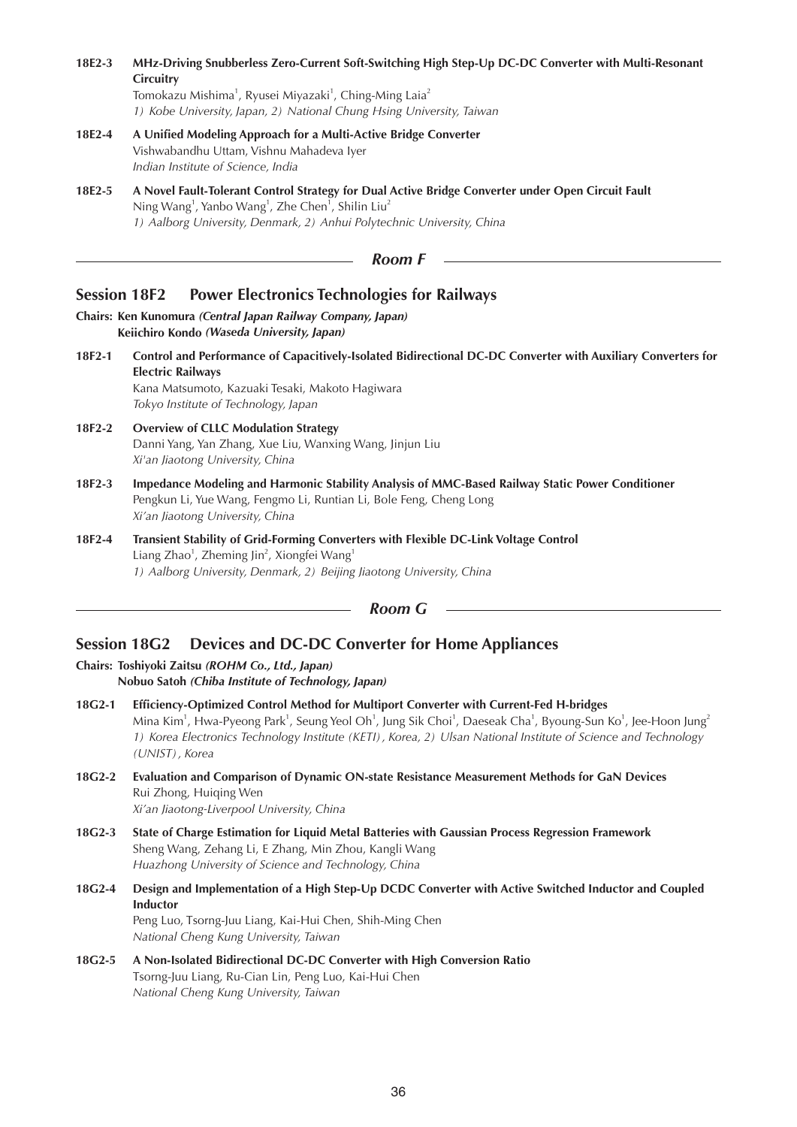| 18E2-3              | MHz-Driving Snubberless Zero-Current Soft-Switching High Step-Up DC-DC Converter with Multi-Resonant<br>Circuitry<br>Tomokazu Mishima <sup>1</sup> , Ryusei Miyazaki <sup>1</sup> , Ching-Ming Laia <sup>2</sup><br>1) Kobe University, Japan, 2) National Chung Hsing University, Taiwan                                                                                                                                         |
|---------------------|-----------------------------------------------------------------------------------------------------------------------------------------------------------------------------------------------------------------------------------------------------------------------------------------------------------------------------------------------------------------------------------------------------------------------------------|
| 18E2-4              | A Unified Modeling Approach for a Multi-Active Bridge Converter<br>Vishwabandhu Uttam, Vishnu Mahadeva Iyer<br>Indian Institute of Science, India                                                                                                                                                                                                                                                                                 |
| 18E2-5              | A Novel Fault-Tolerant Control Strategy for Dual Active Bridge Converter under Open Circuit Fault<br>Ning Wang <sup>1</sup> , Yanbo Wang <sup>1</sup> , Zhe Chen <sup>1</sup> , Shilin Liu <sup>2</sup><br>1) Aalborg University, Denmark, 2) Anhui Polytechnic University, China                                                                                                                                                 |
|                     | <b>Room F</b>                                                                                                                                                                                                                                                                                                                                                                                                                     |
| <b>Session 18F2</b> | <b>Power Electronics Technologies for Railways</b>                                                                                                                                                                                                                                                                                                                                                                                |
|                     | Chairs: Ken Kunomura (Central Japan Railway Company, Japan)<br>Keiichiro Kondo (Waseda University, Japan)                                                                                                                                                                                                                                                                                                                         |
| 18F2-1              | Control and Performance of Capacitively-Isolated Bidirectional DC-DC Converter with Auxiliary Converters for<br><b>Electric Railways</b><br>Kana Matsumoto, Kazuaki Tesaki, Makoto Hagiwara<br>Tokyo Institute of Technology, Japan                                                                                                                                                                                               |
| 18F2-2              | <b>Overview of CLLC Modulation Strategy</b><br>Danni Yang, Yan Zhang, Xue Liu, Wanxing Wang, Jinjun Liu<br>Xi'an Jiaotong University, China                                                                                                                                                                                                                                                                                       |
| 18F2-3              | Impedance Modeling and Harmonic Stability Analysis of MMC-Based Railway Static Power Conditioner<br>Pengkun Li, Yue Wang, Fengmo Li, Runtian Li, Bole Feng, Cheng Long<br>Xi'an Jiaotong University, China                                                                                                                                                                                                                        |
| 18F2-4              | Transient Stability of Grid-Forming Converters with Flexible DC-Link Voltage Control<br>Liang Zhao <sup>1</sup> , Zheming Jin <sup>2</sup> , Xiongfei Wang <sup>1</sup><br>1) Aalborg University, Denmark, 2) Beijing Jiaotong University, China                                                                                                                                                                                  |
|                     | <b>Room G</b>                                                                                                                                                                                                                                                                                                                                                                                                                     |
|                     | <b>Devices and DC-DC Converter for Home Appliances</b><br><b>Session 18G2</b><br>Chairs: Toshiyoki Zaitsu (ROHM Co., Ltd., Japan)<br>Nobuo Satoh (Chiba Institute of Technology, Japan)                                                                                                                                                                                                                                           |
| 18G2-1              | Efficiency-Optimized Control Method for Multiport Converter with Current-Fed H-bridges<br>Mina Kim <sup>1</sup> , Hwa-Pyeong Park <sup>1</sup> , Seung Yeol Oh <sup>1</sup> , Jung Sik Choi <sup>1</sup> , Daeseak Cha <sup>1</sup> , Byoung-Sun Ko <sup>1</sup> , Jee-Hoon Jung <sup>2</sup><br>1) Korea Electronics Technology Institute (KETI), Korea, 2) Ulsan National Institute of Science and Technology<br>(UNIST), Korea |
| 18G2-2              | Evaluation and Comparison of Dynamic ON-state Resistance Measurement Methods for GaN Devices<br>Rui Zhong, Huiqing Wen<br>Xi'an Jiaotong-Liverpool University, China                                                                                                                                                                                                                                                              |
| 18G2-3              | State of Charge Estimation for Liquid Metal Batteries with Gaussian Process Regression Framework<br>Sheng Wang, Zehang Li, E Zhang, Min Zhou, Kangli Wang<br>Huazhong University of Science and Technology, China                                                                                                                                                                                                                 |

## **18G2-4 Design and Implementation of a High Step-Up DCDC Converter with Active Switched Inductor and Coupled Inductor** Peng Luo, Tsorng-Juu Liang, Kai-Hui Chen, Shih-Ming Chen *National Cheng Kung University, Taiwan*

**18G2-5 A Non-Isolated Bidirectional DC-DC Converter with High Conversion Ratio** Tsorng-Juu Liang, Ru-Cian Lin, Peng Luo, Kai-Hui Chen *National Cheng Kung University, Taiwan*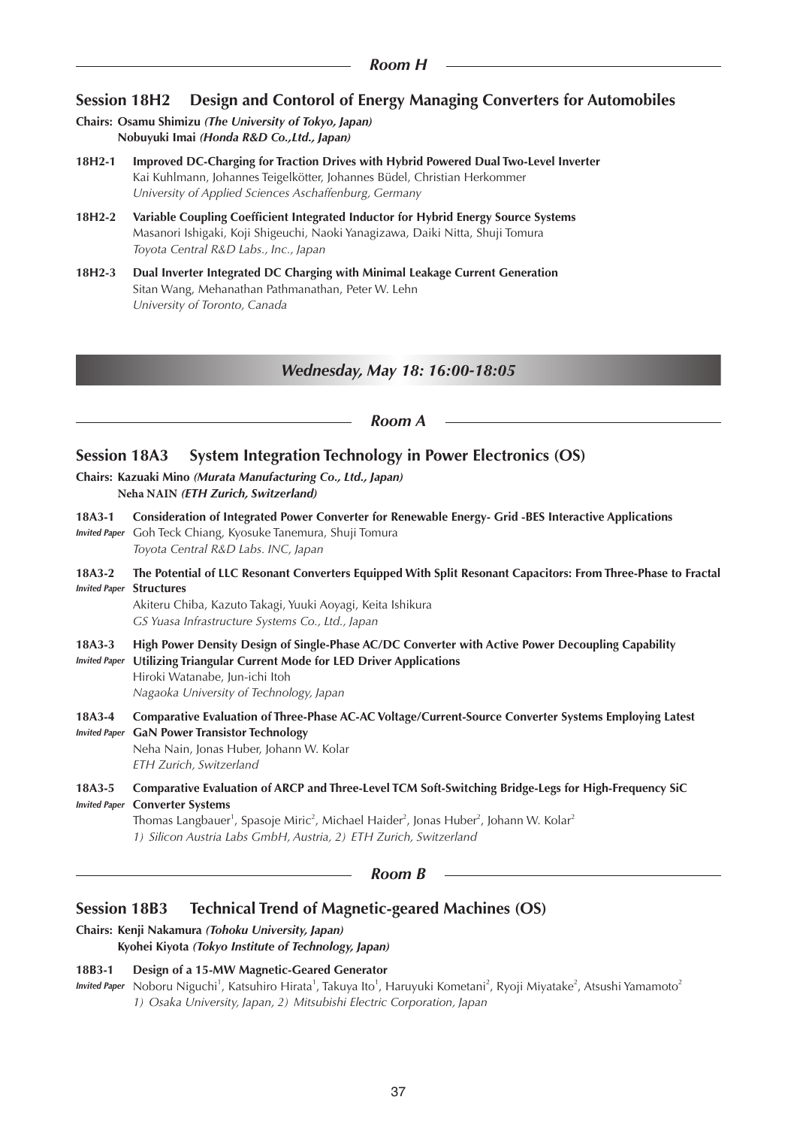# **Session 18H2 Design and Contorol of Energy Managing Converters for Automobiles**

- **Chairs: Osamu Shimizu** *(The University of Tokyo, Japan)* **Nobuyuki Imai** *(Honda R&D Co.,Ltd., Japan)*
- **18H2-1 Improved DC-Charging for Traction Drives with Hybrid Powered Dual Two-Level Inverter** Kai Kuhlmann, Johannes Teigelkötter, Johannes Büdel, Christian Herkommer *University of Applied Sciences Aschaffenburg, Germany*
- **18H2-2 Variable Coupling Coefficient Integrated Inductor for Hybrid Energy Source Systems** Masanori Ishigaki, Koji Shigeuchi, Naoki Yanagizawa, Daiki Nitta, Shuji Tomura *Toyota Central R&D Labs., Inc., Japan*
- **18H2-3 Dual Inverter Integrated DC Charging with Minimal Leakage Current Generation** Sitan Wang, Mehanathan Pathmanathan, Peter W. Lehn *University of Toronto, Canada*

## *Wednesday, May 18: 16:00-18:05*

#### *Room A*

## **Session 18A3 System Integration Technology in Power Electronics (OS)**

**Chairs: Kazuaki Mino** *(Murata Manufacturing Co., Ltd., Japan)* **Neha NAIN** *(ETH Zurich, Switzerland)*

- **18A3-1 Consideration of Integrated Power Converter for Renewable Energy- Grid -BES Interactive Applications** *Invited Paper* Goh Teck Chiang, Kyosuke Tanemura, Shuji Tomura *Toyota Central R&D Labs. INC, Japan*
- **18A3-2 The Potential of LLC Resonant Converters Equipped With Split Resonant Capacitors: From Three-Phase to Fractal** *Invited Paper* **Structures**

Akiteru Chiba, Kazuto Takagi, Yuuki Aoyagi, Keita Ishikura *GS Yuasa Infrastructure Systems Co., Ltd., Japan*

- **18A3-3 High Power Density Design of Single-Phase AC/DC Converter with Active Power Decoupling Capability**
- *Invited Paper* **Utilizing Triangular Current Mode for LED Driver Applications** Hiroki Watanabe, Jun-ichi Itoh *Nagaoka University of Technology, Japan*

**18A3-4 Comparative Evaluation of Three-Phase AC-AC Voltage/Current-Source Converter Systems Employing Latest**  *Invited Paper* **GaN Power Transistor Technology** Neha Nain, Jonas Huber, Johann W. Kolar

*ETH Zurich, Switzerland*

**18A3-5 Comparative Evaluation of ARCP and Three-Level TCM Soft-Switching Bridge-Legs for High-Frequency SiC**  *Invited Paper* **Converter Systems**

Thomas Langbauer<sup>1</sup>, Spasoje Miric<sup>2</sup>, Michael Haider<sup>2</sup>, Jonas Huber<sup>2</sup>, Johann W. Kolar<sup>2</sup> *1) Silicon Austria Labs GmbH, Austria, 2) ETH Zurich, Switzerland*

## *Room B*

## **Session 18B3 Technical Trend of Magnetic-geared Machines (OS)**

#### **Chairs: Kenji Nakamura** *(Tohoku University, Japan)*

**Kyohei Kiyota** *(Tokyo Institute of Technology, Japan)*

#### **18B3-1 Design of a 15-MW Magnetic-Geared Generator**

*Invited Paper* Noboru Niguchi<sup>1</sup>, Katsuhiro Hirata<sup>1</sup>, Takuya Ito<sup>1</sup>, Haruyuki Kometani<sup>2</sup>, Ryoji Miyatake<sup>2</sup>, Atsushi Yamamoto<sup>2</sup> *1) Osaka University, Japan, 2) Mitsubishi Electric Corporation, Japan*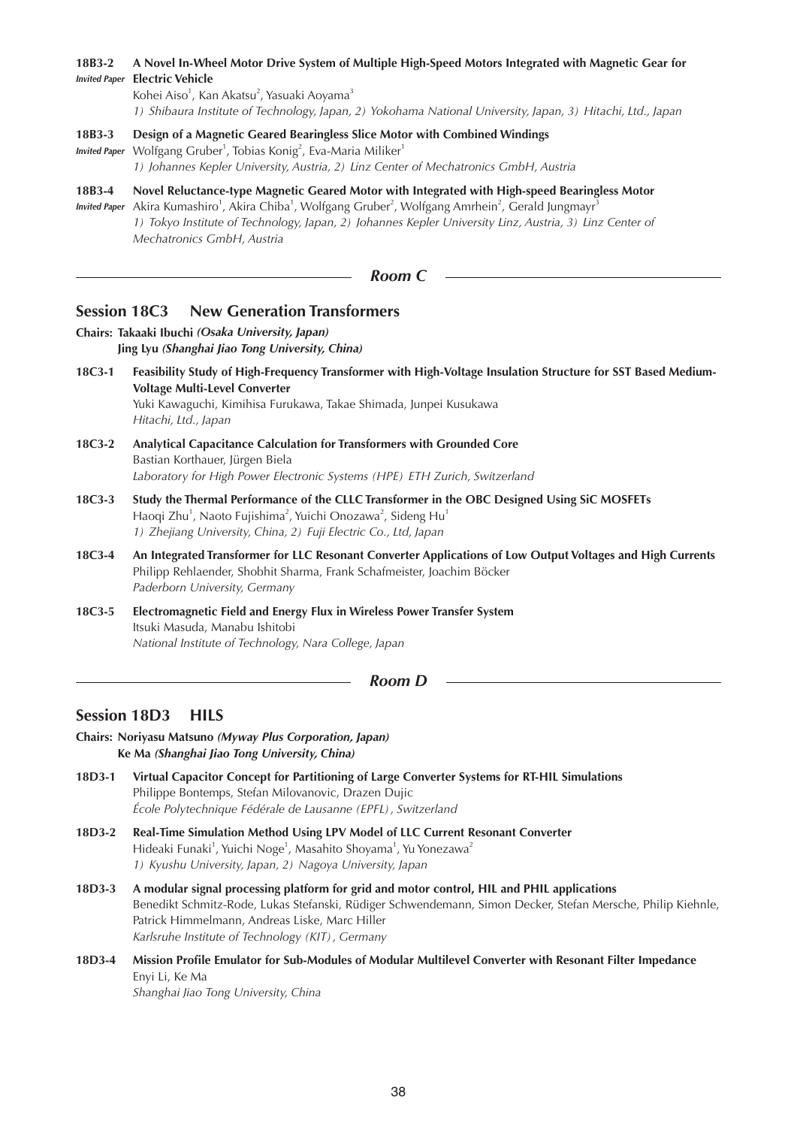# **18B3-2 A Novel In-Wheel Motor Drive System of Multiple High-Speed Motors Integrated with Magnetic Gear for**  *Invited Paper* **Electric Vehicle** Kohei Aiso<sup>1</sup>, Kan Akatsu<sup>2</sup>, Yasuaki Aoyama<sup>3</sup> *1) Shibaura Institute of Technology, Japan, 2) Yokohama National University, Japan, 3) Hitachi, Ltd., Japan* **18B3-3 Design of a Magnetic Geared Bearingless Slice Motor with Combined Windings** Invited Paper Wolfgang Gruber<sup>1</sup>, Tobias Konig<sup>2</sup>, Eva-Maria Miliker<sup>1</sup> *1) Johannes Kepler University, Austria, 2) Linz Center of Mechatronics GmbH, Austria* **18B3-4 Novel Reluctance-type Magnetic Geared Motor with Integrated with High-speed Bearingless Motor** Invited Paper Akira Kumashiro<sup>1</sup>, Akira Chiba<sup>1</sup>, Wolfgang Gruber<sup>2</sup>, Wolfgang Amrhein<sup>2</sup>, Gerald Jungmayr<sup>3</sup> *1) Tokyo Institute of Technology, Japan, 2) Johannes Kepler University Linz, Austria, 3) Linz Center of Mechatronics GmbH, Austria Room C* **Session 18C3 New Generation Transformers Chairs: Takaaki Ibuchi** *(Osaka University, Japan)* **Jing Lyu** *(Shanghai Jiao Tong University, China)* **18C3-1 Feasibility Study of High-Frequency Transformer with High-Voltage Insulation Structure for SST Based Medium-Voltage Multi-Level Converter** Yuki Kawaguchi, Kimihisa Furukawa, Takae Shimada, Junpei Kusukawa *Hitachi, Ltd., Japan* **18C3-2 Analytical Capacitance Calculation for Transformers with Grounded Core** Bastian Korthauer, Jürgen Biela *Laboratory for High Power Electronic Systems (HPE) ETH Zurich, Switzerland* **18C3-3 Study the Thermal Performance of the CLLC Transformer in the OBC Designed Using SiC MOSFETs** Haoqi Zhu<sup>1</sup>, Naoto Fujishima<sup>2</sup>, Yuichi Onozawa<sup>2</sup>, Sideng Hu<sup>1</sup> *1) Zhejiang University, China, 2) Fuji Electric Co., Ltd, Japan* **18C3-4 An Integrated Transformer for LLC Resonant Converter Applications of Low Output Voltages and High Currents** Philipp Rehlaender, Shobhit Sharma, Frank Schafmeister, Joachim Böcker *Paderborn University, Germany*

**18C3-5 Electromagnetic Field and Energy Flux in Wireless Power Transfer System** Itsuki Masuda, Manabu Ishitobi *National Institute of Technology, Nara College, Japan*

*Room D*

# **Session 18D3 HILS**

**Chairs: Noriyasu Matsuno** *(Myway Plus Corporation, Japan)* **Ke Ma** *(Shanghai Jiao Tong University, China)*

- **18D3-1 Virtual Capacitor Concept for Partitioning of Large Converter Systems for RT-HIL Simulations** Philippe Bontemps, Stefan Milovanovic, Drazen Dujic *École Polytechnique Fédérale de Lausanne (EPFL), Switzerland*
- **18D3-2 Real-Time Simulation Method Using LPV Model of LLC Current Resonant Converter** Hideaki Funaki<sup>1</sup>, Yuichi Noge<sup>1</sup>, Masahito Shoyama<sup>1</sup>, Yu Yonezawa<sup>2</sup> *1) Kyushu University, Japan, 2) Nagoya University, Japan*
- **18D3-3 A modular signal processing platform for grid and motor control, HIL and PHIL applications** Benedikt Schmitz-Rode, Lukas Stefanski, Rüdiger Schwendemann, Simon Decker, Stefan Mersche, Philip Kiehnle, Patrick Himmelmann, Andreas Liske, Marc Hiller *Karlsruhe Institute of Technology (KIT), Germany*
- **18D3-4 Mission Profile Emulator for Sub-Modules of Modular Multilevel Converter with Resonant Filter Impedance** Enyi Li, Ke Ma *Shanghai Jiao Tong University, China*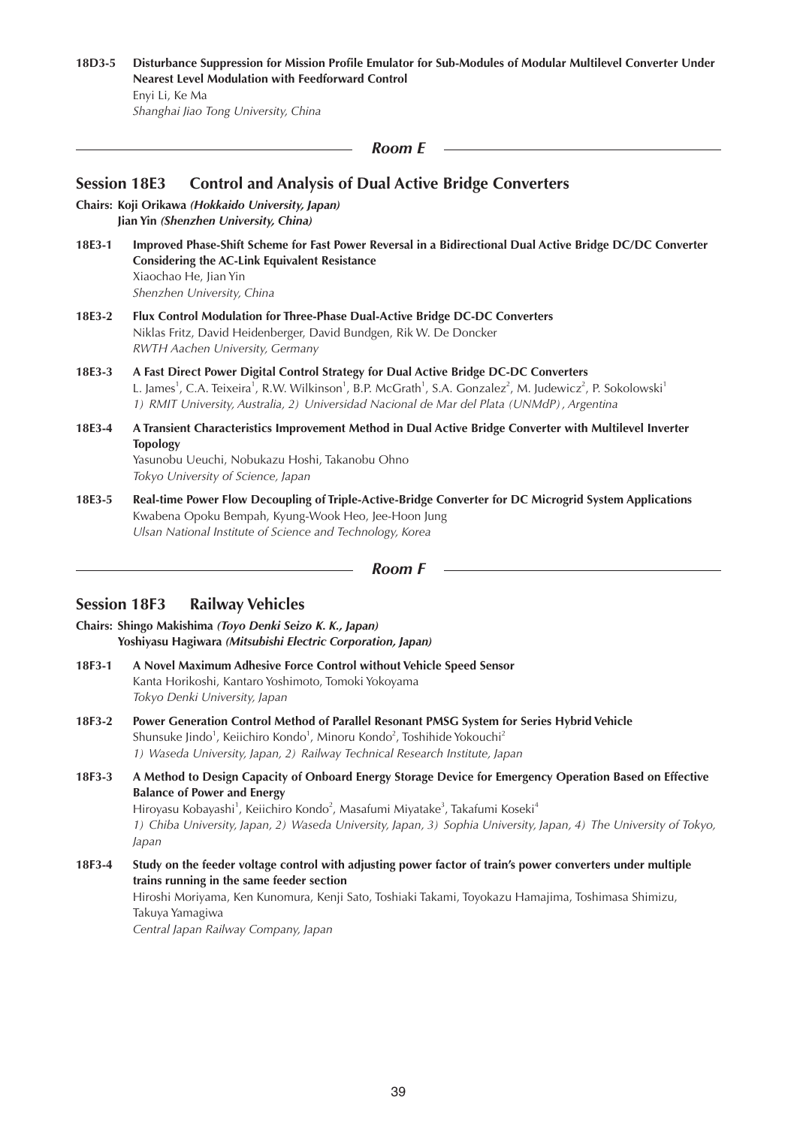## **18D3-5 Disturbance Suppression for Mission Profile Emulator for Sub-Modules of Modular Multilevel Converter Under Nearest Level Modulation with Feedforward Control** Enyi Li, Ke Ma

*Shanghai Jiao Tong University, China*

*Room E*

## **Session 18E3 Control and Analysis of Dual Active Bridge Converters**

**Chairs: Koji Orikawa** *(Hokkaido University, Japan)* **Jian Yin** *(Shenzhen University, China)*

**18E3-1 Improved Phase-Shift Scheme for Fast Power Reversal in a Bidirectional Dual Active Bridge DC/DC Converter Considering the AC-Link Equivalent Resistance** Xiaochao He, Jian Yin

*Shenzhen University, China*

- **18E3-2 Flux Control Modulation for Three-Phase Dual-Active Bridge DC-DC Converters** Niklas Fritz, David Heidenberger, David Bundgen, Rik W. De Doncker *RWTH Aachen University, Germany*
- **18E3-3 A Fast Direct Power Digital Control Strategy for Dual Active Bridge DC-DC Converters** L. James<sup>1</sup>, C.A. Teixeira<sup>1</sup>, R.W. Wilkinson<sup>1</sup>, B.P. McGrath<sup>1</sup>, S.A. Gonzalez<sup>2</sup>, M. Judewicz<sup>2</sup>, P. Sokolowski<sup>1</sup> *1) RMIT University, Australia, 2) Universidad Nacional de Mar del Plata (UNMdP), Argentina*
- **18E3-4 A Transient Characteristics Improvement Method in Dual Active Bridge Converter with Multilevel Inverter Topology**  Yasunobu Ueuchi, Nobukazu Hoshi, Takanobu Ohno *Tokyo University of Science, Japan*
- **18E3-5 Real-time Power Flow Decoupling of Triple-Active-Bridge Converter for DC Microgrid System Applications** Kwabena Opoku Bempah, Kyung-Wook Heo, Jee-Hoon Jung *Ulsan National Institute of Science and Technology, Korea*

*Room F*

## **Session 18F3 Railway Vehicles**

- **Chairs: Shingo Makishima** *(Toyo Denki Seizo K. K., Japan)* **Yoshiyasu Hagiwara** *(Mitsubishi Electric Corporation, Japan)*
- **18F3-1 A Novel Maximum Adhesive Force Control without Vehicle Speed Sensor** Kanta Horikoshi, Kantaro Yoshimoto, Tomoki Yokoyama *Tokyo Denki University, Japan*
- **18F3-2 Power Generation Control Method of Parallel Resonant PMSG System for Series Hybrid Vehicle** Shunsuke Jindo<sup>1</sup>, Keiichiro Kondo<sup>1</sup>, Minoru Kondo<sup>2</sup>, Toshihide Yokouchi<sup>2</sup> *1) Waseda University, Japan, 2) Railway Technical Research Institute, Japan*
- **18F3-3 A Method to Design Capacity of Onboard Energy Storage Device for Emergency Operation Based on Effective Balance of Power and Energy** Hiroyasu Kobayashi<sup>1</sup>, Keiichiro Kondo<sup>2</sup>, Masafumi Miyatake<sup>3</sup>, Takafumi Koseki<sup>4</sup> *1) Chiba University, Japan, 2) Waseda University, Japan, 3) Sophia University, Japan, 4) The University of Tokyo, Japan*
- **18F3-4 Study on the feeder voltage control with adjusting power factor of train's power converters under multiple trains running in the same feeder section** Hiroshi Moriyama, Ken Kunomura, Kenji Sato, Toshiaki Takami, Toyokazu Hamajima, Toshimasa Shimizu, Takuya Yamagiwa *Central Japan Railway Company, Japan*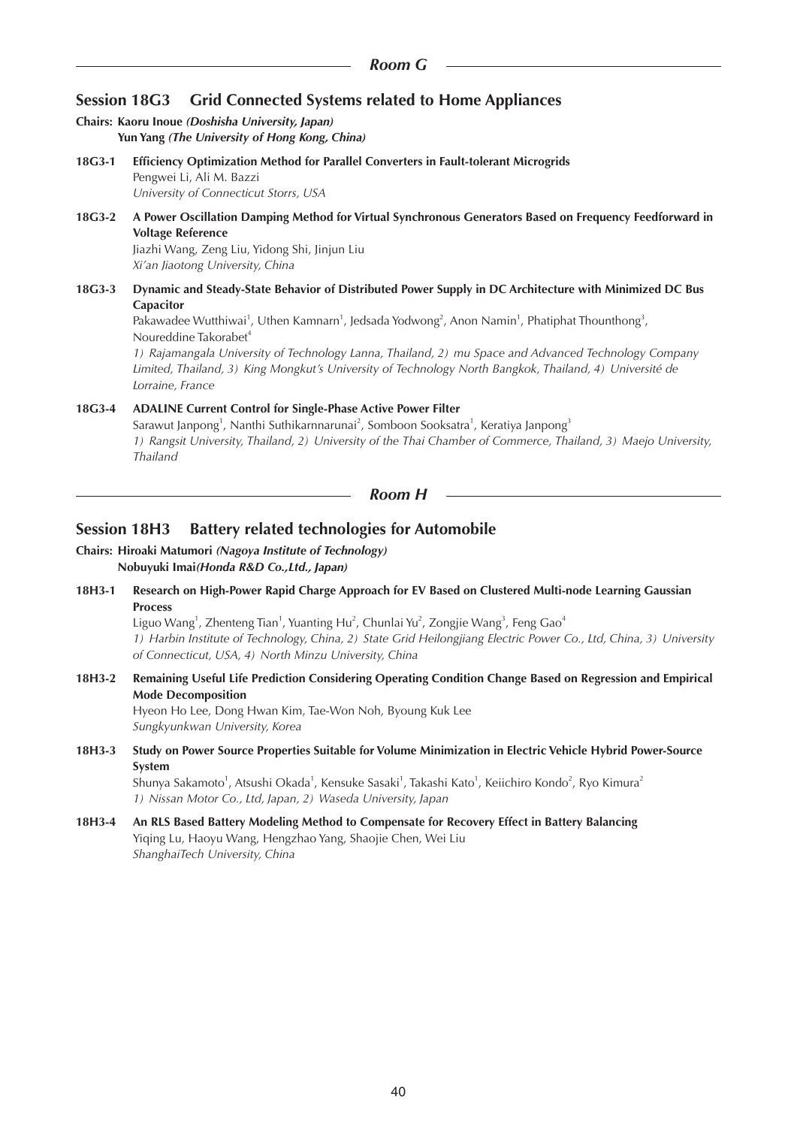# **Session 18G3 Grid Connected Systems related to Home Appliances**

#### **Chairs: Kaoru Inoue** *(Doshisha University, Japan)* **Yun Yang** *(The University of Hong Kong, China)*

- **18G3-1 Efficiency Optimization Method for Parallel Converters in Fault-tolerant Microgrids** Pengwei Li, Ali M. Bazzi *University of Connecticut Storrs, USA*
- **18G3-2 A Power Oscillation Damping Method for Virtual Synchronous Generators Based on Frequency Feedforward in Voltage Reference** Jiazhi Wang, Zeng Liu, Yidong Shi, Jinjun Liu

*Xi'an Jiaotong University, China*

**18G3-3 Dynamic and Steady-State Behavior of Distributed Power Supply in DC Architecture with Minimized DC Bus Capacitor**

Pakawadee Wutthiwai<sup>1</sup>, Uthen Kamnarn<sup>1</sup>, Jedsada Yodwong<sup>2</sup>, Anon Namin<sup>1</sup>, Phatiphat Thounthong<sup>3</sup>, Noureddine Takorabet<sup>4</sup>

*1) Rajamangala University of Technology Lanna, Thailand, 2) mu Space and Advanced Technology Company Limited, Thailand, 3) King Mongkut's University of Technology North Bangkok, Thailand, 4) Université de Lorraine, France*

## **18G3-4 ADALINE Current Control for Single-Phase Active Power Filter**

Sarawut Janpong<sup>1</sup>, Nanthi Suthikarnnarunai<sup>2</sup>, Somboon Sooksatra<sup>1</sup>, Keratiya Janpong<sup>3</sup> *1) Rangsit University, Thailand, 2) University of the Thai Chamber of Commerce, Thailand, 3) Maejo University, Thailand*

*Room H*

# **Session 18H3 Battery related technologies for Automobile**

#### **Chairs: Hiroaki Matumori** *(Nagoya Institute of Technology)* **Nobuyuki Imai***(Honda R&D Co.,Ltd., Japan)*

**18H3-1 Research on High-Power Rapid Charge Approach for EV Based on Clustered Multi-node Learning Gaussian Process**

Liguo Wang<sup>1</sup>, Zhenteng Tian<sup>1</sup>, Yuanting Hu<sup>2</sup>, Chunlai Yu<sup>2</sup>, Zongjie Wang<sup>3</sup>, Feng Gao<sup>4</sup> *1) Harbin Institute of Technology, China, 2) State Grid Heilongjiang Electric Power Co., Ltd, China, 3) University of Connecticut, USA, 4) North Minzu University, China*

**18H3-2 Remaining Useful Life Prediction Considering Operating Condition Change Based on Regression and Empirical Mode Decomposition**

Hyeon Ho Lee, Dong Hwan Kim, Tae-Won Noh, Byoung Kuk Lee *Sungkyunkwan University, Korea*

**18H3-3 Study on Power Source Properties Suitable for Volume Minimization in Electric Vehicle Hybrid Power-Source System**

Shunya Sakamoto<sup>1</sup>, Atsushi Okada<sup>1</sup>, Kensuke Sasaki<sup>1</sup>, Takashi Kato<sup>1</sup>, Keiichiro Kondo<sup>2</sup>, Ryo Kimura<sup>2</sup> *1) Nissan Motor Co., Ltd, Japan, 2) Waseda University, Japan*

**18H3-4 An RLS Based Battery Modeling Method to Compensate for Recovery Effect in Battery Balancing** Yiqing Lu, Haoyu Wang, Hengzhao Yang, Shaojie Chen, Wei Liu *ShanghaiTech University, China*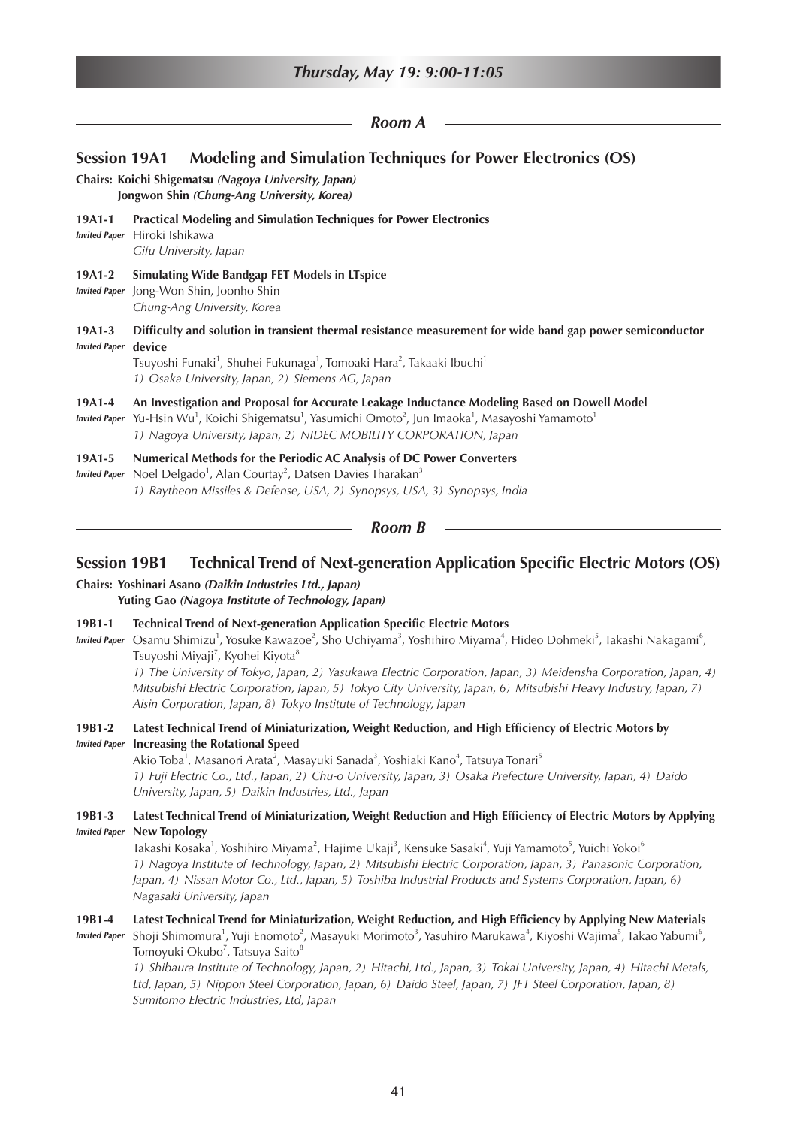| Thursday, May 19: 9:00-11:05            |                                                                                                                                                                                                                                                                                                                          |  |
|-----------------------------------------|--------------------------------------------------------------------------------------------------------------------------------------------------------------------------------------------------------------------------------------------------------------------------------------------------------------------------|--|
|                                         | Room A                                                                                                                                                                                                                                                                                                                   |  |
| <b>Session 19A1</b>                     | <b>Modeling and Simulation Techniques for Power Electronics (OS)</b><br>Chairs: Koichi Shigematsu (Nagoya University, Japan)<br>Jongwon Shin (Chung-Ang University, Korea)                                                                                                                                               |  |
| 19A1-1<br><b>Invited Paper</b>          | <b>Practical Modeling and Simulation Techniques for Power Electronics</b><br>Hiroki Ishikawa<br>Gifu University, Japan                                                                                                                                                                                                   |  |
| 19A1-2<br><b>Invited Paper</b>          | <b>Simulating Wide Bandgap FET Models in LTspice</b><br>Jong-Won Shin, Joonho Shin<br>Chung-Ang University, Korea                                                                                                                                                                                                        |  |
| $19A1-3$<br><b>Invited Paper device</b> | Difficulty and solution in transient thermal resistance measurement for wide band gap power semiconductor<br>Tsuyoshi Funaki <sup>1</sup> , Shuhei Fukunaga <sup>1</sup> , Tomoaki Hara <sup>2</sup> , Takaaki Ibuchi <sup>1</sup><br>1) Osaka University, Japan, 2) Siemens AG, Japan                                   |  |
| 19A1-4<br><b>Invited Paper</b>          | An Investigation and Proposal for Accurate Leakage Inductance Modeling Based on Dowell Model<br>Yu-Hsin Wu <sup>1</sup> , Koichi Shigematsu <sup>1</sup> , Yasumichi Omoto <sup>2</sup> , Jun Imaoka <sup>1</sup> , Masayoshi Yamamoto <sup>1</sup><br>1) Nagoya University, Japan, 2) NIDEC MOBILITY CORPORATION, Japan |  |
| 19A1-5<br><b>Invited Paper</b>          | Numerical Methods for the Periodic AC Analysis of DC Power Converters<br>Noel Delgado <sup>1</sup> , Alan Courtay <sup>2</sup> , Datsen Davies Tharakan <sup>3</sup><br>1) Raytheon Missiles & Defense, USA, 2) Synopsys, USA, 3) Synopsys, India                                                                        |  |
|                                         | Room B                                                                                                                                                                                                                                                                                                                   |  |

# **Session 19B1 Technical Trend of Next-generation Application Specific Electric Motors (OS)**

**Chairs: Yoshinari Asano** *(Daikin Industries Ltd., Japan)* **Yuting Gao** *(Nagoya Institute of Technology, Japan)*

#### **19B1-1 Technical Trend of Next-generation Application Specific Electric Motors**

Invited Paper Osamu Shimizu<sup>1</sup>, Yosuke Kawazoe<sup>2</sup>, Sho Uchiyama<sup>3</sup>, Yoshihiro Miyama<sup>4</sup>, Hideo Dohmeki<sup>5</sup>, Takashi Nakagami<sup>6</sup>, Tsuyoshi Miyaji<sup>7</sup>, Kyohei Kiyota<sup>8</sup>

*1) The University of Tokyo, Japan, 2) Yasukawa Electric Corporation, Japan, 3) Meidensha Corporation, Japan, 4) Mitsubishi Electric Corporation, Japan, 5) Tokyo City University, Japan, 6) Mitsubishi Heavy Industry, Japan, 7) Aisin Corporation, Japan, 8) Tokyo Institute of Technology, Japan*

#### **19B1-2 Latest Technical Trend of Miniaturization, Weight Reduction, and High Efficiency of Electric Motors by**  *Invited Paper* **Increasing the Rotational Speed**

Akio Toba<sup>1</sup>, Masanori Arata<sup>2</sup>, Masayuki Sanada<sup>3</sup>, Yoshiaki Kano<sup>4</sup>, Tatsuya Tonari<sup>5</sup> *1) Fuji Electric Co., Ltd., Japan, 2) Chu-o University, Japan, 3) Osaka Prefecture University, Japan, 4) Daido University, Japan, 5) Daikin Industries, Ltd., Japan*

## **19B1-3 Latest Technical Trend of Miniaturization, Weight Reduction and High Efficiency of Electric Motors by Applying**  *Invited Paper* **New Topology**

Takashi Kosaka<sup>1</sup>, Yoshihiro Miyama<sup>2</sup>, Hajime Ukaji<sup>3</sup>, Kensuke Sasaki<sup>4</sup>, Yuji Yamamoto<sup>5</sup>, Yuichi Yokoi<sup>6</sup> *1) Nagoya Institute of Technology, Japan, 2) Mitsubishi Electric Corporation, Japan, 3) Panasonic Corporation, Japan, 4) Nissan Motor Co., Ltd., Japan, 5) Toshiba Industrial Products and Systems Corporation, Japan, 6) Nagasaki University, Japan*

#### **19B1-4 Latest Technical Trend for Miniaturization, Weight Reduction, and High Efficiency by Applying New Materials**

*Invited Paper* Shoji Shimomura<sup>1</sup>, Yuji Enomoto<sup>2</sup>, Masayuki Morimoto<sup>3</sup>, Yasuhiro Marukawa<sup>4</sup>, Kiyoshi Wajima<sup>5</sup>, Takao Yabumi<sup>6</sup>, Tomoyuki Okubo<sup>7</sup>, Tatsuya Saito<sup>8</sup>

*1) Shibaura Institute of Technology, Japan, 2) Hitachi, Ltd., Japan, 3) Tokai University, Japan, 4) Hitachi Metals, Ltd, Japan, 5) Nippon Steel Corporation, Japan, 6) Daido Steel, Japan, 7) JFT Steel Corporation, Japan, 8) Sumitomo Electric Industries, Ltd, Japan*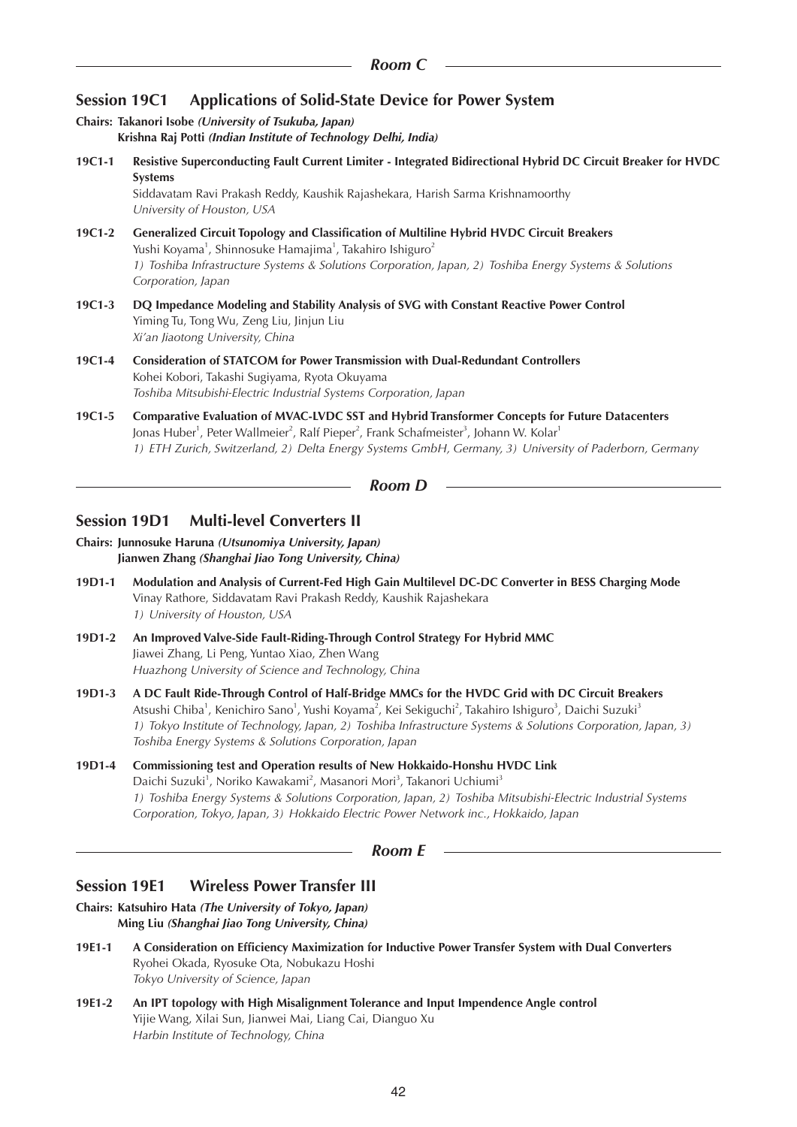# **Session 19C1 Applications of Solid-State Device for Power System**

**Chairs: Takanori Isobe** *(University of Tsukuba, Japan)*  **Krishna Raj Potti** *(Indian Institute of Technology Delhi, India)* 

**19C1-1 Resistive Superconducting Fault Current Limiter - Integrated Bidirectional Hybrid DC Circuit Breaker for HVDC Systems** 

Siddavatam Ravi Prakash Reddy, Kaushik Rajashekara, Harish Sarma Krishnamoorthy *University of Houston, USA*

- **19C1-2 Generalized Circuit Topology and Classification of Multiline Hybrid HVDC Circuit Breakers** Yushi Koyama<sup>1</sup>, Shinnosuke Hamajima<sup>1</sup>, Takahiro Ishiguro<sup>2</sup> *1) Toshiba Infrastructure Systems & Solutions Corporation, Japan, 2) Toshiba Energy Systems & Solutions Corporation, Japan*
- **19C1-3 DQ Impedance Modeling and Stability Analysis of SVG with Constant Reactive Power Control** Yiming Tu, Tong Wu, Zeng Liu, Jinjun Liu *Xi'an Jiaotong University, China*
- **19C1-4 Consideration of STATCOM for Power Transmission with Dual-Redundant Controllers** Kohei Kobori, Takashi Sugiyama, Ryota Okuyama *Toshiba Mitsubishi-Electric Industrial Systems Corporation, Japan*
- **19C1-5 Comparative Evaluation of MVAC-LVDC SST and Hybrid Transformer Concepts for Future Datacenters** Jonas Huber<sup>1</sup>, Peter Wallmeier<sup>2</sup>, Ralf Pieper<sup>2</sup>, Frank Schafmeister<sup>3</sup>, Johann W. Kolar<sup>1</sup> *1) ETH Zurich, Switzerland, 2) Delta Energy Systems GmbH, Germany, 3) University of Paderborn, Germany*

*Room D*

# **Session 19D1 Multi-level Converters II**

**Chairs: Junnosuke Haruna** *(Utsunomiya University, Japan)*  **Jianwen Zhang** *(Shanghai Jiao Tong University, China)*

- **19D1-1 Modulation and Analysis of Current-Fed High Gain Multilevel DC-DC Converter in BESS Charging Mode** Vinay Rathore, Siddavatam Ravi Prakash Reddy, Kaushik Rajashekara *1) University of Houston, USA*
- **19D1-2 An Improved Valve-Side Fault-Riding-Through Control Strategy For Hybrid MMC** Jiawei Zhang, Li Peng, Yuntao Xiao, Zhen Wang *Huazhong University of Science and Technology, China*
- **19D1-3 A DC Fault Ride-Through Control of Half-Bridge MMCs for the HVDC Grid with DC Circuit Breakers** Atsushi Chiba<sup>1</sup>, Kenichiro Sano<sup>1</sup>, Yushi Koyama<sup>2</sup>, Kei Sekiguchi<sup>2</sup>, Takahiro Ishiguro<sup>3</sup>, Daichi Suzuki<sup>3</sup> *1) Tokyo Institute of Technology, Japan, 2) Toshiba Infrastructure Systems & Solutions Corporation, Japan, 3) Toshiba Energy Systems & Solutions Corporation, Japan*
- **19D1-4 Commissioning test and Operation results of New Hokkaido-Honshu HVDC Link** Daichi Suzuki<sup>1</sup>, Noriko Kawakami<sup>2</sup>, Masanori Mori<sup>3</sup>, Takanori Uchiumi<sup>3</sup> *1) Toshiba Energy Systems & Solutions Corporation, Japan, 2) Toshiba Mitsubishi-Electric Industrial Systems Corporation, Tokyo, Japan, 3) Hokkaido Electric Power Network inc., Hokkaido, Japan*

*Room E*

# **Session 19E1 Wireless Power Transfer III**

**Chairs: Katsuhiro Hata** *(The University of Tokyo, Japan)* **Ming Liu** *(Shanghai Jiao Tong University, China)*

- **19E1-1 A Consideration on Efficiency Maximization for Inductive Power Transfer System with Dual Converters** Ryohei Okada, Ryosuke Ota, Nobukazu Hoshi *Tokyo University of Science, Japan*
- **19E1-2 An IPT topology with High Misalignment Tolerance and Input Impendence Angle control** Yijie Wang, Xilai Sun, Jianwei Mai, Liang Cai, Dianguo Xu *Harbin Institute of Technology, China*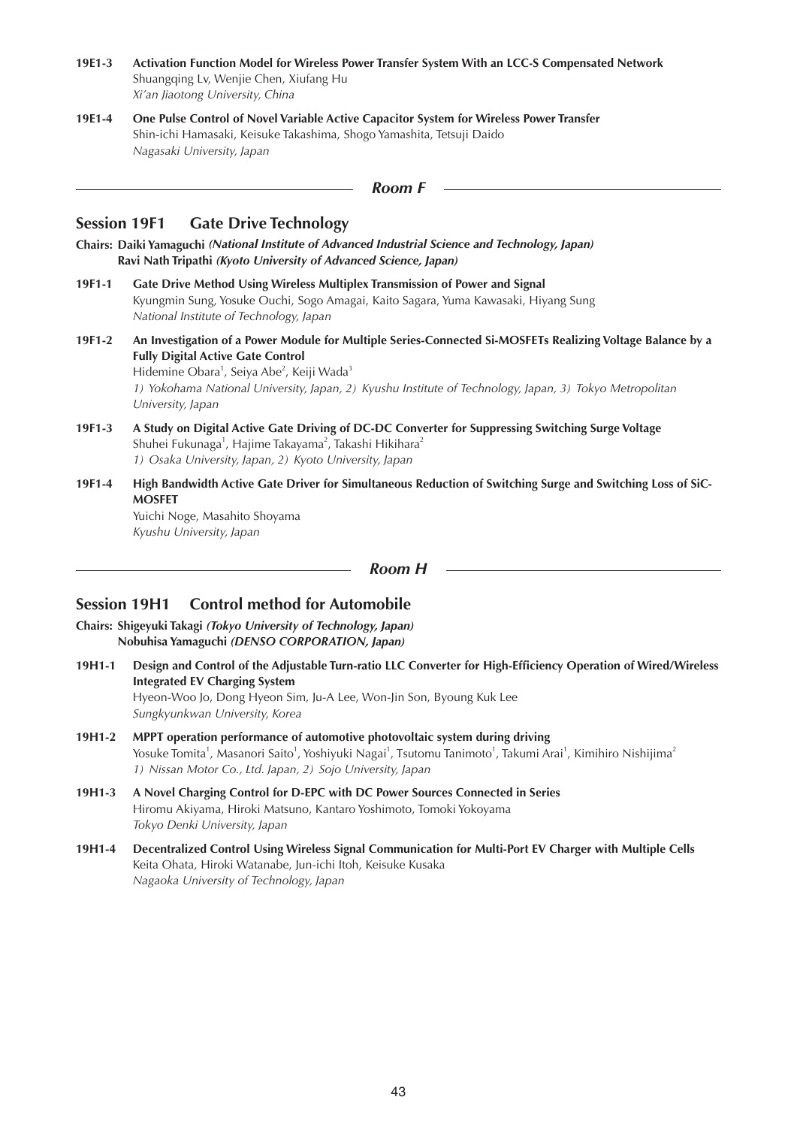- **19E1-3 Activation Function Model for Wireless Power Transfer System With an LCC-S Compensated Network** Shuangqing Lv, Wenjie Chen, Xiufang Hu *Xi'an Jiaotong University, China*
- **19E1-4 One Pulse Control of Novel Variable Active Capacitor System for Wireless Power Transfer** Shin-ichi Hamasaki, Keisuke Takashima, Shogo Yamashita, Tetsuji Daido *Nagasaki University, Japan*

```
Room F
```
## **Session 19F1 Gate Drive Technology**

**Chairs: Daiki Yamaguchi** *(National Institute of Advanced Industrial Science and Technology, Japan)* **Ravi Nath Tripathi** *(Kyoto University of Advanced Science, Japan)*

- **19F1-1 Gate Drive Method Using Wireless Multiplex Transmission of Power and Signal** Kyungmin Sung, Yosuke Ouchi, Sogo Amagai, Kaito Sagara, Yuma Kawasaki, Hiyang Sung *National Institute of Technology, Japan*
- **19F1-2 An Investigation of a Power Module for Multiple Series-Connected Si-MOSFETs Realizing Voltage Balance by a Fully Digital Active Gate Control** Hidemine Obara<sup>1</sup>, Seiya Abe<sup>2</sup>, Keiji Wada<sup>3</sup> *1) Yokohama National University, Japan, 2) Kyushu Institute of Technology, Japan, 3) Tokyo Metropolitan University, Japan*
- **19F1-3 A Study on Digital Active Gate Driving of DC-DC Converter for Suppressing Switching Surge Voltage** Shuhei Fukunaga $^1$ , Hajime Takayama $^2$ , Takashi Hikihara $^2$ *1) Osaka University, Japan, 2) Kyoto University, Japan*
- **19F1-4 High Bandwidth Active Gate Driver for Simultaneous Reduction of Switching Surge and Switching Loss of SiC-MOSFET**

Yuichi Noge, Masahito Shoyama *Kyushu University, Japan*

*Room H*

# **Session 19H1 Control method for Automobile**

**Chairs: Shigeyuki Takagi** *(Tokyo University of Technology, Japan)* **Nobuhisa Yamaguchi** *(DENSO CORPORATION, Japan)*

- **19H1-1 Design and Control of the Adjustable Turn-ratio LLC Converter for High-Efficiency Operation of Wired/Wireless Integrated EV Charging System** Hyeon-Woo Jo, Dong Hyeon Sim, Ju-A Lee, Won-Jin Son, Byoung Kuk Lee *Sungkyunkwan University, Korea*
- **19H1-2 MPPT operation performance of automotive photovoltaic system during driving** Yosuke Tomita<sup>1</sup>, Masanori Saito<sup>1</sup>, Yoshiyuki Nagai<sup>1</sup>, Tsutomu Tanimoto<sup>1</sup>, Takumi Arai<sup>1</sup>, Kimihiro Nishijima<sup>2</sup> *1) Nissan Motor Co., Ltd. Japan, 2) Sojo University, Japan*
- **19H1-3 A Novel Charging Control for D-EPC with DC Power Sources Connected in Series** Hiromu Akiyama, Hiroki Matsuno, Kantaro Yoshimoto, Tomoki Yokoyama *Tokyo Denki University, Japan*
- **19H1-4 Decentralized Control Using Wireless Signal Communication for Multi-Port EV Charger with Multiple Cells** Keita Ohata, Hiroki Watanabe, Jun-ichi Itoh, Keisuke Kusaka *Nagaoka University of Technology, Japan*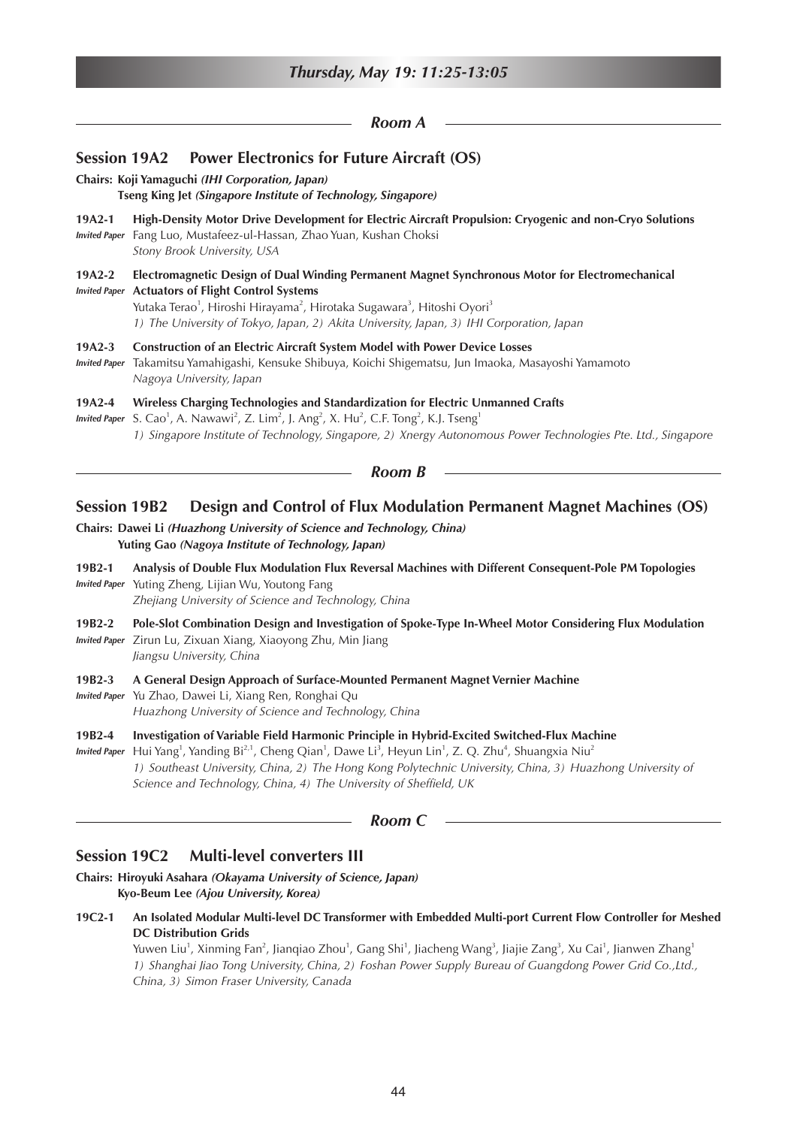|                                  | Thursday, May 19: 11:25-13:05                                                                                                                                                                                                                                                                                                                                        |  |  |  |
|----------------------------------|----------------------------------------------------------------------------------------------------------------------------------------------------------------------------------------------------------------------------------------------------------------------------------------------------------------------------------------------------------------------|--|--|--|
| Room A                           |                                                                                                                                                                                                                                                                                                                                                                      |  |  |  |
|                                  | <b>Power Electronics for Future Aircraft (OS)</b><br><b>Session 19A2</b>                                                                                                                                                                                                                                                                                             |  |  |  |
|                                  | Chairs: Koji Yamaguchi (IHI Corporation, Japan)<br>Tseng King Jet (Singapore Institute of Technology, Singapore)                                                                                                                                                                                                                                                     |  |  |  |
| $19A2-1$<br><b>Invited Paper</b> | High-Density Motor Drive Development for Electric Aircraft Propulsion: Cryogenic and non-Cryo Solutions<br>Fang Luo, Mustafeez-ul-Hassan, Zhao Yuan, Kushan Choksi<br>Stony Brook University, USA                                                                                                                                                                    |  |  |  |
| $19A2-2$<br><b>Invited Paper</b> | Electromagnetic Design of Dual Winding Permanent Magnet Synchronous Motor for Electromechanical<br><b>Actuators of Flight Control Systems</b><br>Yutaka Terao <sup>1</sup> , Hiroshi Hirayama <sup>2</sup> , Hirotaka Sugawara <sup>3</sup> , Hitoshi Oyori <sup>3</sup><br>1) The University of Tokyo, Japan, 2) Akita University, Japan, 3) IHI Corporation, Japan |  |  |  |
| 19A2-3<br><b>Invited Paper</b>   | Construction of an Electric Aircraft System Model with Power Device Losses<br>Takamitsu Yamahigashi, Kensuke Shibuya, Koichi Shigematsu, Jun Imaoka, Masayoshi Yamamoto<br>Nagoya University, Japan                                                                                                                                                                  |  |  |  |
| 19A2-4<br><b>Invited Paper</b>   | Wireless Charging Technologies and Standardization for Electric Unmanned Crafts<br>S. Cao <sup>1</sup> , A. Nawawi <sup>2</sup> , Z. Lim <sup>2</sup> , J. Ang <sup>2</sup> , X. Hu <sup>2</sup> , C.F. Tong <sup>2</sup> , K.J. Tseng <sup>1</sup><br>1) Singapore Institute of Technology, Singapore, 2) Xnergy Autonomous Power Technologies Pte. Ltd., Singapore |  |  |  |
|                                  | <b>Room B</b>                                                                                                                                                                                                                                                                                                                                                        |  |  |  |
| <b>Session 19B2</b>              | Design and Control of Flux Modulation Permanent Magnet Machines (OS)                                                                                                                                                                                                                                                                                                 |  |  |  |
|                                  | Chairs: Dawei Li (Huazhong University of Science and Technology, China)<br>Yuting Gao (Nagoya Institute of Technology, Japan)                                                                                                                                                                                                                                        |  |  |  |
| 19B2-1                           | Analysis of Double Flux Modulation Flux Reversal Machines with Different Consequent-Pole PM Topologies<br>Invited Paper Yuting Zheng, Lijian Wu, Youtong Fang<br>Zhejiang University of Science and Technology, China                                                                                                                                                |  |  |  |
| 19B2-2                           | Pole-Slot Combination Design and Investigation of Spoke-Type In-Wheel Motor Considering Flux Modulation                                                                                                                                                                                                                                                              |  |  |  |

*Invited Paper* Zirun Lu, Zixuan Xiang, Xiaoyong Zhu, Min Jiang *Jiangsu University, China*

**19B2-3 A General Design Approach of Surface-Mounted Permanent Magnet Vernier Machine**

- *Invited Paper* Yu Zhao, Dawei Li, Xiang Ren, Ronghai Qu *Huazhong University of Science and Technology, China*
- **19B2-4 Investigation of Variable Field Harmonic Principle in Hybrid-Excited Switched-Flux Machine**
- Invited Paper Hui Yang<sup>1</sup>, Yanding Bi<sup>2,1</sup>, Cheng Qian<sup>1</sup>, Dawe Li<sup>3</sup>, Heyun Lin<sup>1</sup>, Z. Q. Zhu<sup>4</sup>, Shuangxia Niu<sup>2</sup> *1) Southeast University, China, 2) The Hong Kong Polytechnic University, China, 3) Huazhong University of Science and Technology, China, 4) The University of Sheffield, UK*

## *Room C*

# **Session 19C2 Multi-level converters III**

- **Chairs: Hiroyuki Asahara** *(Okayama University of Science, Japan)* **Kyo-Beum Lee** *(Ajou University, Korea)*
- **19C2-1 An Isolated Modular Multi-level DC Transformer with Embedded Multi-port Current Flow Controller for Meshed DC Distribution Grids**

Yuwen Liu<sup>1</sup>, Xinming Fan<sup>2</sup>, Jianqiao Zhou<sup>1</sup>, Gang Shi<sup>1</sup>, Jiacheng Wang<sup>3</sup>, Jiajie Zang<sup>3</sup>, Xu Cai<sup>1</sup>, Jianwen Zhang<sup>1</sup> *1) Shanghai Jiao Tong University, China, 2) Foshan Power Supply Bureau of Guangdong Power Grid Co.,Ltd., China, 3) Simon Fraser University, Canada*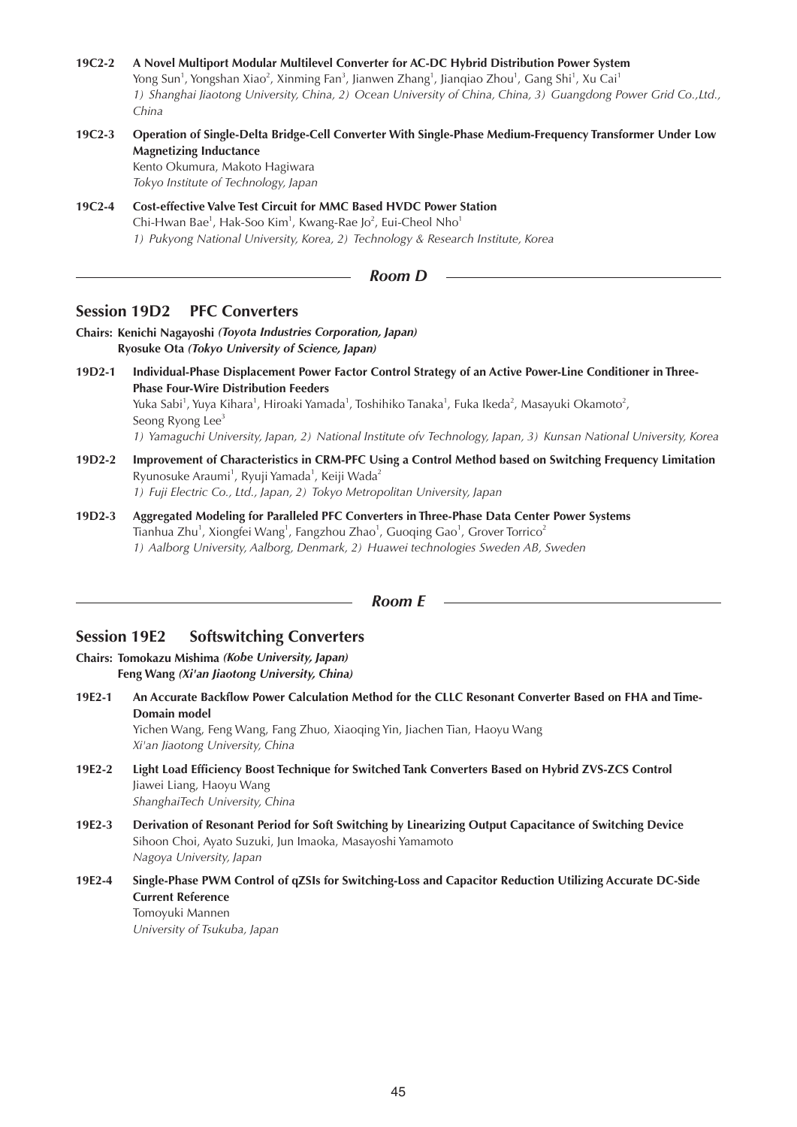- **19C2-2 A Novel Multiport Modular Multilevel Converter for AC-DC Hybrid Distribution Power System** Yong Sun<sup>1</sup>, Yongshan Xiao<sup>2</sup>, Xinming Fan<sup>3</sup>, Jianwen Zhang<sup>1</sup>, Jianqiao Zhou<sup>1</sup>, Gang Shi<sup>1</sup>, Xu Cai<sup>1</sup> *1) Shanghai Jiaotong University, China, 2) Ocean University of China, China, 3) Guangdong Power Grid Co.,Ltd., China*
- **19C2-3 Operation of Single-Delta Bridge-Cell Converter With Single-Phase Medium-Frequency Transformer Under Low Magnetizing Inductance**

Kento Okumura, Makoto Hagiwara *Tokyo Institute of Technology, Japan*

**19C2-4 Cost-effective Valve Test Circuit for MMC Based HVDC Power Station** Chi-Hwan Bae<sup>1</sup>, Hak-Soo Kim<sup>1</sup>, Kwang-Rae Jo<sup>2</sup>, Eui-Cheol Nho<sup>1</sup> *1) Pukyong National University, Korea, 2) Technology & Research Institute, Korea*

#### *Room D*

## **Session 19D2 PFC Converters**

**Chairs: Kenichi Nagayoshi** *(Toyota Industries Corporation, Japan)* **Ryosuke Ota** *(Tokyo University of Science, Japan)*

- **19D2-1 Individual-Phase Displacement Power Factor Control Strategy of an Active Power-Line Conditioner in Three-Phase Four-Wire Distribution Feeders** Yuka Sabi<sup>1</sup>, Yuya Kihara<sup>1</sup>, Hiroaki Yamada<sup>1</sup>, Toshihiko Tanaka<sup>1</sup>, Fuka Ikeda<sup>2</sup>, Masayuki Okamoto<sup>2</sup>, Seong Ryong Lee<sup>3</sup> *1) Yamaguchi University, Japan, 2) National Institute ofv Technology, Japan, 3) Kunsan National University, Korea*
- **19D2-2 Improvement of Characteristics in CRM-PFC Using a Control Method based on Switching Frequency Limitation** Ryunosuke Araumi<sup>1</sup>, Ryuji Yamada<sup>1</sup>, Keiji Wada<sup>2</sup> *1) Fuji Electric Co., Ltd., Japan, 2) Tokyo Metropolitan University, Japan*
- **19D2-3 Aggregated Modeling for Paralleled PFC Converters in Three-Phase Data Center Power Systems** Tianhua Zhu $^1$ , Xiongfei Wang $^1$ , Fangzhou Zhao $^1$ , Guoqing Gao $^1$ , Grover Torrico $^2$ *1) Aalborg University, Aalborg, Denmark, 2) Huawei technologies Sweden AB, Sweden*

#### *Room E*

## **Session 19E2 Softswitching Converters**

**Chairs: Tomokazu Mishima** *(Kobe University, Japan)* **Feng Wang** *(Xi'an Jiaotong University, China)*

**19E2-1 An Accurate Backflow Power Calculation Method for the CLLC Resonant Converter Based on FHA and Time-Domain model**

Yichen Wang, Feng Wang, Fang Zhuo, Xiaoqing Yin, Jiachen Tian, Haoyu Wang *Xi'an Jiaotong University, China*

- **19E2-2 Light Load Efficiency Boost Technique for Switched Tank Converters Based on Hybrid ZVS-ZCS Control** Jiawei Liang, Haoyu Wang *ShanghaiTech University, China*
- **19E2-3 Derivation of Resonant Period for Soft Switching by Linearizing Output Capacitance of Switching Device** Sihoon Choi, Ayato Suzuki, Jun Imaoka, Masayoshi Yamamoto *Nagoya University, Japan*
- **19E2-4 Single-Phase PWM Control of qZSIs for Switching-Loss and Capacitor Reduction Utilizing Accurate DC-Side Current Reference**

Tomoyuki Mannen *University of Tsukuba, Japan*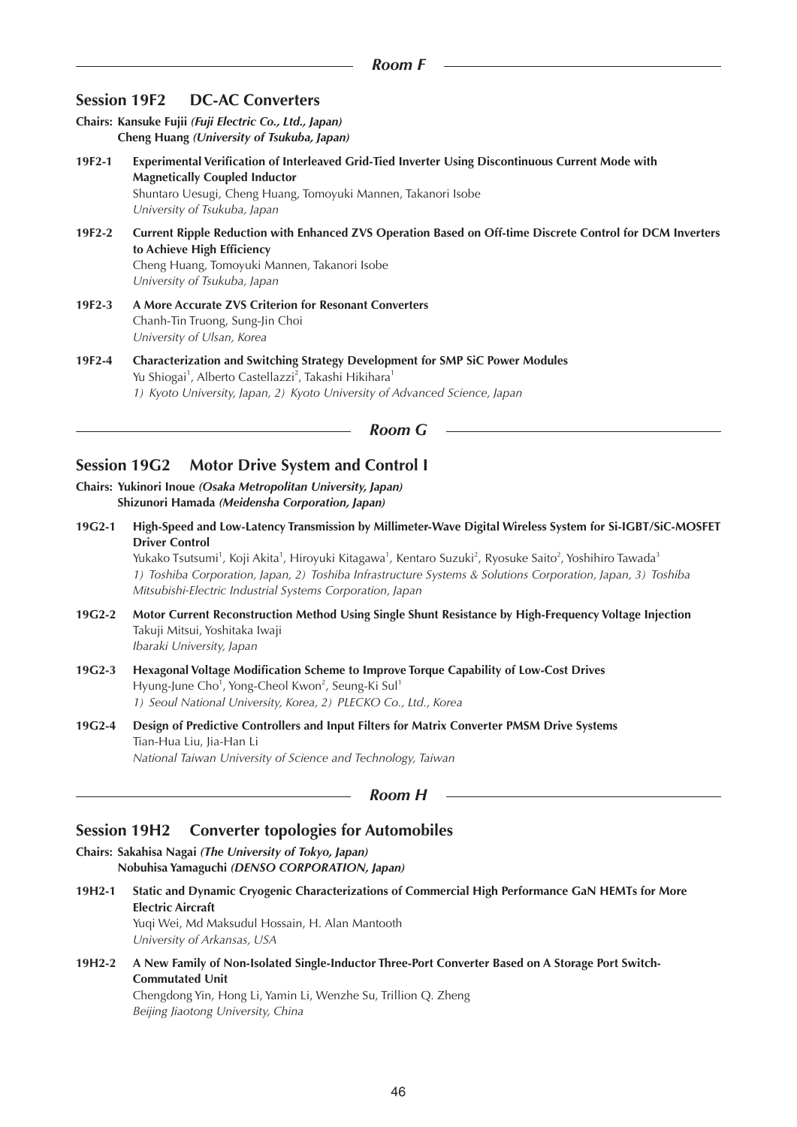## **Session 19F2 DC-AC Converters**

**Chairs: Kansuke Fujii** *(Fuji Electric Co., Ltd., Japan)* **Cheng Huang** *(University of Tsukuba, Japan)*

- **19F2-1 Experimental Verification of Interleaved Grid-Tied Inverter Using Discontinuous Current Mode with Magnetically Coupled Inductor** Shuntaro Uesugi, Cheng Huang, Tomoyuki Mannen, Takanori Isobe *University of Tsukuba, Japan*
- **19F2-2 Current Ripple Reduction with Enhanced ZVS Operation Based on Off-time Discrete Control for DCM Inverters to Achieve High Efficiency** Cheng Huang, Tomoyuki Mannen, Takanori Isobe *University of Tsukuba, Japan*
- **19F2-3 A More Accurate ZVS Criterion for Resonant Converters** Chanh-Tin Truong, Sung-Jin Choi *University of Ulsan, Korea*
- **19F2-4 Characterization and Switching Strategy Development for SMP SiC Power Modules** Yu Shiogai<sup>1</sup>, Alberto Castellazzi<sup>2</sup>, Takashi Hikihara<sup>1</sup> *1) Kyoto University, Japan, 2) Kyoto University of Advanced Science, Japan*

## *Room G*

## **Session 19G2 Motor Drive System and Control I**

- **Chairs: Yukinori Inoue** *(Osaka Metropolitan University, Japan)* **Shizunori Hamada** *(Meidensha Corporation, Japan)*
- **19G2-1 High-Speed and Low-Latency Transmission by Millimeter-Wave Digital Wireless System for Si-IGBT/SiC-MOSFET Driver Control**

Yukako Tsutsumi<sup>1</sup>, Koji Akita<sup>1</sup>, Hiroyuki Kitagawa<sup>1</sup>, Kentaro Suzuki<sup>2</sup>, Ryosuke Saito<sup>2</sup>, Yoshihiro Tawada<sup>3</sup> *1) Toshiba Corporation, Japan, 2) Toshiba Infrastructure Systems & Solutions Corporation, Japan, 3) Toshiba Mitsubishi-Electric Industrial Systems Corporation, Japan*

- **19G2-2 Motor Current Reconstruction Method Using Single Shunt Resistance by High-Frequency Voltage Injection** Takuji Mitsui, Yoshitaka Iwaji *Ibaraki University, Japan*
- **19G2-3 Hexagonal Voltage Modification Scheme to Improve Torque Capability of Low-Cost Drives** Hyung-June Cho<sup>1</sup>, Yong-Cheol Kwon<sup>2</sup>, Seung-Ki Sul<sup>1</sup> *1) Seoul National University, Korea, 2) PLECKO Co., Ltd., Korea*
- **19G2-4 Design of Predictive Controllers and Input Filters for Matrix Converter PMSM Drive Systems** Tian-Hua Liu, Jia-Han Li *National Taiwan University of Science and Technology, Taiwan*

*Room H*

## **Session 19H2 Converter topologies for Automobiles**

**Chairs: Sakahisa Nagai** *(The University of Tokyo, Japan)* **Nobuhisa Yamaguchi** *(DENSO CORPORATION, Japan)*

- **19H2-1 Static and Dynamic Cryogenic Characterizations of Commercial High Performance GaN HEMTs for More Electric Aircraft** Yuqi Wei, Md Maksudul Hossain, H. Alan Mantooth *University of Arkansas, USA*
- **19H2-2 A New Family of Non-Isolated Single-Inductor Three-Port Converter Based on A Storage Port Switch-Commutated Unit**

Chengdong Yin, Hong Li, Yamin Li, Wenzhe Su, Trillion Q. Zheng *Beijing Jiaotong University, China*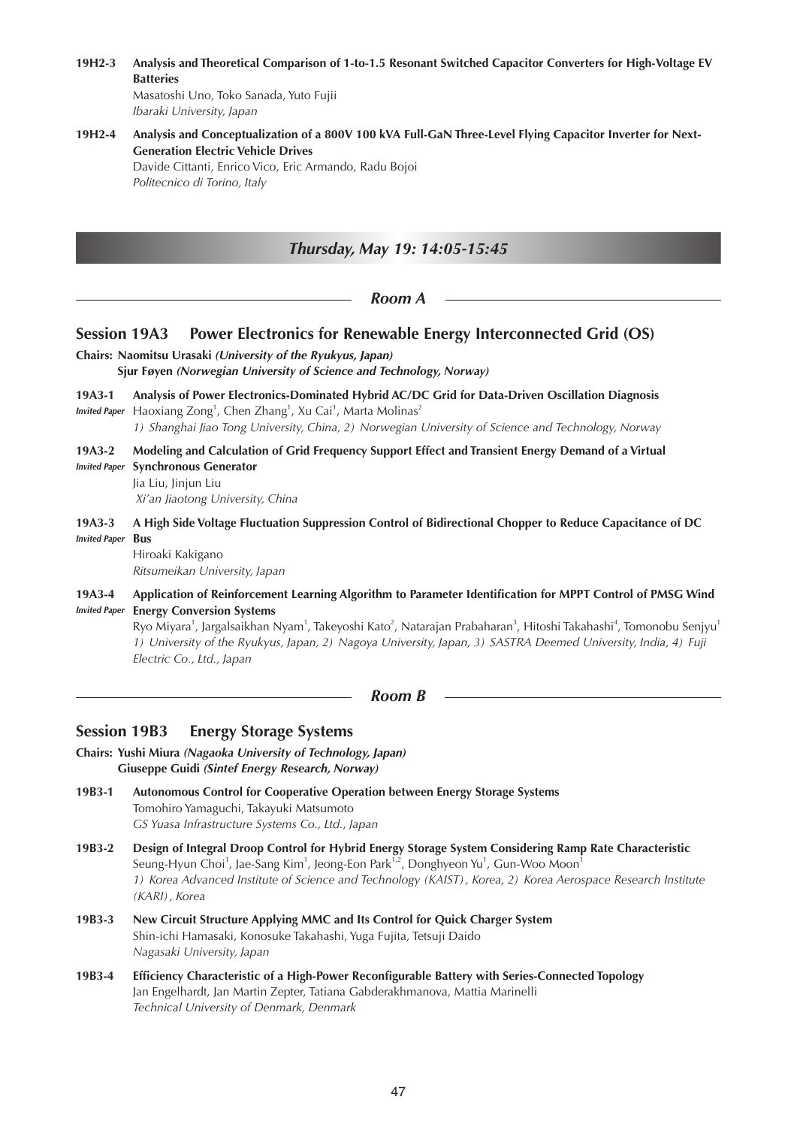**19H2-3 Analysis and Theoretical Comparison of 1-to-1.5 Resonant Switched Capacitor Converters for High-Voltage EV Batteries** Masatoshi Uno, Toko Sanada, Yuto Fujii

*Ibaraki University, Japan*

## **19H2-4 Analysis and Conceptualization of a 800V 100 kVA Full-GaN Three-Level Flying Capacitor Inverter for Next-Generation Electric Vehicle Drives**

Davide Cittanti, Enrico Vico, Eric Armando, Radu Bojoi *Politecnico di Torino, Italy*

# *Thursday, May 19: 14:05-15:45*

*Room A*

## **Session 19A3 Power Electronics for Renewable Energy Interconnected Grid (OS)**

- **Chairs: Naomitsu Urasaki** *(University of the Ryukyus, Japan)* **Sjur Føyen** *(Norwegian University of Science and Technology, Norway)*
- **19A3-1 Analysis of Power Electronics-Dominated Hybrid AC/DC Grid for Data-Driven Oscillation Diagnosis**
- Invited Paper Haoxiang Zong<sup>1</sup>, Chen Zhang<sup>1</sup>, Xu Cai<sup>1</sup>, Marta Molinas<sup>2</sup> *1) Shanghai Jiao Tong University, China, 2) Norwegian University of Science and Technology, Norway*
- **19A3-2 Modeling and Calculation of Grid Frequency Support Effect and Transient Energy Demand of a Virtual**  *Invited Paper* **Synchronous Generator**
- Jia Liu, Jinjun Liu  *Xi'an Jiaotong University, China*
- **19A3-3 A High Side Voltage Fluctuation Suppression Control of Bidirectional Chopper to Reduce Capacitance of DC**  *Invited Paper* **Bus**

Hiroaki Kakigano *Ritsumeikan University, Japan*

**19A3-4 Application of Reinforcement Learning Algorithm to Parameter Identification for MPPT Control of PMSG Wind**  *Invited Paper* **Energy Conversion Systems**

Ryo Miyara<sup>1</sup>, Jargalsaikhan Nyam<sup>1</sup>, Takeyoshi Kato<sup>2</sup>, Natarajan Prabaharan<sup>3</sup>, Hitoshi Takahashi<sup>4</sup>, Tomonobu Senjyu<sup>1</sup> *1) University of the Ryukyus, Japan, 2) Nagoya University, Japan, 3) SASTRA Deemed University, India, 4) Fuji Electric Co., Ltd., Japan*

*Room B*

# **Session 19B3 Energy Storage Systems**

- **Chairs: Yushi Miura** *(Nagaoka University of Technology, Japan)* **Giuseppe Guidi** *(Sintef Energy Research, Norway)*
- **19B3-1 Autonomous Control for Cooperative Operation between Energy Storage Systems** Tomohiro Yamaguchi, Takayuki Matsumoto *GS Yuasa Infrastructure Systems Co., Ltd., Japan*
- **19B3-2 Design of Integral Droop Control for Hybrid Energy Storage System Considering Ramp Rate Characteristic** Seung-Hyun Choi<sup>1</sup>, Jae-Sang Kim<sup>1</sup>, Jeong-Eon Park<sup>1,2</sup>, Donghyeon Yu<sup>1</sup>, Gun-Woo Moon<sup>1</sup> *1) Korea Advanced Institute of Science and Technology (KAIST), Korea, 2) Korea Aerospace Research Institute (KARI), Korea*
- **19B3-3 New Circuit Structure Applying MMC and Its Control for Quick Charger System** Shin-ichi Hamasaki, Konosuke Takahashi, Yuga Fujita, Tetsuji Daido *Nagasaki University, Japan*
- **19B3-4 Efficiency Characteristic of a High-Power Reconfigurable Battery with Series-Connected Topology** Jan Engelhardt, Jan Martin Zepter, Tatiana Gabderakhmanova, Mattia Marinelli *Technical University of Denmark, Denmark*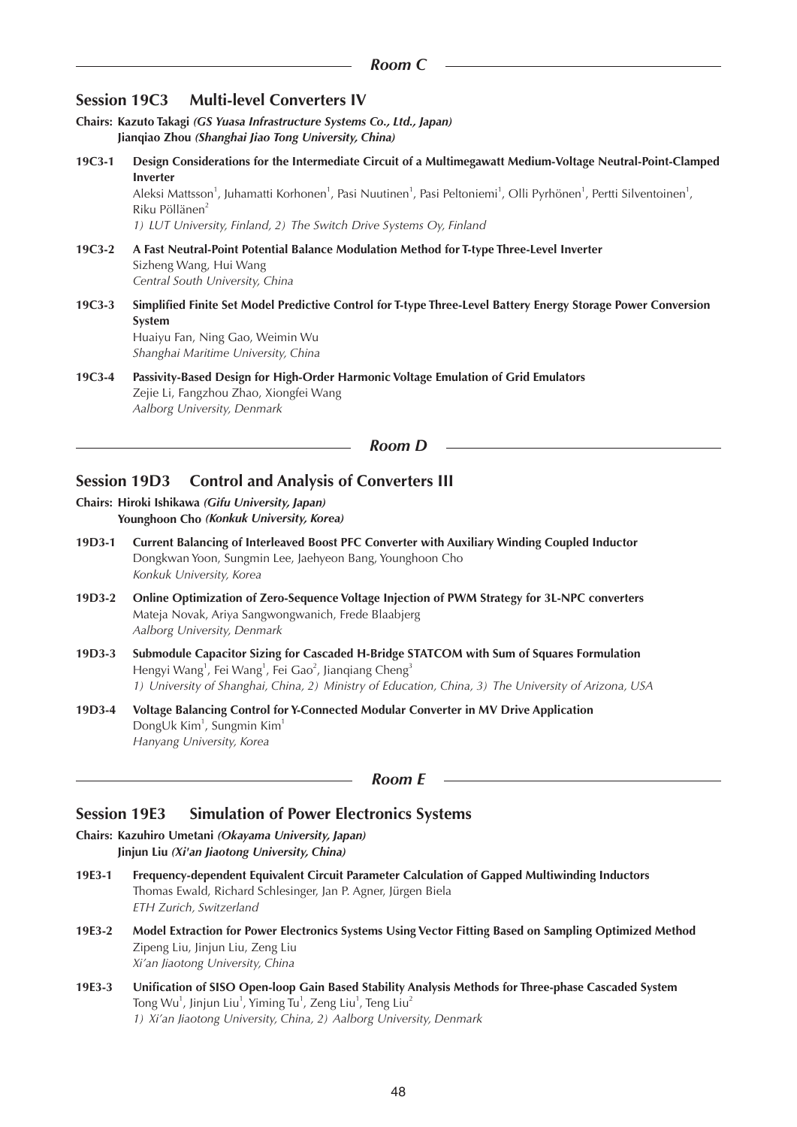| <b>Session 19C3</b>                                                                                                              | <b>Multi-level Converters IV</b>                                                                                                                                                                                                                                                                                                                                                                                                   |  |
|----------------------------------------------------------------------------------------------------------------------------------|------------------------------------------------------------------------------------------------------------------------------------------------------------------------------------------------------------------------------------------------------------------------------------------------------------------------------------------------------------------------------------------------------------------------------------|--|
| Chairs: Kazuto Takagi (GS Yuasa Infrastructure Systems Co., Ltd., Japan)<br>Jianqiao Zhou (Shanghai Jiao Tong University, China) |                                                                                                                                                                                                                                                                                                                                                                                                                                    |  |
| 19C3-1                                                                                                                           | Design Considerations for the Intermediate Circuit of a Multimegawatt Medium-Voltage Neutral-Point-Clamped<br><b>Inverter</b><br>Aleksi Mattsson <sup>1</sup> , Juhamatti Korhonen <sup>1</sup> , Pasi Nuutinen <sup>1</sup> , Pasi Peltoniemi <sup>1</sup> , Olli Pyrhönen <sup>1</sup> , Pertti Silventoinen <sup>1</sup> ,<br>Riku Pöllänen <sup>2</sup><br>1) LUT University, Finland, 2) The Switch Drive Systems Oy, Finland |  |
| 19C3-2                                                                                                                           | A Fast Neutral-Point Potential Balance Modulation Method for T-type Three-Level Inverter<br>Sizheng Wang, Hui Wang<br>Central South University, China                                                                                                                                                                                                                                                                              |  |
| 19C3-3                                                                                                                           | Simplified Finite Set Model Predictive Control for T-type Three-Level Battery Energy Storage Power Conversion<br>System<br>Huaiyu Fan, Ning Gao, Weimin Wu<br>Shanghai Maritime University, China                                                                                                                                                                                                                                  |  |
| 19C3-4                                                                                                                           | Passivity-Based Design for High-Order Harmonic Voltage Emulation of Grid Emulators<br>Zejie Li, Fangzhou Zhao, Xiongfei Wang<br>Aalborg University, Denmark                                                                                                                                                                                                                                                                        |  |
|                                                                                                                                  | <b>Room D</b>                                                                                                                                                                                                                                                                                                                                                                                                                      |  |
| <b>Session 19D3</b>                                                                                                              | <b>Control and Analysis of Converters III</b>                                                                                                                                                                                                                                                                                                                                                                                      |  |
| Chairs: Hiroki Ishikawa (Gifu University, Japan)<br>Younghoon Cho (Konkuk University, Korea)                                     |                                                                                                                                                                                                                                                                                                                                                                                                                                    |  |
| 19D3-1                                                                                                                           | Current Balancing of Interleaved Boost PFC Converter with Auxiliary Winding Coupled Inductor<br>Dongkwan Yoon, Sungmin Lee, Jaehyeon Bang, Younghoon Cho<br>Konkuk University, Korea                                                                                                                                                                                                                                               |  |
| 19D3-2                                                                                                                           | Online Optimization of Zero-Sequence Voltage Injection of PWM Strategy for 3L-NPC converters<br>Mateja Novak, Ariya Sangwongwanich, Frede Blaabjerg<br>Aalborg University, Denmark                                                                                                                                                                                                                                                 |  |
| 19D3-3                                                                                                                           | Submodule Capacitor Sizing for Cascaded H-Bridge STATCOM with Sum of Squares Formulation<br>Hengyi Wang <sup>1</sup> , Fei Wang <sup>1</sup> , Fei Gao <sup>2</sup> , Jianqiang Cheng <sup>3</sup><br>1) University of Shanghai, China, 2) Ministry of Education, China, 3) The University of Arizona, USA                                                                                                                         |  |
| 19D3-4                                                                                                                           | Voltage Balancing Control for Y-Connected Modular Converter in MV Drive Application<br>DongUk Kim <sup>1</sup> , Sungmin Kim <sup>1</sup><br>Hanyang University, Korea                                                                                                                                                                                                                                                             |  |
| Room E                                                                                                                           |                                                                                                                                                                                                                                                                                                                                                                                                                                    |  |

# **Session 19E3 Simulation of Power Electronics Systems**

**Chairs: Kazuhiro Umetani** *(Okayama University, Japan)* **Jinjun Liu** *(Xi'an Jiaotong University, China)*

- **19E3-1 Frequency-dependent Equivalent Circuit Parameter Calculation of Gapped Multiwinding Inductors** Thomas Ewald, Richard Schlesinger, Jan P. Agner, Jürgen Biela *ETH Zurich, Switzerland*
- **19E3-2 Model Extraction for Power Electronics Systems Using Vector Fitting Based on Sampling Optimized Method** Zipeng Liu, Jinjun Liu, Zeng Liu *Xi'an Jiaotong University, China*
- **19E3-3 Unification of SISO Open-loop Gain Based Stability Analysis Methods for Three-phase Cascaded System** Tong Wu $^1$ , Jinjun Liu $^1$ , Yiming Tu $^1$ , Zeng Liu $^1$ , Teng Liu $^2$ *1) Xi'an Jiaotong University, China, 2) Aalborg University, Denmark*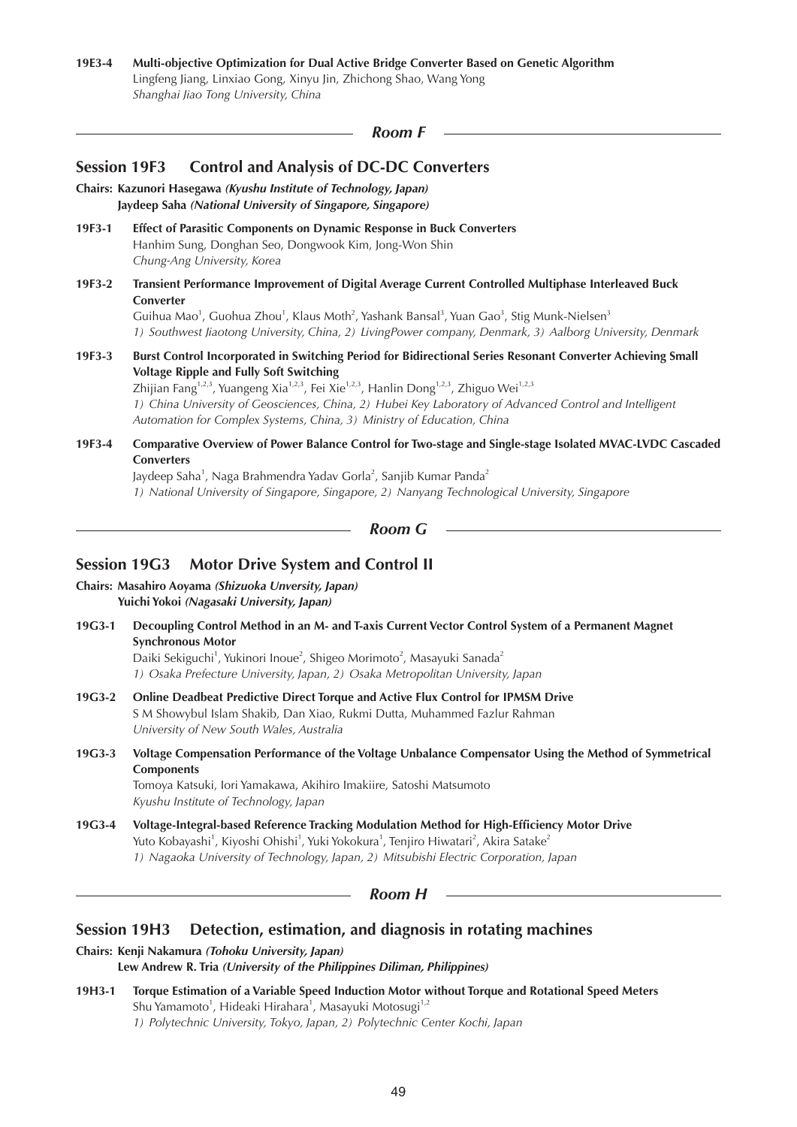# **19E3-4 Multi-objective Optimization for Dual Active Bridge Converter Based on Genetic Algorithm** Lingfeng Jiang, Linxiao Gong, Xinyu Jin, Zhichong Shao, Wang Yong

*Shanghai Jiao Tong University, China*

*Room F*

| <b>Control and Analysis of DC-DC Converters</b><br><b>Session 19F3</b><br>Chairs: Kazunori Hasegawa (Kyushu Institute of Technology, Japan)<br>Jaydeep Saha (National University of Singapore, Singapore) |                                                                                                                                                                                                                                                                                                                                                                                                                                                                                                           |  |
|-----------------------------------------------------------------------------------------------------------------------------------------------------------------------------------------------------------|-----------------------------------------------------------------------------------------------------------------------------------------------------------------------------------------------------------------------------------------------------------------------------------------------------------------------------------------------------------------------------------------------------------------------------------------------------------------------------------------------------------|--|
| 19F3-1                                                                                                                                                                                                    | Effect of Parasitic Components on Dynamic Response in Buck Converters<br>Hanhim Sung, Donghan Seo, Dongwook Kim, Jong-Won Shin<br>Chung-Ang University, Korea                                                                                                                                                                                                                                                                                                                                             |  |
| 19F3-2                                                                                                                                                                                                    | Transient Performance Improvement of Digital Average Current Controlled Multiphase Interleaved Buck<br>Converter<br>Guihua Mao <sup>1</sup> , Guohua Zhou <sup>1</sup> , Klaus Moth <sup>2</sup> , Yashank Bansal <sup>3</sup> , Yuan Gao <sup>3</sup> , Stig Munk-Nielsen <sup>3</sup><br>1) Southwest Jiaotong University, China, 2) LivingPower company, Denmark, 3) Aalborg University, Denmark                                                                                                       |  |
| 19F3-3                                                                                                                                                                                                    | Burst Control Incorporated in Switching Period for Bidirectional Series Resonant Converter Achieving Small<br><b>Voltage Ripple and Fully Soft Switching</b><br>Zhijian Fang <sup>1,2,3</sup> , Yuangeng Xia <sup>1,2,3</sup> , Fei Xie <sup>1,2,3</sup> , Hanlin Dong <sup>1,2,3</sup> , Zhiguo Wei <sup>1,2,3</sup><br>1) China University of Geosciences, China, 2) Hubei Key Laboratory of Advanced Control and Intelligent<br>Automation for Complex Systems, China, 3) Ministry of Education, China |  |
| 19F3-4                                                                                                                                                                                                    | Comparative Overview of Power Balance Control for Two-stage and Single-stage Isolated MVAC-LVDC Cascaded<br><b>Converters</b><br>Jaydeep Saha <sup>1</sup> , Naga Brahmendra Yadav Gorla <sup>2</sup> , Sanjib Kumar Panda <sup>2</sup><br>1) National University of Singapore, Singapore, 2) Nanyang Technological University, Singapore                                                                                                                                                                 |  |
|                                                                                                                                                                                                           | <b>Room G</b>                                                                                                                                                                                                                                                                                                                                                                                                                                                                                             |  |
|                                                                                                                                                                                                           | Session 19G3 Motor Drive System and Control II                                                                                                                                                                                                                                                                                                                                                                                                                                                            |  |
|                                                                                                                                                                                                           | Chairs: Masahiro Aoyama (Shizuoka Unversity, Japan)<br>Yuichi Yokoi (Nagasaki University, Japan)                                                                                                                                                                                                                                                                                                                                                                                                          |  |

**19G3-1 Decoupling Control Method in an M- and T-axis Current Vector Control System of a Permanent Magnet Synchronous Motor** Daiki Sekiguchi<sup>1</sup>, Yukinori Inoue<sup>2</sup>, Shigeo Morimoto<sup>2</sup>, Masayuki Sanada<sup>2</sup>

*1) Osaka Prefecture University, Japan, 2) Osaka Metropolitan University, Japan*

- **19G3-2 Online Deadbeat Predictive Direct Torque and Active Flux Control for IPMSM Drive** S M Showybul Islam Shakib, Dan Xiao, Rukmi Dutta, Muhammed Fazlur Rahman *University of New South Wales, Australia*
- **19G3-3 Voltage Compensation Performance of the Voltage Unbalance Compensator Using the Method of Symmetrical Components**

Tomoya Katsuki, Iori Yamakawa, Akihiro Imakiire, Satoshi Matsumoto *Kyushu Institute of Technology, Japan*

**19G3-4 Voltage-Integral-based Reference Tracking Modulation Method for High-Efficiency Motor Drive** Yuto Kobayashi<sup>1</sup>, Kiyoshi Ohishi<sup>1</sup>, Yuki Yokokura<sup>1</sup>, Tenjiro Hiwatari<sup>2</sup>, Akira Satake<sup>2</sup> *1) Nagaoka University of Technology, Japan, 2) Mitsubishi Electric Corporation, Japan*

*Room H*

# **Session 19H3 Detection, estimation, and diagnosis in rotating machines**

**Chairs: Kenji Nakamura** *(Tohoku University, Japan)*

**Lew Andrew R. Tria** *(University of the Philippines Diliman, Philippines)*

**19H3-1 Torque Estimation of a Variable Speed Induction Motor without Torque and Rotational Speed Meters** Shu Yamamoto<sup>1</sup>, Hideaki Hirahara<sup>1</sup>, Masayuki Motosugi<sup>1,2</sup> *1) Polytechnic University, Tokyo, Japan, 2) Polytechnic Center Kochi, Japan*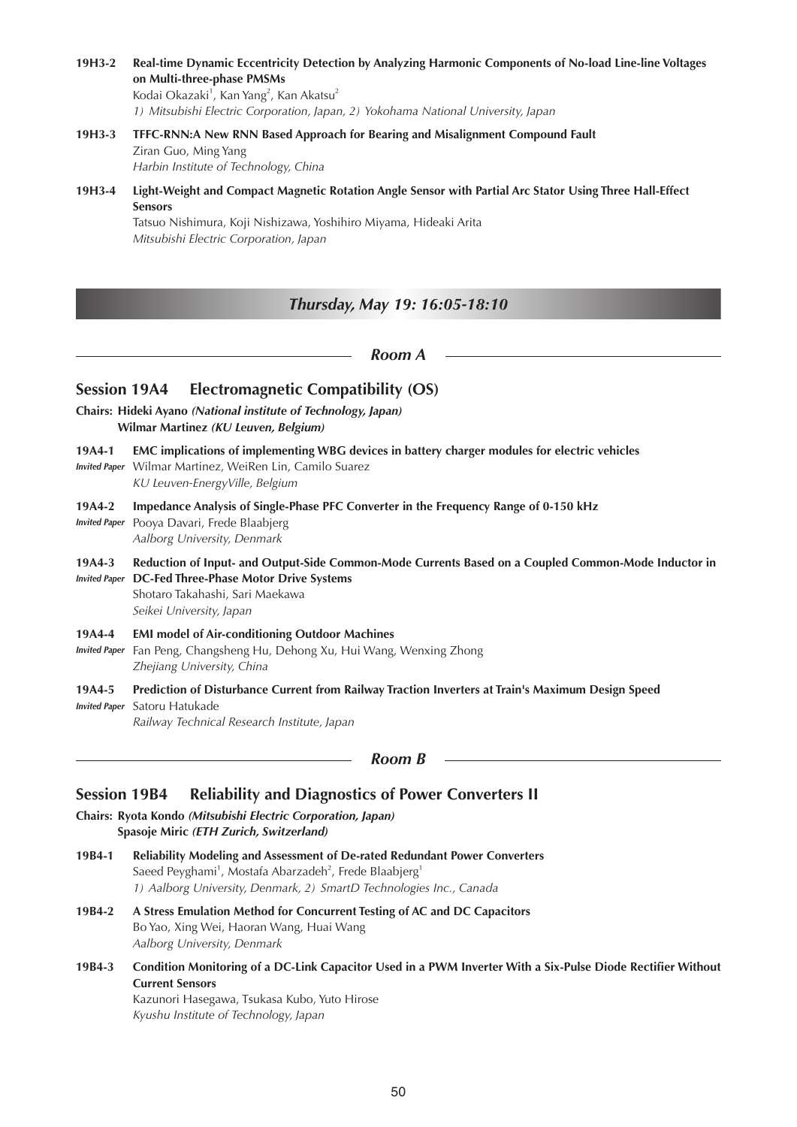**19H3-2 Real-time Dynamic Eccentricity Detection by Analyzing Harmonic Components of No-load Line-line Voltages on Multi-three-phase PMSMs** Kodai Okazaki<sup>1</sup>, Kan Yang<sup>2</sup>, Kan Akatsu<sup>2</sup>

*1) Mitsubishi Electric Corporation, Japan, 2) Yokohama National University, Japan*

- **19H3-3 TFFC-RNN:A New RNN Based Approach for Bearing and Misalignment Compound Fault** Ziran Guo, Ming Yang *Harbin Institute of Technology, China*
- **19H3-4 Light-Weight and Compact Magnetic Rotation Angle Sensor with Partial Arc Stator Using Three Hall-Effect Sensors**

Tatsuo Nishimura, Koji Nishizawa, Yoshihiro Miyama, Hideaki Arita *Mitsubishi Electric Corporation, Japan*

## *Thursday, May 19: 16:05-18:10*

#### *Room A*

## **Session 19A4 Electromagnetic Compatibility (OS)**

- **Chairs: Hideki Ayano** *(National institute of Technology, Japan)* **Wilmar Martinez** *(KU Leuven, Belgium)*
- **19A4-1 EMC implications of implementing WBG devices in battery charger modules for electric vehicles**
- *Invited Paper* Wilmar Martinez, WeiRen Lin, Camilo Suarez *KU Leuven-EnergyVille, Belgium*
- **19A4-2 Impedance Analysis of Single-Phase PFC Converter in the Frequency Range of 0-150 kHz**
- *Invited Paper* Pooya Davari, Frede Blaabjerg *Aalborg University, Denmark*
- **19A4-3 Reduction of Input- and Output-Side Common-Mode Currents Based on a Coupled Common-Mode Inductor in**  *Invited Paper* **DC-Fed Three-Phase Motor Drive Systems** Shotaro Takahashi, Sari Maekawa

*Seikei University, Japan*

#### **19A4-4 EMI model of Air-conditioning Outdoor Machines**

- *Invited Paper* Fan Peng, Changsheng Hu, Dehong Xu, Hui Wang, Wenxing Zhong *Zhejiang University, China*
- **19A4-5 Prediction of Disturbance Current from Railway Traction Inverters at Train's Maximum Design Speed** *Invited Paper* Satoru Hatukade

*Railway Technical Research Institute, Japan*

*Room B*

## **Session 19B4 Reliability and Diagnostics of Power Converters II**

**Chairs: Ryota Kondo** *(Mitsubishi Electric Corporation, Japan)* **Spasoje Miric** *(ETH Zurich, Switzerland)* 

- **19B4-1 Reliability Modeling and Assessment of De-rated Redundant Power Converters** Saeed Peyghami<sup>1</sup>, Mostafa Abarzadeh<sup>2</sup>, Frede Blaabjerg<sup>1</sup> *1) Aalborg University, Denmark, 2) SmartD Technologies Inc., Canada*
- **19B4-2 A Stress Emulation Method for Concurrent Testing of AC and DC Capacitors** Bo Yao, Xing Wei, Haoran Wang, Huai Wang *Aalborg University, Denmark*
- **19B4-3 Condition Monitoring of a DC-Link Capacitor Used in a PWM Inverter With a Six-Pulse Diode Rectifier Without Current Sensors**

Kazunori Hasegawa, Tsukasa Kubo, Yuto Hirose *Kyushu Institute of Technology, Japan*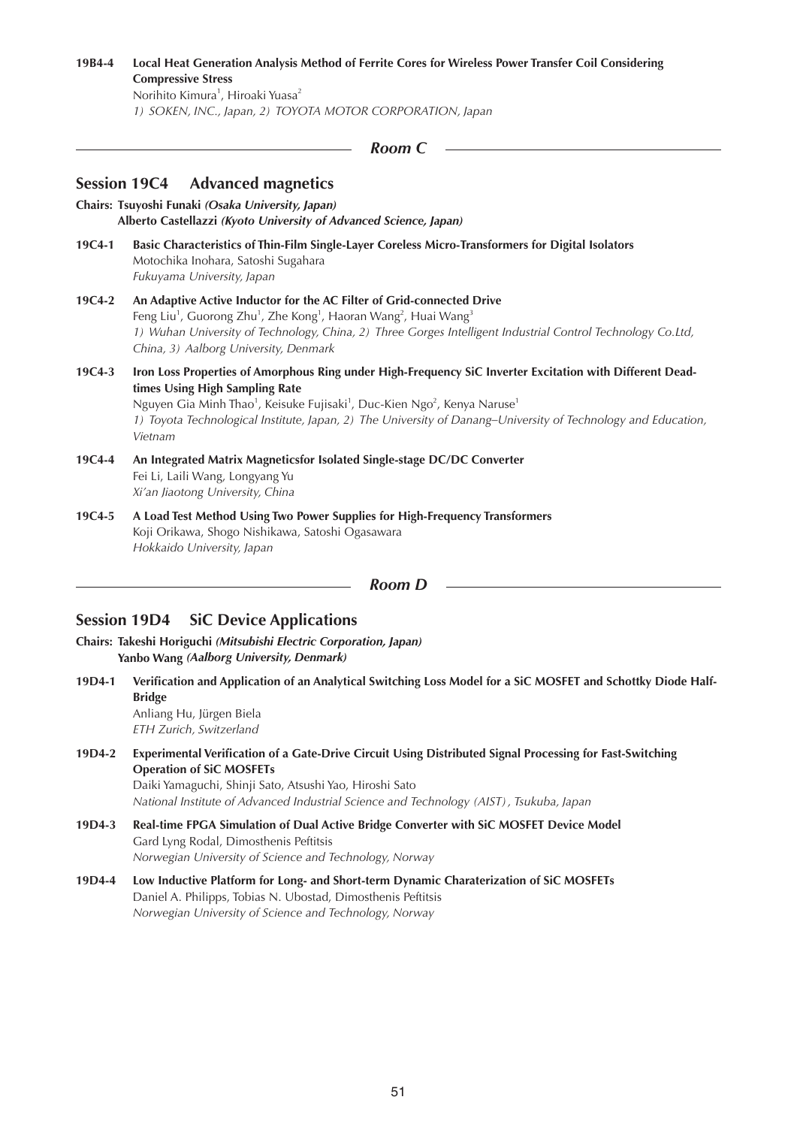**19B4-4 Local Heat Generation Analysis Method of Ferrite Cores for Wireless Power Transfer Coil Considering Compressive Stress** Norihito Kimura<sup>1</sup>, Hiroaki Yuasa<sup>2</sup> *1) SOKEN, INC., Japan, 2) TOYOTA MOTOR CORPORATION, Japan*

```
Room C
```
## **Session 19C4 Advanced magnetics**

- **Chairs: Tsuyoshi Funaki** *(Osaka University, Japan)* **Alberto Castellazzi** *(Kyoto University of Advanced Science, Japan)*
- **19C4-1 Basic Characteristics of Thin-Film Single-Layer Coreless Micro-Transformers for Digital Isolators** Motochika Inohara, Satoshi Sugahara *Fukuyama University, Japan*
- **19C4-2 An Adaptive Active Inductor for the AC Filter of Grid-connected Drive** Feng Liu<sup>1</sup>, Guorong Zhu<sup>1</sup>, Zhe Kong<sup>1</sup>, Haoran Wang<sup>3</sup>, Huai Wang<sup>3</sup> *1) Wuhan University of Technology, China, 2) Three Gorges Intelligent Industrial Control Technology Co.Ltd, China, 3) Aalborg University, Denmark*
- **19C4-3 Iron Loss Properties of Amorphous Ring under High-Frequency SiC Inverter Excitation with Different Deadtimes Using High Sampling Rate**

Nguyen Gia Minh Thao<sup>1</sup>, Keisuke Fujisaki<sup>1</sup>, Duc-Kien Ngo<sup>2</sup>, Kenya Naruse<sup>1</sup> *1) Toyota Technological Institute, Japan, 2) The University of Danang–University of Technology and Education, Vietnam*

- **19C4-4 An Integrated Matrix Magneticsfor Isolated Single-stage DC/DC Converter** Fei Li, Laili Wang, Longyang Yu *Xi'an Jiaotong University, China*
- **19C4-5 A Load Test Method Using Two Power Supplies for High-Frequency Transformers** Koji Orikawa, Shogo Nishikawa, Satoshi Ogasawara *Hokkaido University, Japan*

*Room D*

## **Session 19D4 SiC Device Applications**

**Chairs: Takeshi Horiguchi** *(Mitsubishi Electric Corporation, Japan)* **Yanbo Wang** *(Aalborg University, Denmark)*

- **19D4-1 Verification and Application of an Analytical Switching Loss Model for a SiC MOSFET and Schottky Diode Half-Bridge** Anliang Hu, Jürgen Biela *ETH Zurich, Switzerland*
- **19D4-2 Experimental Verification of a Gate-Drive Circuit Using Distributed Signal Processing for Fast-Switching Operation of SiC MOSFETs** Daiki Yamaguchi, Shinji Sato, Atsushi Yao, Hiroshi Sato *National Institute of Advanced Industrial Science and Technology (AIST), Tsukuba, Japan*
- **19D4-3 Real-time FPGA Simulation of Dual Active Bridge Converter with SiC MOSFET Device Model** Gard Lyng Rodal, Dimosthenis Peftitsis *Norwegian University of Science and Technology, Norway*
- **19D4-4 Low Inductive Platform for Long- and Short-term Dynamic Charaterization of SiC MOSFETs** Daniel A. Philipps, Tobias N. Ubostad, Dimosthenis Peftitsis *Norwegian University of Science and Technology, Norway*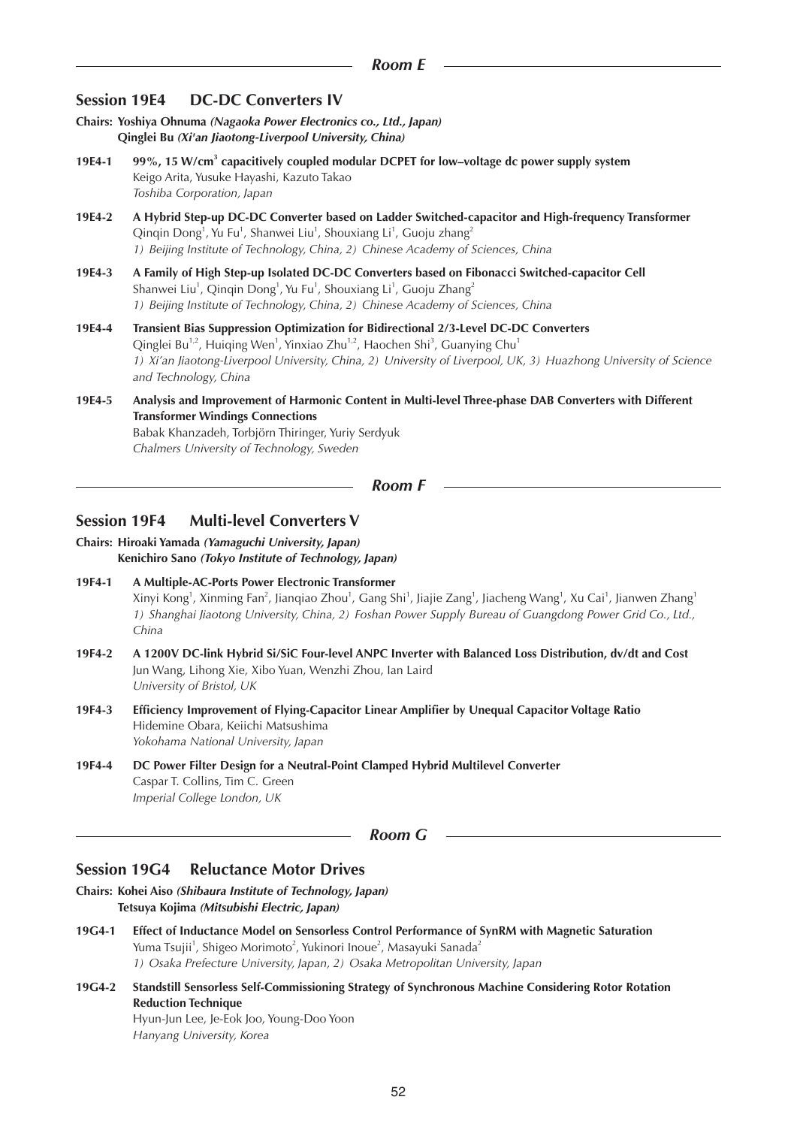## **Session 19E4 DC-DC Converters IV**

- **Chairs: Yoshiya Ohnuma** *(Nagaoka Power Electronics co., Ltd., Japan)* **Qinglei Bu** *(Xi'an Jiaotong-Liverpool University, China)*
- **19E4-1 99%, 15 W/cm<sup>3</sup> capacitively coupled modular DCPET for low–voltage dc power supply system** Keigo Arita, Yusuke Hayashi, Kazuto Takao *Toshiba Corporation, Japan*
- **19E4-2 A Hybrid Step-up DC-DC Converter based on Ladder Switched-capacitor and High-frequency Transformer** Qinqin Dong<sup>1</sup>, Yu Fu<sup>1</sup>, Shanwei Liu<sup>1</sup>, Shouxiang Li<sup>1</sup>, Guoju zhang<sup>2</sup> *1) Beijing Institute of Technology, China, 2) Chinese Academy of Sciences, China*
- **19E4-3 A Family of High Step-up Isolated DC-DC Converters based on Fibonacci Switched-capacitor Cell** Shanwei Liu<sup>1</sup>, Qinqin Dong<sup>1</sup>, Yu Fu<sup>1</sup>, Shouxiang Li<sup>1</sup>, Guoju Zhang<sup>2</sup> *1) Beijing Institute of Technology, China, 2) Chinese Academy of Sciences, China*
- **19E4-4 Transient Bias Suppression Optimization for Bidirectional 2/3-Level DC-DC Converters** Qinglei Bu<sup>1,2</sup>, Huiqing Wen<sup>1</sup>, Yinxiao Zhu<sup>1,2</sup>, Haochen Shi<sup>3</sup>, Guanying Chu<sup>1</sup> *1) Xi'an Jiaotong-Liverpool University, China, 2) University of Liverpool, UK, 3) Huazhong University of Science and Technology, China*
- **19E4-5 Analysis and Improvement of Harmonic Content in Multi-level Three-phase DAB Converters with Different Transformer Windings Connections** Babak Khanzadeh, Torbjörn Thiringer, Yuriy Serdyuk *Chalmers University of Technology, Sweden*

*Room F*

## **Session 19F4 Multi-level Converters V**

**Chairs: Hiroaki Yamada** *(Yamaguchi University, Japan)* **Kenichiro Sano** *(Tokyo Institute of Technology, Japan)*

- **19F4-1 A Multiple-AC-Ports Power Electronic Transformer** Xinyi Kong<sup>1</sup>, Xinming Fan<sup>2</sup>, Jianqiao Zhou<sup>1</sup>, Gang Shi<sup>1</sup>, Jiajie Zang<sup>1</sup>, Jiacheng Wang<sup>1</sup>, Xu Cai<sup>1</sup>, Jianwen Zhang<sup>1</sup> *1) Shanghai Jiaotong University, China, 2) Foshan Power Supply Bureau of Guangdong Power Grid Co., Ltd., China*
- **19F4-2 A 1200V DC-link Hybrid Si/SiC Four-level ANPC Inverter with Balanced Loss Distribution, dv/dt and Cost** Jun Wang, Lihong Xie, Xibo Yuan, Wenzhi Zhou, Ian Laird *University of Bristol, UK*
- **19F4-3 Efficiency Improvement of Flying-Capacitor Linear Amplifier by Unequal Capacitor Voltage Ratio** Hidemine Obara, Keiichi Matsushima *Yokohama National University, Japan*
- **19F4-4 DC Power Filter Design for a Neutral-Point Clamped Hybrid Multilevel Converter** Caspar T. Collins, Tim C. Green *Imperial College London, UK*

*Room G*

#### **Session 19G4 Reluctance Motor Drives**

- **Chairs: Kohei Aiso** *(Shibaura Institute of Technology, Japan)* **Tetsuya Kojima** *(Mitsubishi Electric, Japan)*
- **19G4-1 Effect of Inductance Model on Sensorless Control Performance of SynRM with Magnetic Saturation** Yuma Tsujii<sup>1</sup>, Shigeo Morimoto<sup>2</sup>, Yukinori Inoue<sup>2</sup>, Masayuki Sanada<sup>2</sup> *1) Osaka Prefecture University, Japan, 2) Osaka Metropolitan University, Japan*
- **19G4-2 Standstill Sensorless Self-Commissioning Strategy of Synchronous Machine Considering Rotor Rotation Reduction Technique** Hyun-Jun Lee, Je-Eok Joo, Young-Doo Yoon *Hanyang University, Korea*